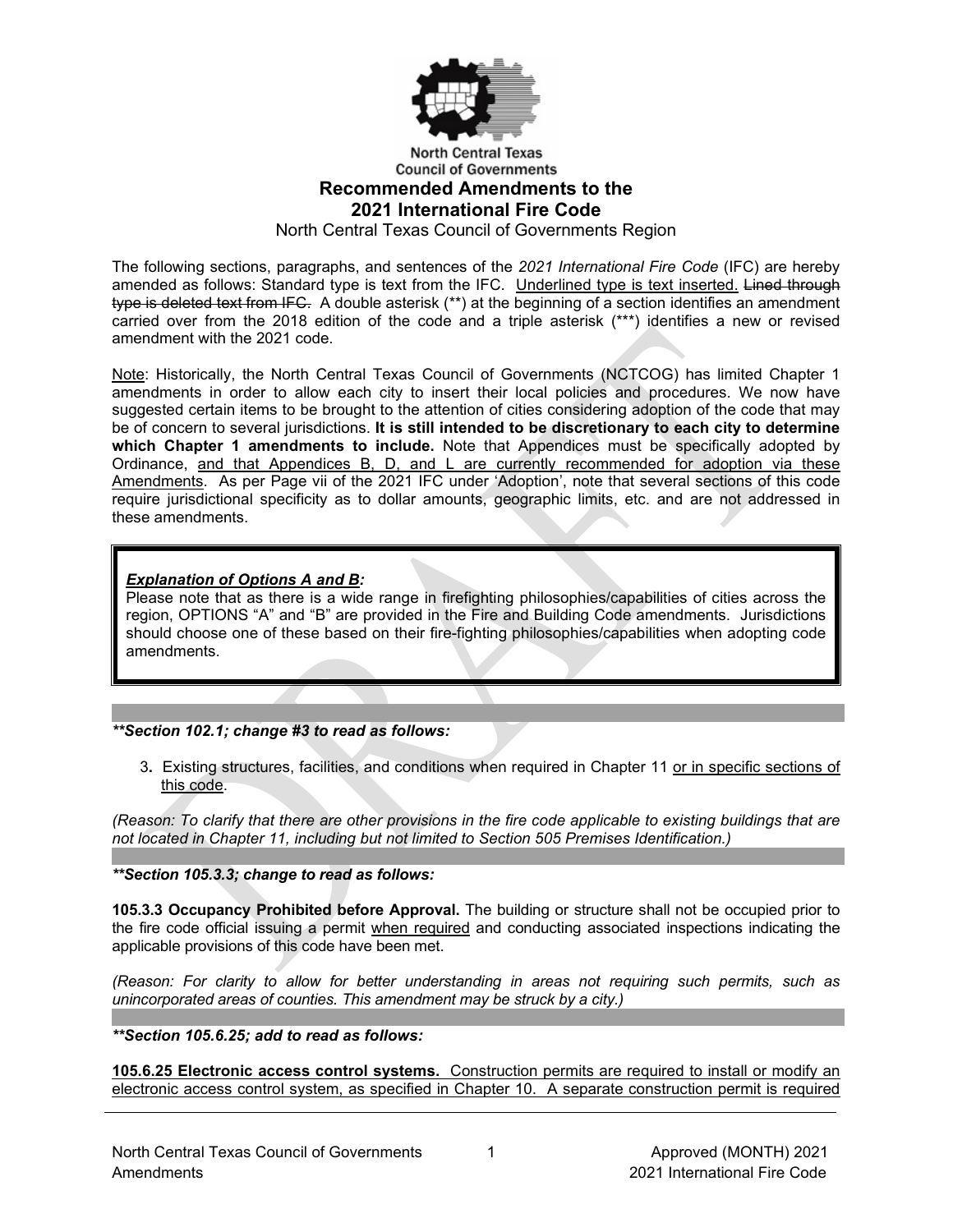

#### **North Central Texas Council of Governments Recommended Amendments to the 2021 International Fire Code**

North Central Texas Council of Governments Region

The following sections, paragraphs, and sentences of the *2021 International Fire Code* (IFC) are hereby amended as follows: Standard type is text from the IFC. Underlined type is text inserted. Lined through type is deleted text from IFC. A double asterisk (\*\*) at the beginning of a section identifies an amendment carried over from the 2018 edition of the code and a triple asterisk (\*\*\*) identifies a new or revised amendment with the 2021 code.

Note: Historically, the North Central Texas Council of Governments (NCTCOG) has limited Chapter 1 amendments in order to allow each city to insert their local policies and procedures. We now have suggested certain items to be brought to the attention of cities considering adoption of the code that may be of concern to several jurisdictions. **It is still intended to be discretionary to each city to determine which Chapter 1 amendments to include.** Note that Appendices must be specifically adopted by Ordinance, and that Appendices B, D, and L are currently recommended for adoption via these Amendments. As per Page vii of the 2021 IFC under 'Adoption', note that several sections of this code require jurisdictional specificity as to dollar amounts, geographic limits, etc. and are not addressed in these amendments.

# *Explanation of Options A and B:*

Please note that as there is a wide range in firefighting philosophies/capabilities of cities across the region, OPTIONS "A" and "B" are provided in the Fire and Building Code amendments. Jurisdictions should choose one of these based on their fire-fighting philosophies/capabilities when adopting code amendments.

# *\*\*Section 102.1; change #3 to read as follows:*

3**.** Existing structures, facilities, and conditions when required in Chapter 11 or in specific sections of this code.

*(Reason: To clarify that there are other provisions in the fire code applicable to existing buildings that are not located in Chapter 11, including but not limited to Section 505 Premises Identification.)*

*\*\*Section 105.3.3; change to read as follows:*

**105.3.3 Occupancy Prohibited before Approval.** The building or structure shall not be occupied prior to the fire code official issuing a permit when required and conducting associated inspections indicating the applicable provisions of this code have been met.

*(Reason: For clarity to allow for better understanding in areas not requiring such permits, such as unincorporated areas of counties. This amendment may be struck by a city.)*

*\*\*Section 105.6.25; add to read as follows:*

**105.6.25 Electronic access control systems.** Construction permits are required to install or modify an electronic access control system, as specified in Chapter 10. A separate construction permit is required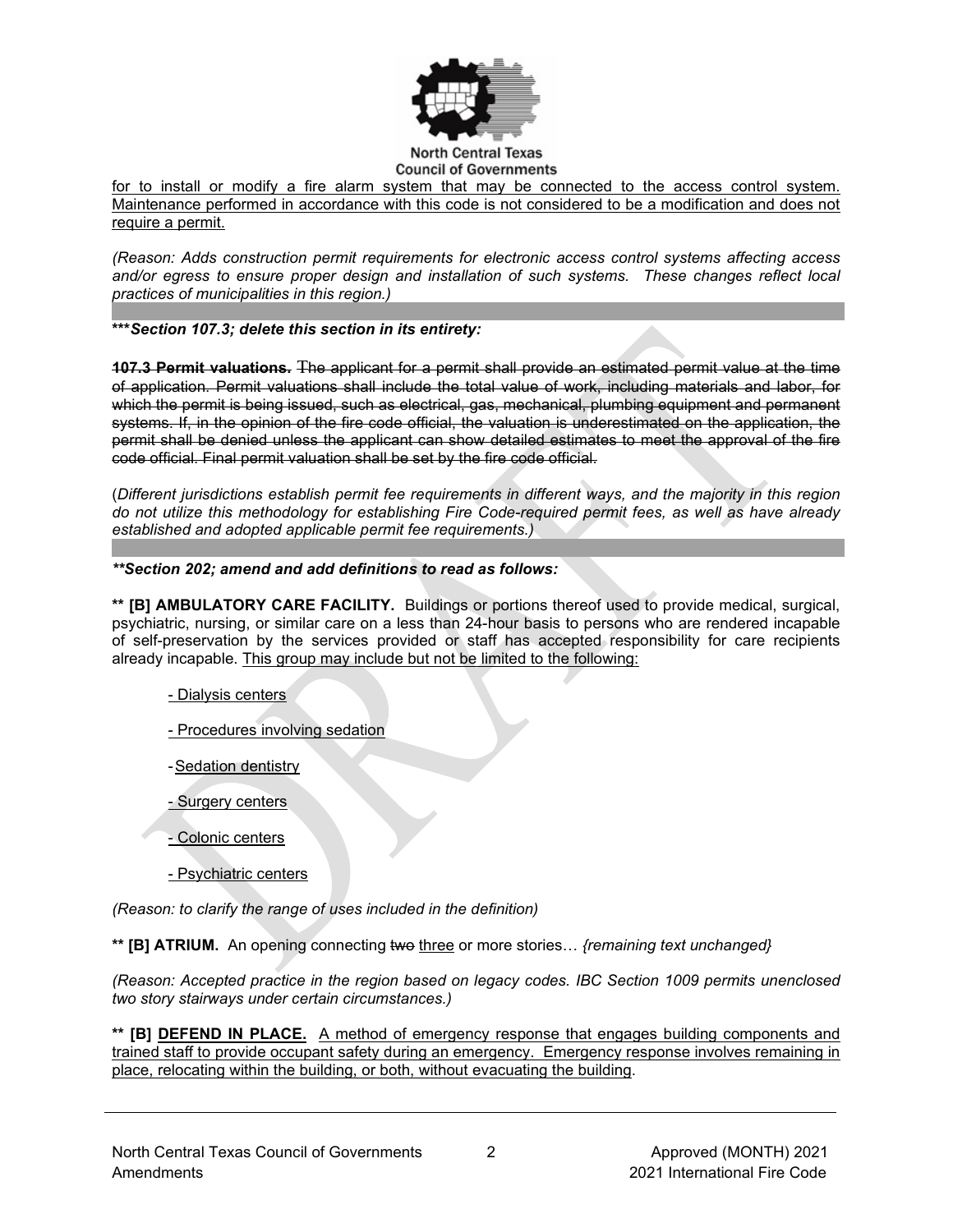

#### **Council of Governments**

for to install or modify a fire alarm system that may be connected to the access control system. Maintenance performed in accordance with this code is not considered to be a modification and does not require a permit.

*(Reason: Adds construction permit requirements for electronic access control systems affecting access and/or egress to ensure proper design and installation of such systems. These changes reflect local practices of municipalities in this region.)*

**\*\*\****Section 107.3; delete this section in its entirety:*

**107.3 Permit valuations.** The applicant for a permit shall provide an estimated permit value at the time of application. Permit valuations shall include the total value of work, including materials and labor, for which the permit is being issued, such as electrical, gas, mechanical, plumbing equipment and permanent systems. If, in the opinion of the fire code official, the valuation is underestimated on the application, the permit shall be denied unless the applicant can show detailed estimates to meet the approval of the fire code official. Final permit valuation shall be set by the fire code official.

(*Different jurisdictions establish permit fee requirements in different ways, and the majority in this region do not utilize this methodology for establishing Fire Code-required permit fees, as well as have already established and adopted applicable permit fee requirements.)*

#### *\*\*Section 202; amend and add definitions to read as follows:*

**\*\* [B] AMBULATORY CARE FACILITY.** Buildings or portions thereof used to provide medical, surgical, psychiatric, nursing, or similar care on a less than 24-hour basis to persons who are rendered incapable of self-preservation by the services provided or staff has accepted responsibility for care recipients already incapable. This group may include but not be limited to the following:

- Dialysis centers
- Procedures involving sedation
- -Sedation dentistry
- Surgery centers
- Colonic centers
- Psychiatric centers

*(Reason: to clarify the range of uses included in the definition)*

**\*\* [B] ATRIUM.** An opening connecting two three or more stories… *{remaining text unchanged}*

*(Reason: Accepted practice in the region based on legacy codes. IBC Section 1009 permits unenclosed two story stairways under certain circumstances.)* 

**\*\* [B] DEFEND IN PLACE.** A method of emergency response that engages building components and trained staff to provide occupant safety during an emergency. Emergency response involves remaining in place, relocating within the building, or both, without evacuating the building.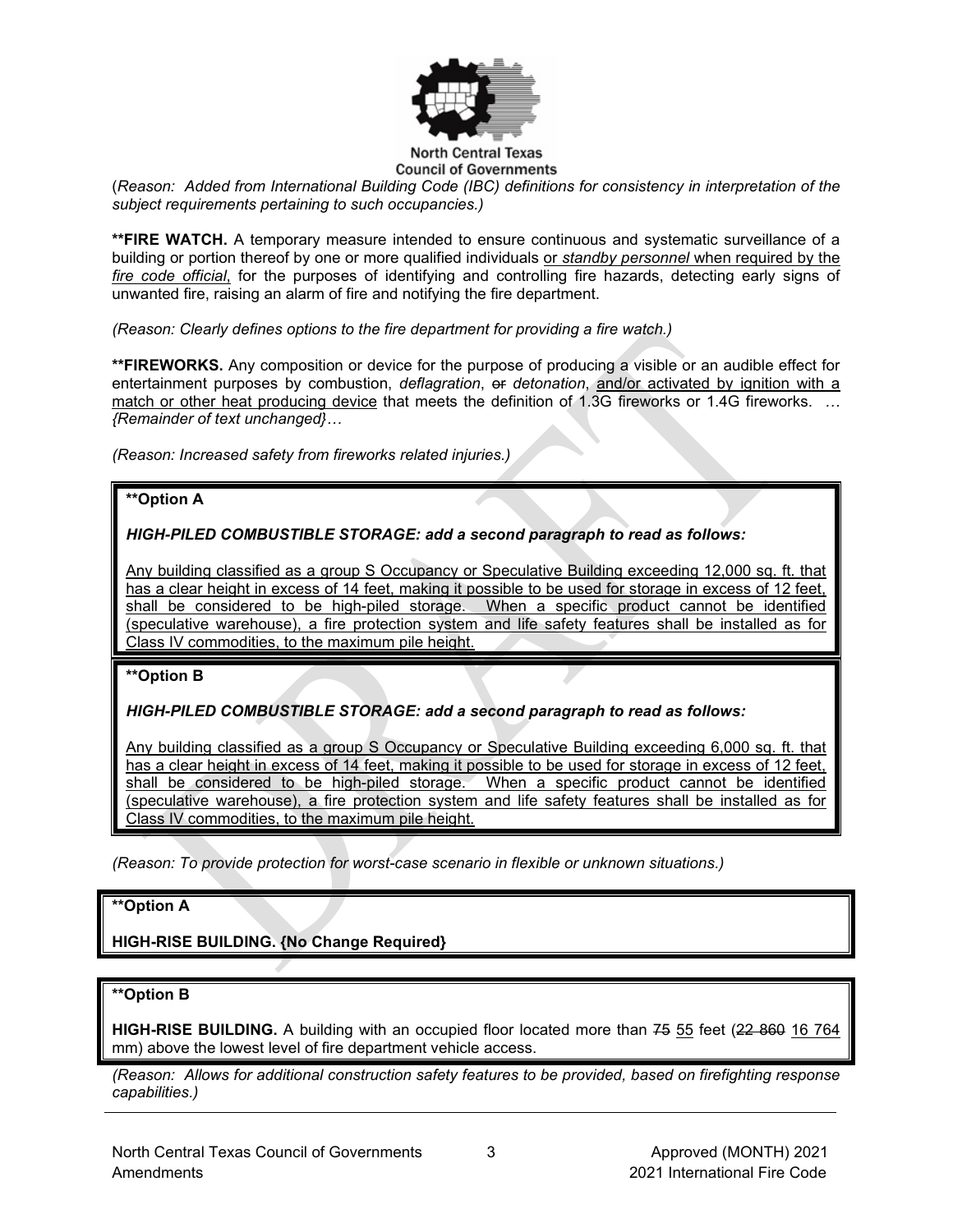

# **Council of Governments**

(*Reason: Added from International Building Code (IBC) definitions for consistency in interpretation of the subject requirements pertaining to such occupancies.)*

**\*\*FIRE WATCH.** A temporary measure intended to ensure continuous and systematic surveillance of a building or portion thereof by one or more qualified individuals or *standby personnel* when required by the *fire code official*, for the purposes of identifying and controlling fire hazards, detecting early signs of unwanted fire, raising an alarm of fire and notifying the fire department.

*(Reason: Clearly defines options to the fire department for providing a fire watch.)*

**\*\*FIREWORKS.** Any composition or device for the purpose of producing a visible or an audible effect for entertainment purposes by combustion, *deflagration*, or *detonation*, and/or activated by ignition with a match or other heat producing device that meets the definition of 1.3G fireworks or 1.4G fireworks. *… {Remainder of text unchanged}…*

*(Reason: Increased safety from fireworks related injuries.)*

# **\*\*Option A**

*HIGH-PILED COMBUSTIBLE STORAGE: add a second paragraph to read as follows:*

Any building classified as a group S Occupancy or Speculative Building exceeding 12,000 sq. ft. that has a clear height in excess of 14 feet, making it possible to be used for storage in excess of 12 feet, shall be considered to be high-piled storage. When a specific product cannot be identified (speculative warehouse), a fire protection system and life safety features shall be installed as for Class IV commodities, to the maximum pile height.

# **\*\*Option B**

*HIGH-PILED COMBUSTIBLE STORAGE: add a second paragraph to read as follows:*

Any building classified as a group S Occupancy or Speculative Building exceeding 6,000 sq. ft. that has a clear height in excess of 14 feet, making it possible to be used for storage in excess of 12 feet, shall be considered to be high-piled storage. When a specific product cannot be identified (speculative warehouse), a fire protection system and life safety features shall be installed as for Class IV commodities, to the maximum pile height.

*(Reason: To provide protection for worst-case scenario in flexible or unknown situations.)*

# **\*\*Option A**

**HIGH-RISE BUILDING. {No Change Required}** 

#### **\*\*Option B**

**HIGH-RISE BUILDING.** A building with an occupied floor located more than 75 55 feet (22 860 16 764 mm) above the lowest level of fire department vehicle access.

*(Reason: Allows for additional construction safety features to be provided, based on firefighting response capabilities.)*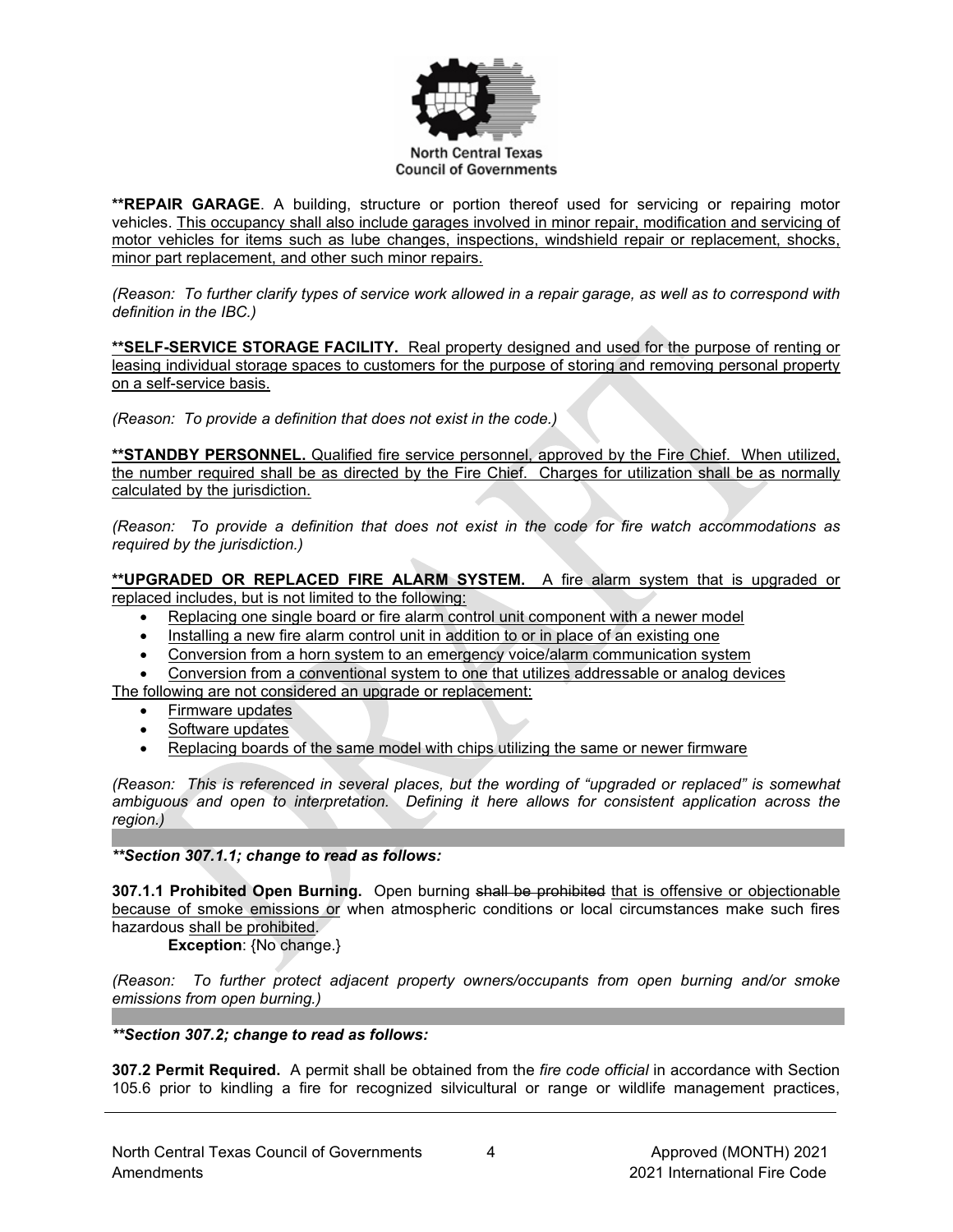

**\*\*REPAIR GARAGE**. A building, structure or portion thereof used for servicing or repairing motor vehicles. This occupancy shall also include garages involved in minor repair, modification and servicing of motor vehicles for items such as lube changes, inspections, windshield repair or replacement, shocks, minor part replacement, and other such minor repairs.

*(Reason: To further clarify types of service work allowed in a repair garage, as well as to correspond with definition in the IBC.)*

**\*\*SELF-SERVICE STORAGE FACILITY.** Real property designed and used for the purpose of renting or leasing individual storage spaces to customers for the purpose of storing and removing personal property on a self-service basis.

*(Reason: To provide a definition that does not exist in the code.)*

**\*\*STANDBY PERSONNEL.** Qualified fire service personnel, approved by the Fire Chief. When utilized, the number required shall be as directed by the Fire Chief. Charges for utilization shall be as normally calculated by the jurisdiction.

*(Reason: To provide a definition that does not exist in the code for fire watch accommodations as required by the jurisdiction.)*

**\*\*UPGRADED OR REPLACED FIRE ALARM SYSTEM.** A fire alarm system that is upgraded or replaced includes, but is not limited to the following:

- Replacing one single board or fire alarm control unit component with a newer model
- Installing a new fire alarm control unit in addition to or in place of an existing one
- Conversion from a horn system to an emergency voice/alarm communication system
- Conversion from a conventional system to one that utilizes addressable or analog devices

The following are not considered an upgrade or replacement:

- Firmware updates
- Software updates
- Replacing boards of the same model with chips utilizing the same or newer firmware

*(Reason: This is referenced in several places, but the wording of "upgraded or replaced" is somewhat ambiguous and open to interpretation. Defining it here allows for consistent application across the region.)*

*\*\*Section 307.1.1; change to read as follows:*

**307.1.1 Prohibited Open Burning.** Open burning shall be prohibited that is offensive or objectionable because of smoke emissions or when atmospheric conditions or local circumstances make such fires hazardous shall be prohibited.

**Exception**: {No change.}

*(Reason: To further protect adjacent property owners/occupants from open burning and/or smoke emissions from open burning.)*

*\*\*Section 307.2; change to read as follows:*

**307.2 Permit Required.** A permit shall be obtained from the *fire code official* in accordance with Section 105.6 prior to kindling a fire for recognized silvicultural or range or wildlife management practices,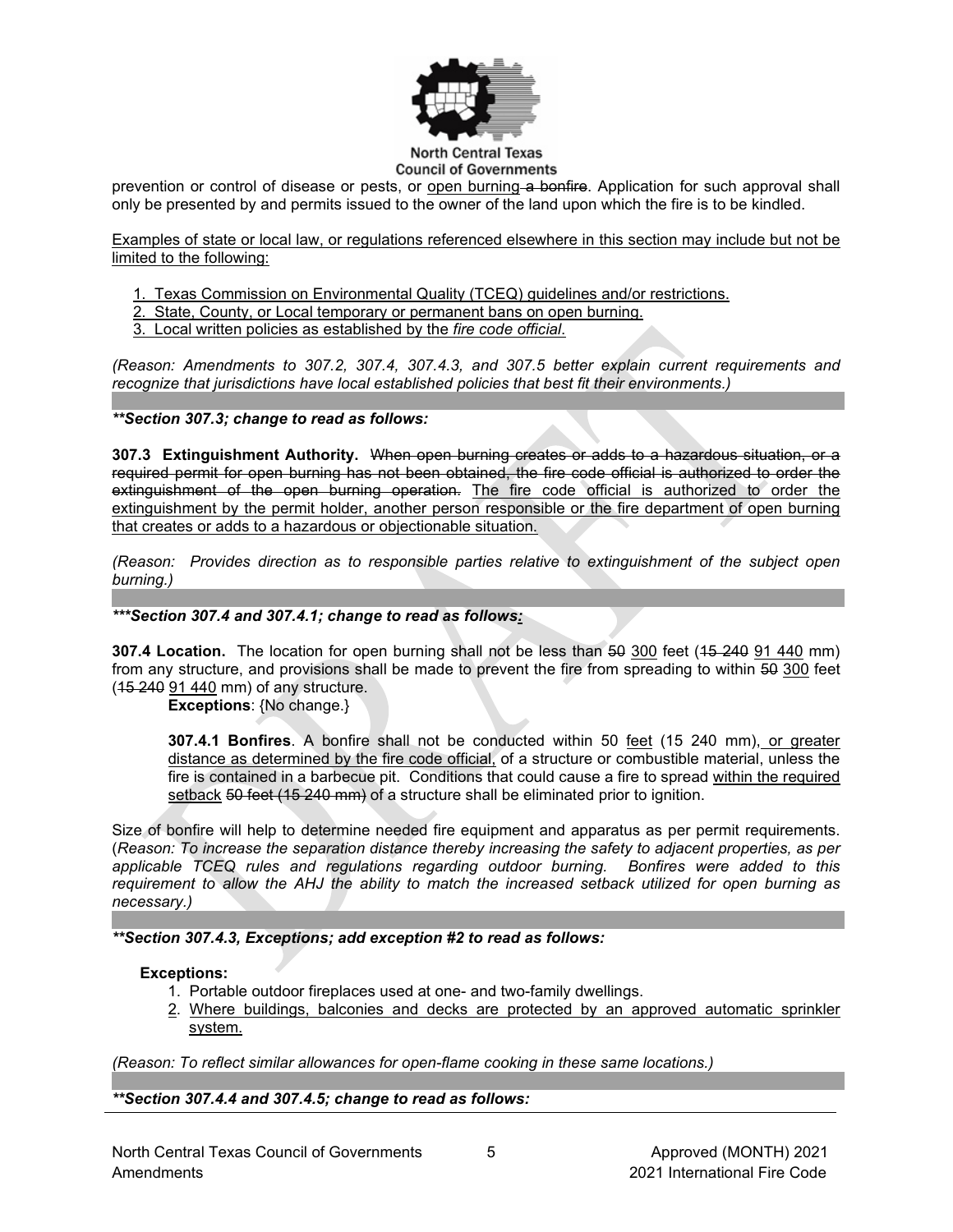

**Council of Governments** 

prevention or control of disease or pests, or open burning a bonfire. Application for such approval shall only be presented by and permits issued to the owner of the land upon which the fire is to be kindled.

Examples of state or local law, or regulations referenced elsewhere in this section may include but not be limited to the following:

1. Texas Commission on Environmental Quality (TCEQ) guidelines and/or restrictions.

- 2. State, County, or Local temporary or permanent bans on open burning.
- 3. Local written policies as established by the *fire code official*.

*(Reason: Amendments to 307.2, 307.4, 307.4.3, and 307.5 better explain current requirements and recognize that jurisdictions have local established policies that best fit their environments.)*

## *\*\*Section 307.3; change to read as follows:*

**307.3 Extinguishment Authority.** When open burning creates or adds to a hazardous situation, or a required permit for open burning has not been obtained, the fire code official is authorized to order the extinguishment of the open burning operation. The fire code official is authorized to order the extinguishment by the permit holder, another person responsible or the fire department of open burning that creates or adds to a hazardous or objectionable situation.

*(Reason: Provides direction as to responsible parties relative to extinguishment of the subject open burning.)*

# *\*\*\*Section 307.4 and 307.4.1; change to read as follows:*

**307.4 Location.** The location for open burning shall not be less than 50 300 feet (15 240 91 440 mm) from any structure, and provisions shall be made to prevent the fire from spreading to within 50 300 feet (15 240 91 440 mm) of any structure.

**Exceptions**: {No change.}

**307.4.1 Bonfires**. A bonfire shall not be conducted within 50 feet (15 240 mm), or greater distance as determined by the fire code official, of a structure or combustible material, unless the fire is contained in a barbecue pit. Conditions that could cause a fire to spread within the required setback 50 feet (15 240 mm) of a structure shall be eliminated prior to ignition.

Size of bonfire will help to determine needed fire equipment and apparatus as per permit requirements. (*Reason: To increase the separation distance thereby increasing the safety to adjacent properties, as per applicable TCEQ rules and regulations regarding outdoor burning. Bonfires were added to this requirement to allow the AHJ the ability to match the increased setback utilized for open burning as necessary.)*

# *\*\*Section 307.4.3, Exceptions; add exception #2 to read as follows:*

#### **Exceptions:**

- 1. Portable outdoor fireplaces used at one- and two-family dwellings.
- 2. Where buildings, balconies and decks are protected by an approved automatic sprinkler system.

*(Reason: To reflect similar allowances for open-flame cooking in these same locations.)*

*\*\*Section 307.4.4 and 5; add section 307.4.4 \*\*Section 307.4.4 and 307.4.5; change to read as follows:*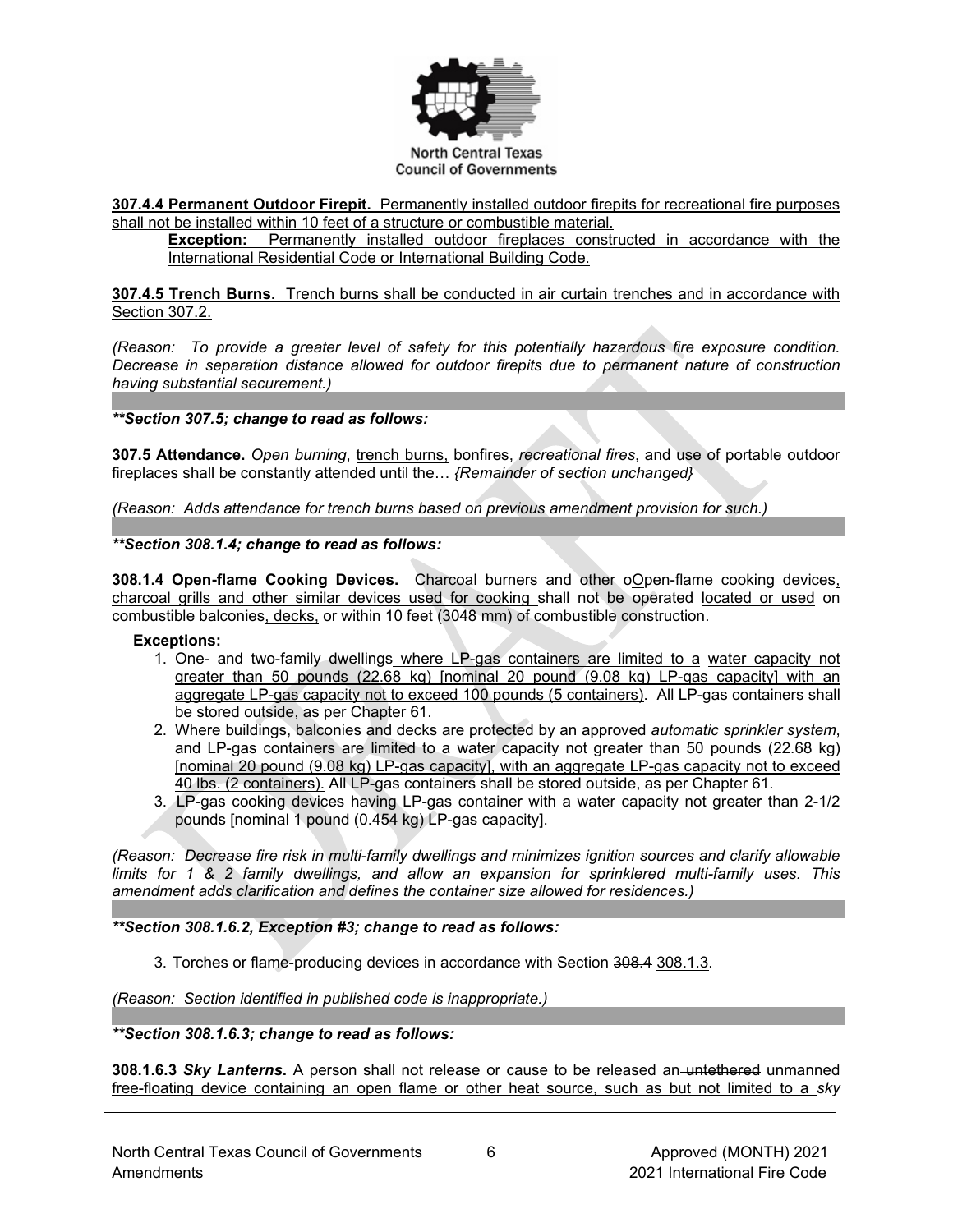

**307.4.4 Permanent Outdoor Firepit.** Permanently installed outdoor firepits for recreational fire purposes shall not be installed within 10 feet of a structure or combustible material.

**Exception:** Permanently installed outdoor fireplaces constructed in accordance with the International Residential Code or International Building Code.

**307.4.5 Trench Burns.** Trench burns shall be conducted in air curtain trenches and in accordance with Section 307.2.

*(Reason: To provide a greater level of safety for this potentially hazardous fire exposure condition. Decrease in separation distance allowed for outdoor firepits due to permanent nature of construction having substantial securement.)*

*\*\*Section 307.5; change to read as follows:*

**307.5 Attendance.** *Open burning*, trench burns, bonfires, *recreational fires*, and use of portable outdoor fireplaces shall be constantly attended until the… *{Remainder of section unchanged}*

*(Reason: Adds attendance for trench burns based on previous amendment provision for such.)*

#### *\*\*Section 308.1.4; change to read as follows:*

308.1.4 Open-flame Cooking Devices. <del>Charcoal burners and other o</del>Open-flame cooking devices. charcoal grills and other similar devices used for cooking shall not be operated located or used on combustible balconies, decks, or within 10 feet (3048 mm) of combustible construction.

#### **Exceptions:**

- 1. One- and two-family dwellings where LP-gas containers are limited to a water capacity not greater than 50 pounds (22.68 kg) [nominal 20 pound (9.08 kg) LP-gas capacity] with an aggregate LP-gas capacity not to exceed 100 pounds (5 containers). All LP-gas containers shall be stored outside, as per Chapter 61.
- 2. Where buildings, balconies and decks are protected by an approved *automatic sprinkler system*, and LP-gas containers are limited to a water capacity not greater than 50 pounds (22.68 kg) [nominal 20 pound (9.08 kg) LP-gas capacity], with an aggregate LP-gas capacity not to exceed 40 lbs. (2 containers). All LP-gas containers shall be stored outside, as per Chapter 61.
- 3. LP-gas cooking devices having LP-gas container with a water capacity not greater than 2-1/2 pounds [nominal 1 pound (0.454 kg) LP-gas capacity].

*(Reason: Decrease fire risk in multi-family dwellings and minimizes ignition sources and clarify allowable limits for 1 & 2 family dwellings, and allow an expansion for sprinklered multi-family uses. This amendment adds clarification and defines the container size allowed for residences.)*

#### *\*\*Section 308.1.6.2, Exception #3; change to read as follows:*

3. Torches or flame-producing devices in accordance with Section 308.4 308.1.3.

*(Reason: Section identified in published code is inappropriate.)*

#### *\*\*Section 308.1.6.3; change to read as follows:*

**308.1.6.3** *Sky Lanterns***.** A person shall not release or cause to be released an untethered unmanned free-floating device containing an open flame or other heat source, such as but not limited to a *sky*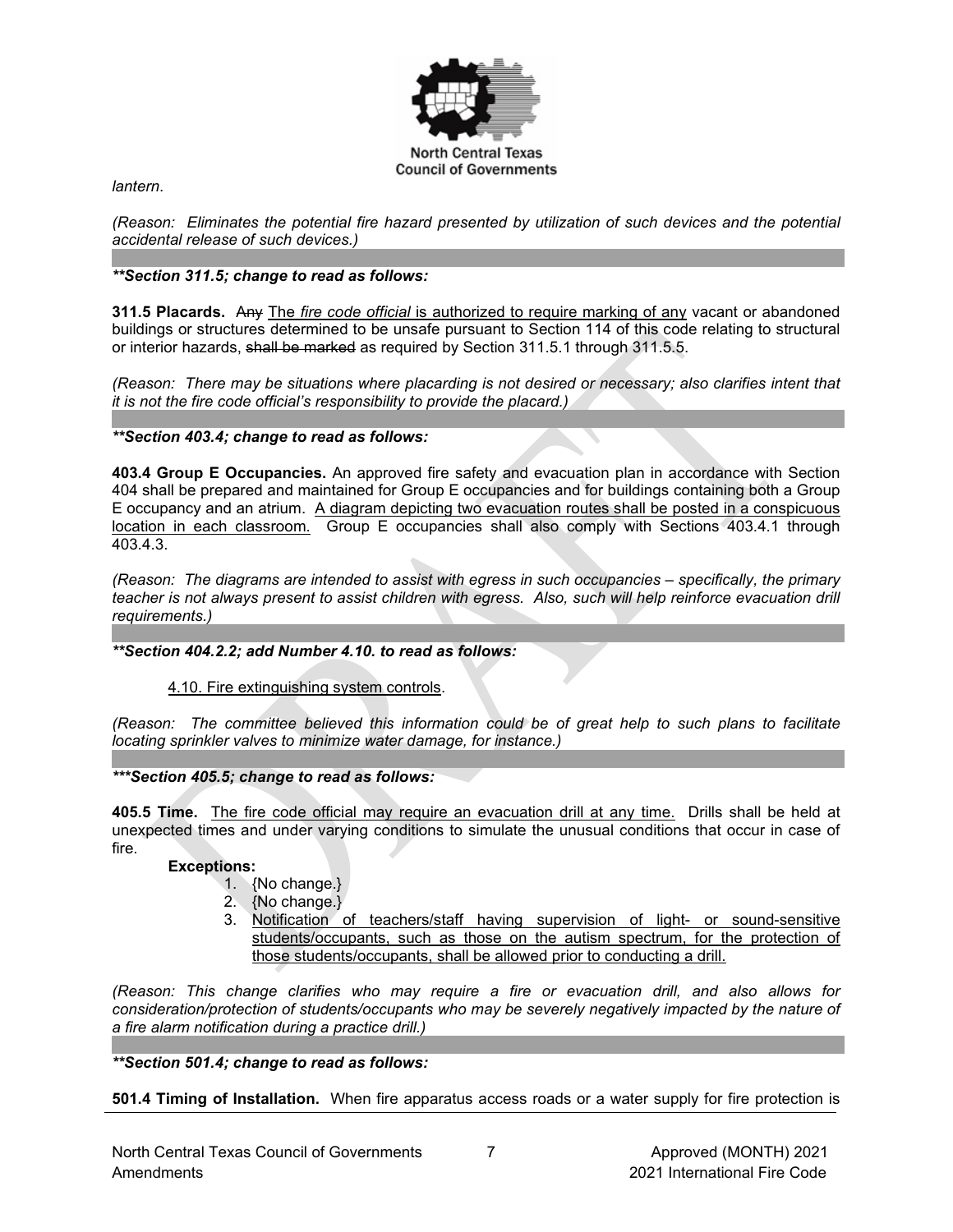

*lantern*.

*(Reason: Eliminates the potential fire hazard presented by utilization of such devices and the potential accidental release of such devices.)*

# *\*\*Section 311.5; change to read as follows:*

**311.5 Placards.** Any The *fire code official* is authorized to require marking of any vacant or abandoned buildings or structures determined to be unsafe pursuant to Section 114 of this code relating to structural or interior hazards, shall be marked as required by Section 311.5.1 through 311.5.5.

*(Reason: There may be situations where placarding is not desired or necessary; also clarifies intent that it is not the fire code official's responsibility to provide the placard.)*

*\*\*Section 403.4; change to read as follows:*

**403.4 Group E Occupancies.** An approved fire safety and evacuation plan in accordance with Section 404 shall be prepared and maintained for Group E occupancies and for buildings containing both a Group E occupancy and an atrium. A diagram depicting two evacuation routes shall be posted in a conspicuous location in each classroom. Group E occupancies shall also comply with Sections 403.4.1 through 403.4.3.

*(Reason: The diagrams are intended to assist with egress in such occupancies – specifically, the primary teacher is not always present to assist children with egress. Also, such will help reinforce evacuation drill requirements.)*

*\*\*Section 404.2.2; add Number 4.10. to read as follows:*

#### 4.10. Fire extinguishing system controls.

*(Reason: The committee believed this information could be of great help to such plans to facilitate locating sprinkler valves to minimize water damage, for instance.)*

*\*\*\*Section 405.5; change to read as follows:*

**405.5 Time.** The fire code official may require an evacuation drill at any time. Drills shall be held at unexpected times and under varying conditions to simulate the unusual conditions that occur in case of fire.

### **Exceptions:**

- 1. {No change.}
- 2. {No change.}
- 3. Notification of teachers/staff having supervision of light- or sound-sensitive students/occupants, such as those on the autism spectrum, for the protection of those students/occupants, shall be allowed prior to conducting a drill.

*(Reason: This change clarifies who may require a fire or evacuation drill, and also allows for consideration/protection of students/occupants who may be severely negatively impacted by the nature of a fire alarm notification during a practice drill.)* 

*\*\*Section 501.4; change to read as follows:*

**501.4 Timing of Installation.** When fire apparatus access roads or a water supply for fire protection is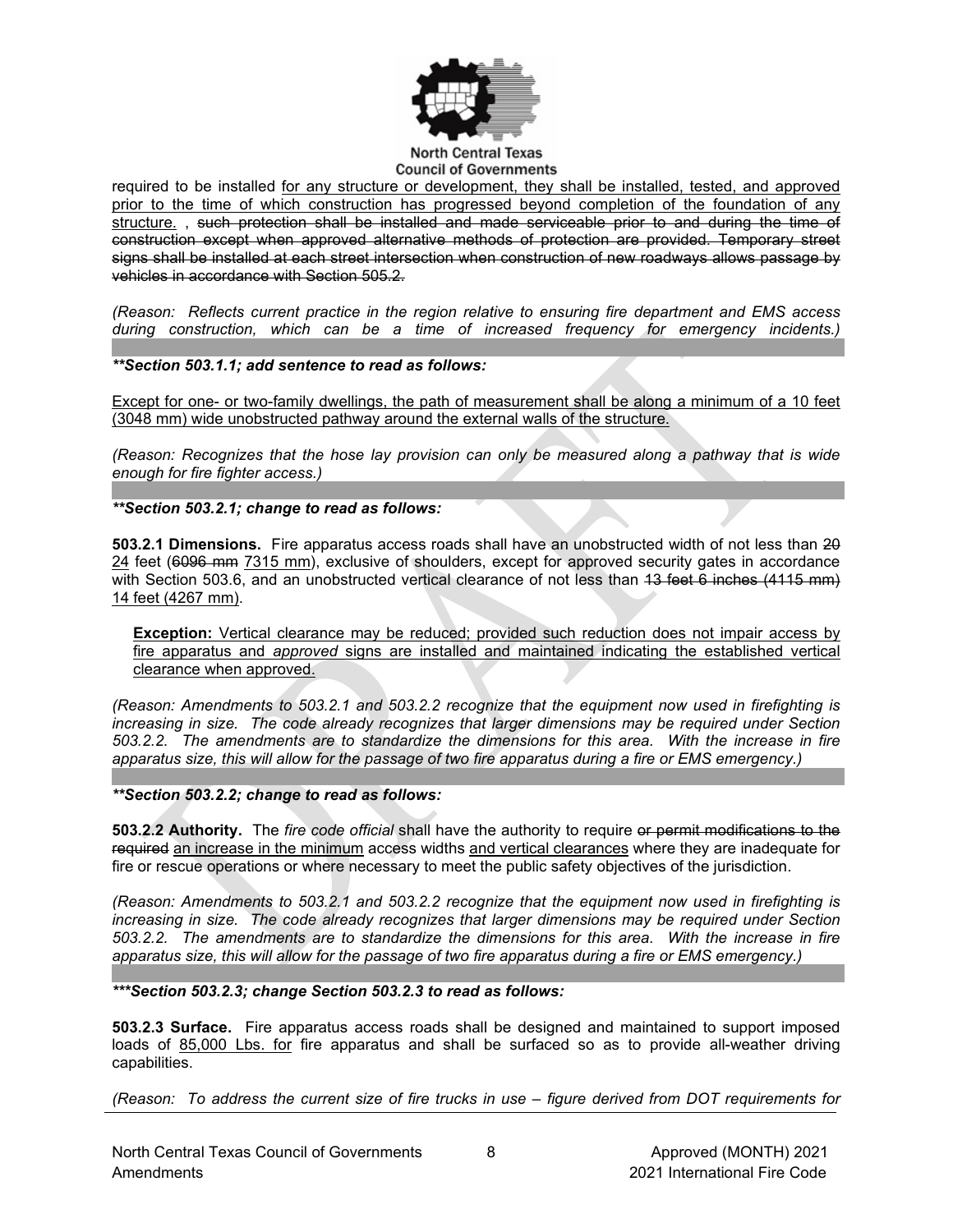

#### **North Central Texas Council of Governments**

required to be installed for any structure or development, they shall be installed, tested, and approved prior to the time of which construction has progressed beyond completion of the foundation of any structure. , such protection shall be installed and made serviceable prior to and during the time of construction except when approved alternative methods of protection are provided. Temporary street signs shall be installed at each street intersection when construction of new roadways allows passage by vehicles in accordance with Section 505.2.

*(Reason: Reflects current practice in the region relative to ensuring fire department and EMS access during construction, which can be a time of increased frequency for emergency incidents.)*

*\*\*Section 503.1.1; add sentence to read as follows:*

Except for one- or two-family dwellings, the path of measurement shall be along a minimum of a 10 feet (3048 mm) wide unobstructed pathway around the external walls of the structure.

*(Reason: Recognizes that the hose lay provision can only be measured along a pathway that is wide enough for fire fighter access.)*

*\*\*Section 503.2.1; change to read as follows:*

**503.2.1 Dimensions.** Fire apparatus access roads shall have an unobstructed width of not less than 20 24 feet (6096 mm 7315 mm), exclusive of shoulders, except for approved security gates in accordance with Section 503.6, and an unobstructed vertical clearance of not less than 43 feet 6 inches (4115 mm) 14 feet (4267 mm).

**Exception:** Vertical clearance may be reduced; provided such reduction does not impair access by fire apparatus and *approved* signs are installed and maintained indicating the established vertical clearance when approved.

*(Reason: Amendments to 503.2.1 and 503.2.2 recognize that the equipment now used in firefighting is increasing in size. The code already recognizes that larger dimensions may be required under Section 503.2.2. The amendments are to standardize the dimensions for this area. With the increase in fire apparatus size, this will allow for the passage of two fire apparatus during a fire or EMS emergency.)*

*\*\*Section 503.2.2; change to read as follows:*

**503.2.2 Authority.** The *fire code official* shall have the authority to require or permit modifications to the required an increase in the minimum access widths and vertical clearances where they are inadequate for fire or rescue operations or where necessary to meet the public safety objectives of the jurisdiction.

*(Reason: Amendments to 503.2.1 and 503.2.2 recognize that the equipment now used in firefighting is increasing in size. The code already recognizes that larger dimensions may be required under Section 503.2.2. The amendments are to standardize the dimensions for this area. With the increase in fire apparatus size, this will allow for the passage of two fire apparatus during a fire or EMS emergency.)*

*\*\*\*Section 503.2.3; change Section 503.2.3 to read as follows:*

**503.2.3 Surface.** Fire apparatus access roads shall be designed and maintained to support imposed loads of 85,000 Lbs. for fire apparatus and shall be surfaced so as to provide all-weather driving capabilities.

*(Reason: To address the current size of fire trucks in use – figure derived from DOT requirements for*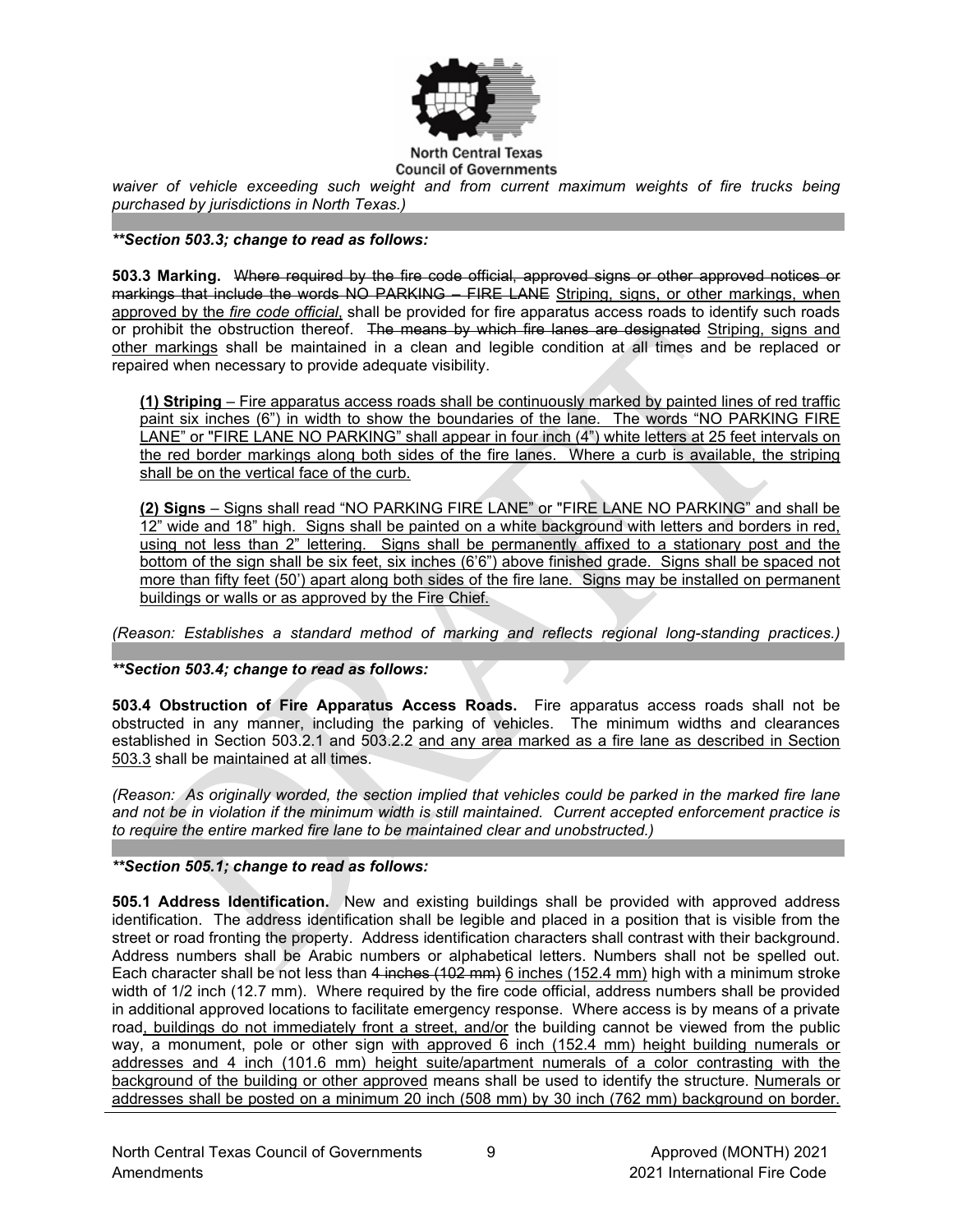

### **Council of Governments**

*waiver of vehicle exceeding such weight and from current maximum weights of fire trucks being purchased by jurisdictions in North Texas.)*

## *\*\*Section 503.3; change to read as follows:*

**503.3 Marking.** Where required by the fire code official, approved signs or other approved notices or markings that include the words NO PARKING – FIRE LANE Striping, signs, or other markings, when approved by the *fire code official*, shall be provided for fire apparatus access roads to identify such roads or prohibit the obstruction thereof. The means by which fire lanes are designated Striping, signs and other markings shall be maintained in a clean and legible condition at all times and be replaced or repaired when necessary to provide adequate visibility.

**(1) Striping** – Fire apparatus access roads shall be continuously marked by painted lines of red traffic paint six inches (6") in width to show the boundaries of the lane. The words "NO PARKING FIRE LANE" or "FIRE LANE NO PARKING" shall appear in four inch (4") white letters at 25 feet intervals on the red border markings along both sides of the fire lanes. Where a curb is available, the striping shall be on the vertical face of the curb.

**(2) Signs** – Signs shall read "NO PARKING FIRE LANE" or "FIRE LANE NO PARKING" and shall be 12" wide and 18" high. Signs shall be painted on a white background with letters and borders in red, using not less than 2" lettering. Signs shall be permanently affixed to a stationary post and the bottom of the sign shall be six feet, six inches (6'6") above finished grade. Signs shall be spaced not more than fifty feet (50') apart along both sides of the fire lane. Signs may be installed on permanent buildings or walls or as approved by the Fire Chief.

*(Reason: Establishes a standard method of marking and reflects regional long-standing practices.)*

*\*\*Section 503.4; change to read as follows:*

**503.4 Obstruction of Fire Apparatus Access Roads.** Fire apparatus access roads shall not be obstructed in any manner, including the parking of vehicles. The minimum widths and clearances established in Section 503.2.1 and 503.2.2 and any area marked as a fire lane as described in Section 503.3 shall be maintained at all times.

*(Reason: As originally worded, the section implied that vehicles could be parked in the marked fire lane and not be in violation if the minimum width is still maintained. Current accepted enforcement practice is to require the entire marked fire lane to be maintained clear and unobstructed.)*

#### *\*\*Section 505.1; change to read as follows:*

**505.1 Address Identification.** New and existing buildings shall be provided with approved address identification. The address identification shall be legible and placed in a position that is visible from the street or road fronting the property. Address identification characters shall contrast with their background. Address numbers shall be Arabic numbers or alphabetical letters. Numbers shall not be spelled out. Each character shall be not less than 4 inches (102 mm) 6 inches (152.4 mm) high with a minimum stroke width of 1/2 inch (12.7 mm). Where required by the fire code official, address numbers shall be provided in additional approved locations to facilitate emergency response. Where access is by means of a private road, buildings do not immediately front a street, and/or the building cannot be viewed from the public way, a monument, pole or other sign with approved  $\overline{6}$  inch (152.4 mm) height building numerals or addresses and 4 inch (101.6 mm) height suite/apartment numerals of a color contrasting with the background of the building or other approved means shall be used to identify the structure. Numerals or addresses shall be posted on a minimum 20 inch (508 mm) by 30 inch (762 mm) background on border.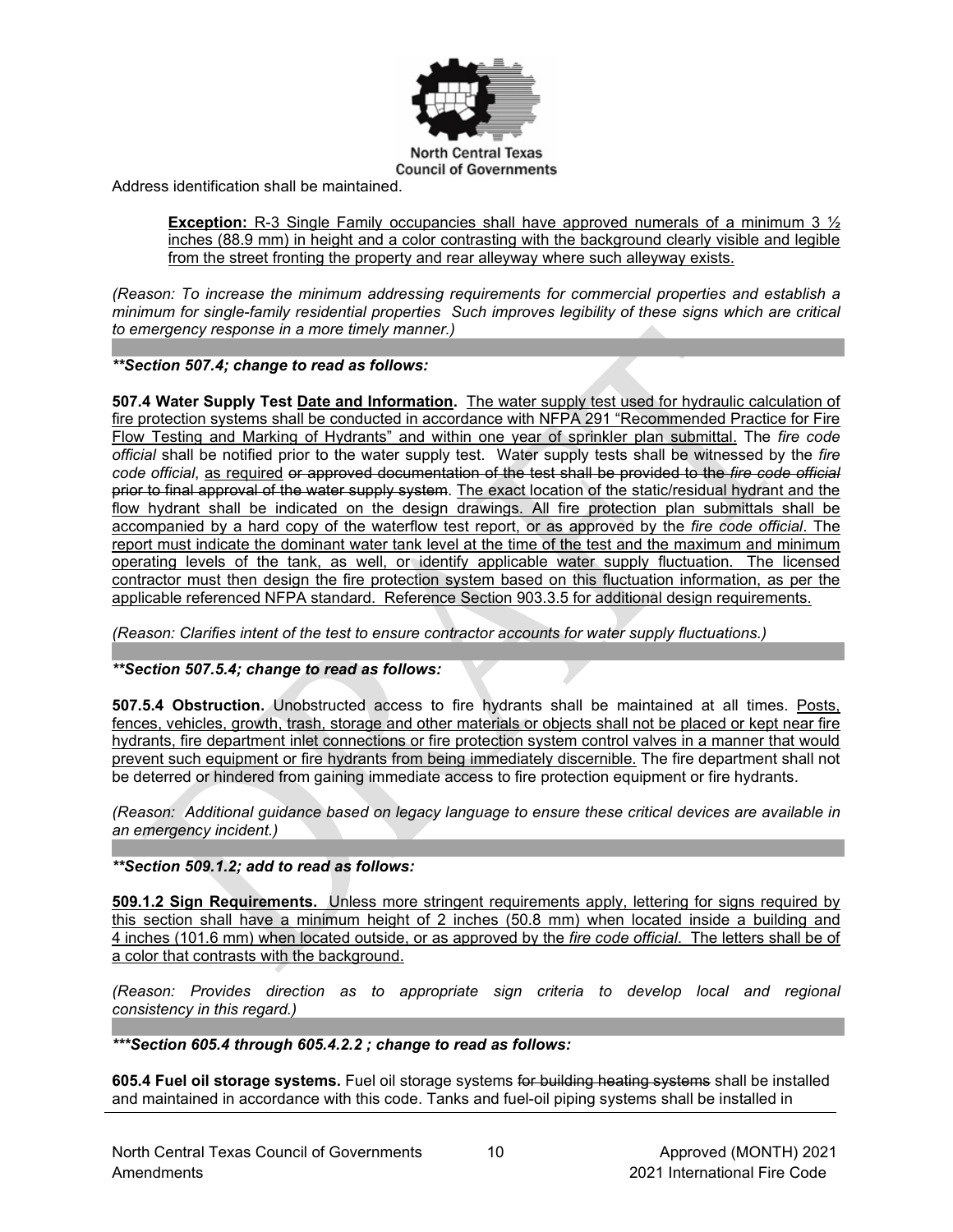

Address identification shall be maintained.

**Exception:** R-3 Single Family occupancies shall have approved numerals of a minimum 3  $\frac{1}{2}$ inches (88.9 mm) in height and a color contrasting with the background clearly visible and legible from the street fronting the property and rear alleyway where such alleyway exists.

*(Reason: To increase the minimum addressing requirements for commercial properties and establish a minimum for single-family residential properties Such improves legibility of these signs which are critical to emergency response in a more timely manner.)*

*\*\*Section 507.4; change to read as follows:*

**507.4 Water Supply Test Date and Information.** The water supply test used for hydraulic calculation of fire protection systems shall be conducted in accordance with NFPA 291 "Recommended Practice for Fire Flow Testing and Marking of Hydrants" and within one year of sprinkler plan submittal. The *fire code official* shall be notified prior to the water supply test. Water supply tests shall be witnessed by the *fire code official*, as required or approved documentation of the test shall be provided to the *fire code official* prior to final approval of the water supply system. The exact location of the static/residual hydrant and the flow hydrant shall be indicated on the design drawings. All fire protection plan submittals shall be accompanied by a hard copy of the waterflow test report, or as approved by the *fire code official*. The report must indicate the dominant water tank level at the time of the test and the maximum and minimum operating levels of the tank, as well, or identify applicable water supply fluctuation. The licensed contractor must then design the fire protection system based on this fluctuation information, as per the applicable referenced NFPA standard. Reference Section 903.3.5 for additional design requirements.

*(Reason: Clarifies intent of the test to ensure contractor accounts for water supply fluctuations.)*

# *\*\*Section 507.5.4; change to read as follows:*

**507.5.4 Obstruction.** Unobstructed access to fire hydrants shall be maintained at all times. Posts, fences, vehicles, growth, trash, storage and other materials or objects shall not be placed or kept near fire hydrants, fire department inlet connections or fire protection system control valves in a manner that would prevent such equipment or fire hydrants from being immediately discernible. The fire department shall not be deterred or hindered from gaining immediate access to fire protection equipment or fire hydrants.

*(Reason: Additional guidance based on legacy language to ensure these critical devices are available in an emergency incident.)*

*\*\*Section 509.1.2; add to read as follows:*

**509.1.2 Sign Requirements.** Unless more stringent requirements apply, lettering for signs required by this section shall have a minimum height of 2 inches (50.8 mm) when located inside a building and 4 inches (101.6 mm) when located outside, or as approved by the *fire code official*. The letters shall be of a color that contrasts with the background.

*(Reason: Provides direction as to appropriate sign criteria to develop local and regional consistency in this regard.)*

*\*\*\*Section 605.4 through 605.4.2.2 ; change to read as follows:*

**605.4 Fuel oil storage systems.** Fuel oil storage systems for building heating systems shall be installed and maintained in accordance with this code. Tanks and fuel-oil piping systems shall be installed in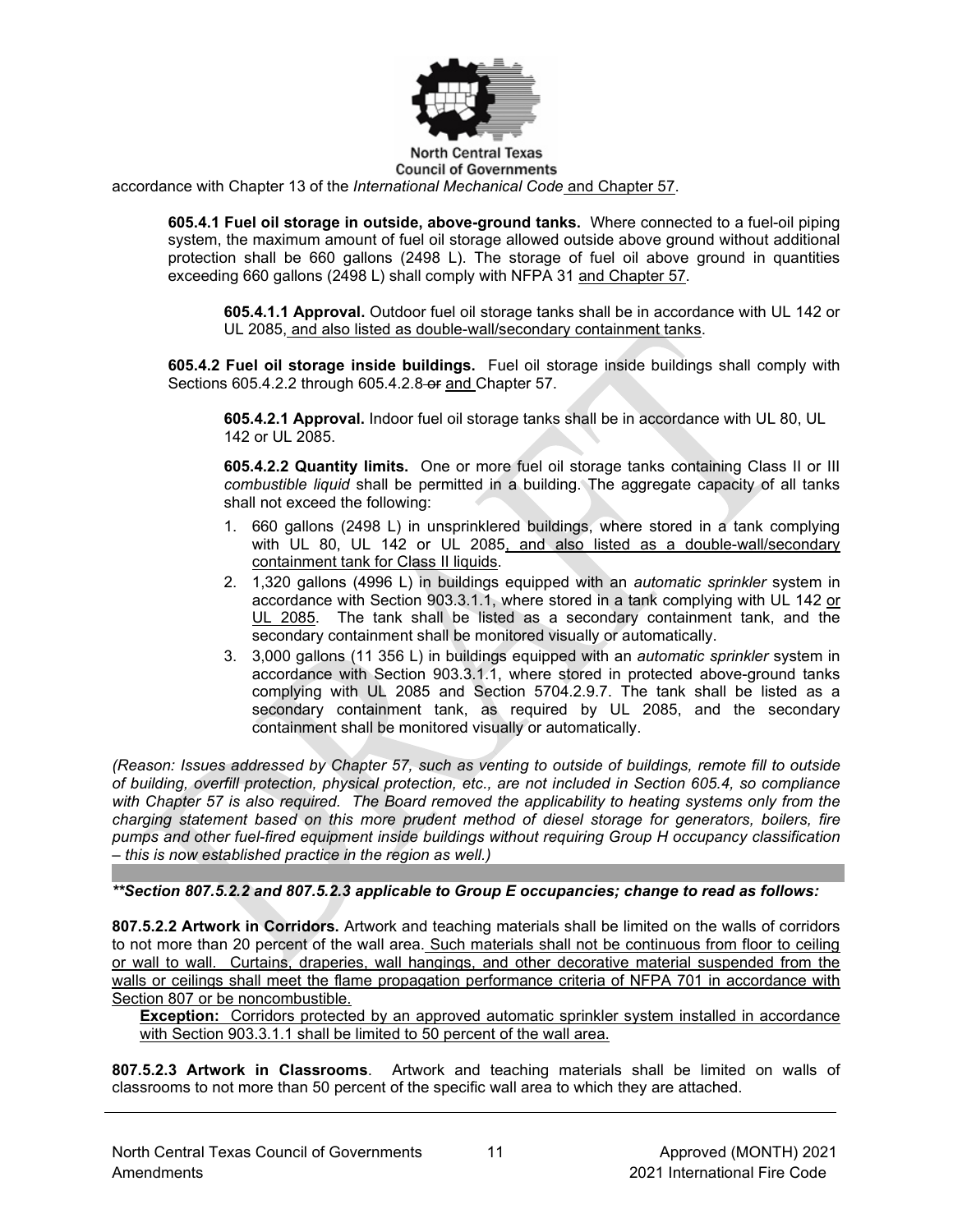

#### **North Central Texas Council of Governments**

accordance with Chapter 13 of the *International Mechanical Code* and Chapter 57.

**605.4.1 Fuel oil storage in outside, above-ground tanks.** Where connected to a fuel-oil piping system, the maximum amount of fuel oil storage allowed outside above ground without additional protection shall be 660 gallons (2498 L). The storage of fuel oil above ground in quantities exceeding 660 gallons (2498 L) shall comply with NFPA 31 and Chapter 57.

**605.4.1.1 Approval.** Outdoor fuel oil storage tanks shall be in accordance with UL 142 or UL 2085, and also listed as double-wall/secondary containment tanks.

**605.4.2 Fuel oil storage inside buildings.** Fuel oil storage inside buildings shall comply with Sections [605.4.2.2](https://codes.iccsafe.org/premium/document/linkit/IFC2018_Pt03_Ch06_Sec603.3.2.1/988/11566598/text-id-11566635) through 605.4.2.8 or and Chapter 57.

**605.4.2.1 Approval.** Indoor fuel oil storage tanks shall be in accordance with UL 80, UL 142 or UL 2085.

**605.4.2.2 Quantity limits.** One or more fuel oil storage tanks containing Class II or III *combustible liquid* shall be permitted in a building. The aggregate capacity of all tanks shall not exceed the following:

- 1. 660 gallons (2498 L) in unsprinklered buildings, where stored in a tank complying with [UL 80,](https://codes.iccsafe.org/premium/document/linkit/IFC2018_Pt06_Ch80_PromUL_RefStd80_07/988/11566598/text-id-11566636) [UL 142](https://codes.iccsafe.org/premium/document/linkit/IFC2018_Pt06_Ch80_PromUL_RefStd142_06/988/11566598/text-id-11566636) or [UL 2085,](https://codes.iccsafe.org/premium/document/linkit/IFC2018_Pt06_Ch80_PromUL_RefStd2085_97/988/11566598/text-id-11566636) and also listed as a double-wall/secondary containment tank for Class II liquids.
- 2. 1,320 gallons (4996 L) in buildings equipped with an *automatic sprinkler* system in accordance with [Section 903.3.1.1,](https://codes.iccsafe.org/premium/document/linkit/IFC2018_Pt03_Ch09_Sec903.3.1.1/988/11566598/text-id-11566636) where stored in a tank complying with [UL 142](https://codes.iccsafe.org/premium/document/linkit/IFC2018_Pt06_Ch80_PromUL_RefStd142_06/988/11566598/text-id-11566636) or UL 2085. The tank shall be listed as a secondary containment tank, and the secondary containment shall be monitored visually or automatically.
- 3. 3,000 gallons (11 356 L) in buildings equipped with an *automatic sprinkler* system in accordance with [Section 903.3.1.1,](https://codes.iccsafe.org/premium/document/linkit/IFC2018_Pt03_Ch09_Sec903.3.1.1/988/11566598/text-id-11566636) where stored in protected above-ground tanks complying with [UL 2085](https://codes.iccsafe.org/premium/document/linkit/IFC2018_Pt06_Ch80_PromUL_RefStd2085_97/988/11566598/text-id-11566636) and [Section 5704.2.9.7.](https://codes.iccsafe.org/premium/document/linkit/IFC2018_Pt05_Ch57_Sec5704.2.9.7/988/11566598/text-id-11566636) The tank shall be listed as a secondary containment tank, as required by UL 2085, and the secondary containment shall be monitored visually or automatically.

*(Reason: Issues addressed by Chapter 57, such as venting to outside of buildings, remote fill to outside of building, overfill protection, physical protection, etc., are not included in Section 605.4, so compliance with Chapter 57 is also required. The Board removed the applicability to heating systems only from the charging statement based on this more prudent method of diesel storage for generators, boilers, fire pumps and other fuel-fired equipment inside buildings without requiring Group H occupancy classification – this is now established practice in the region as well.)*

*\*\*Section 807.5.2.2 and 807.5.2.3 applicable to Group E occupancies; change to read as follows:*

**807.5.2.2 Artwork in Corridors.** Artwork and teaching materials shall be limited on the walls of corridors to not more than 20 percent of the wall area. Such materials shall not be continuous from floor to ceiling or wall to wall. Curtains, draperies, wall hangings, and other decorative material suspended from the walls or ceilings shall meet the flame propagation performance criteria of NFPA 701 in accordance with Section 807 or be noncombustible.

**Exception:** Corridors protected by an approved automatic sprinkler system installed in accordance with Section 903.3.1.1 shall be limited to 50 percent of the wall area.

**807.5.2.3 Artwork in Classrooms**. Artwork and teaching materials shall be limited on walls of classrooms to not more than 50 percent of the specific wall area to which they are attached.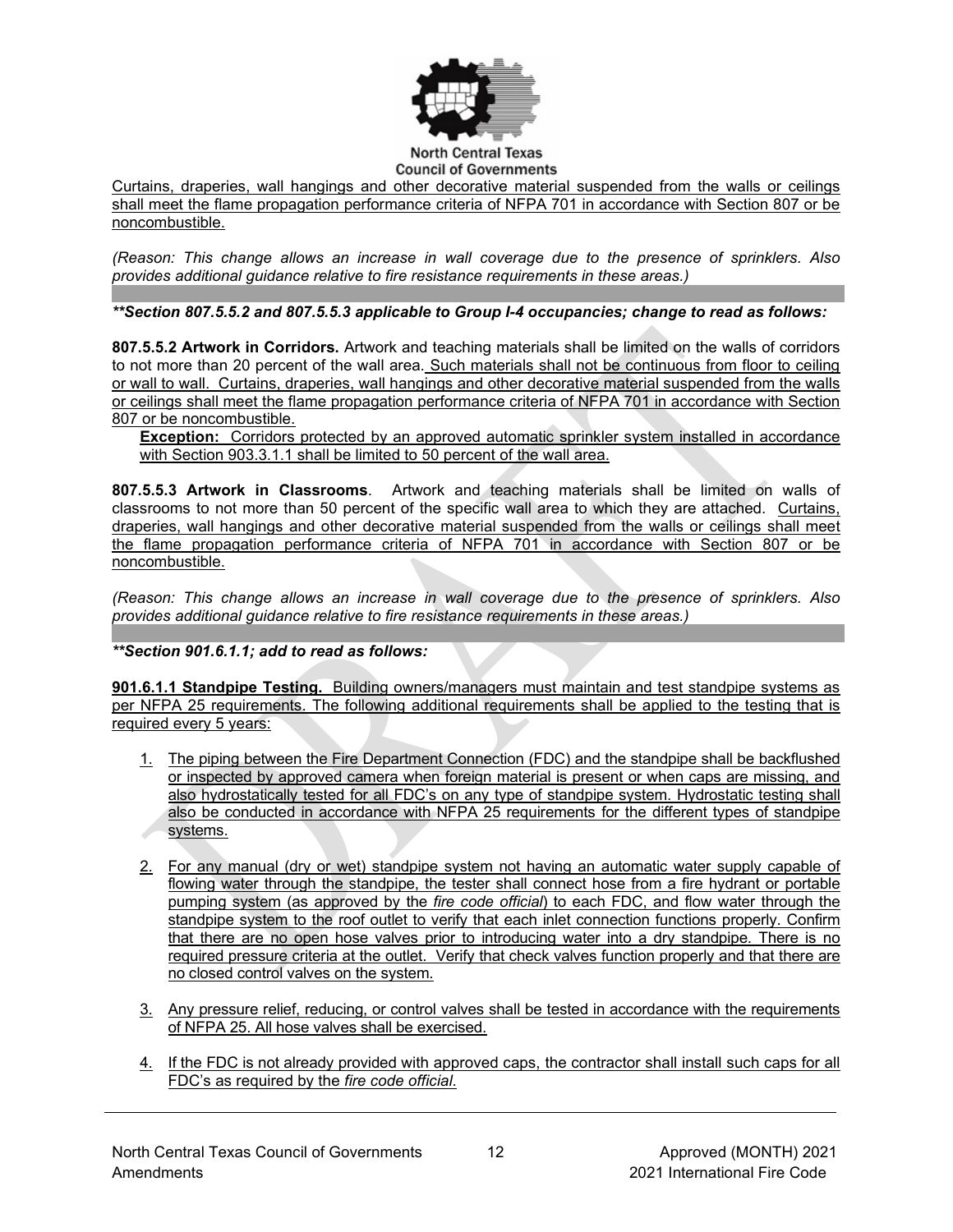

Curtains, draperies, wall hangings and other decorative material suspended from the walls or ceilings shall meet the flame propagation performance criteria of NFPA 701 in accordance with Section 807 or be noncombustible.

*(Reason: This change allows an increase in wall coverage due to the presence of sprinklers. Also provides additional guidance relative to fire resistance requirements in these areas.)*

*\*\*Section 807.5.5.2 and 807.5.5.3 applicable to Group I-4 occupancies; change to read as follows:*

**807.5.5.2 Artwork in Corridors.** Artwork and teaching materials shall be limited on the walls of corridors to not more than 20 percent of the wall area. Such materials shall not be continuous from floor to ceiling or wall to wall. Curtains, draperies, wall hangings and other decorative material suspended from the walls or ceilings shall meet the flame propagation performance criteria of NFPA 701 in accordance with Section 807 or be noncombustible.

**Exception:** Corridors protected by an approved automatic sprinkler system installed in accordance with Section 903.3.1.1 shall be limited to 50 percent of the wall area.

**807.5.5.3 Artwork in Classrooms**. Artwork and teaching materials shall be limited on walls of classrooms to not more than 50 percent of the specific wall area to which they are attached. Curtains, draperies, wall hangings and other decorative material suspended from the walls or ceilings shall meet the flame propagation performance criteria of NFPA 701 in accordance with Section 807 or be noncombustible.

*(Reason: This change allows an increase in wall coverage due to the presence of sprinklers. Also provides additional guidance relative to fire resistance requirements in these areas.)*

*\*\*Section 901.6.1.1; add to read as follows:*

**901.6.1.1 Standpipe Testing.** Building owners/managers must maintain and test standpipe systems as per NFPA 25 requirements. The following additional requirements shall be applied to the testing that is required every 5 years:

- 1. The piping between the Fire Department Connection (FDC) and the standpipe shall be backflushed or inspected by approved camera when foreign material is present or when caps are missing, and also hydrostatically tested for all FDC's on any type of standpipe system. Hydrostatic testing shall also be conducted in accordance with NFPA 25 requirements for the different types of standpipe systems.
- 2. For any manual (dry or wet) standpipe system not having an automatic water supply capable of flowing water through the standpipe, the tester shall connect hose from a fire hydrant or portable pumping system (as approved by the *fire code official*) to each FDC, and flow water through the standpipe system to the roof outlet to verify that each inlet connection functions properly. Confirm that there are no open hose valves prior to introducing water into a dry standpipe. There is no required pressure criteria at the outlet. Verify that check valves function properly and that there are no closed control valves on the system.
- 3. Any pressure relief, reducing, or control valves shall be tested in accordance with the requirements of NFPA 25. All hose valves shall be exercised.
- 4. If the FDC is not already provided with approved caps, the contractor shall install such caps for all FDC's as required by the *fire code official*.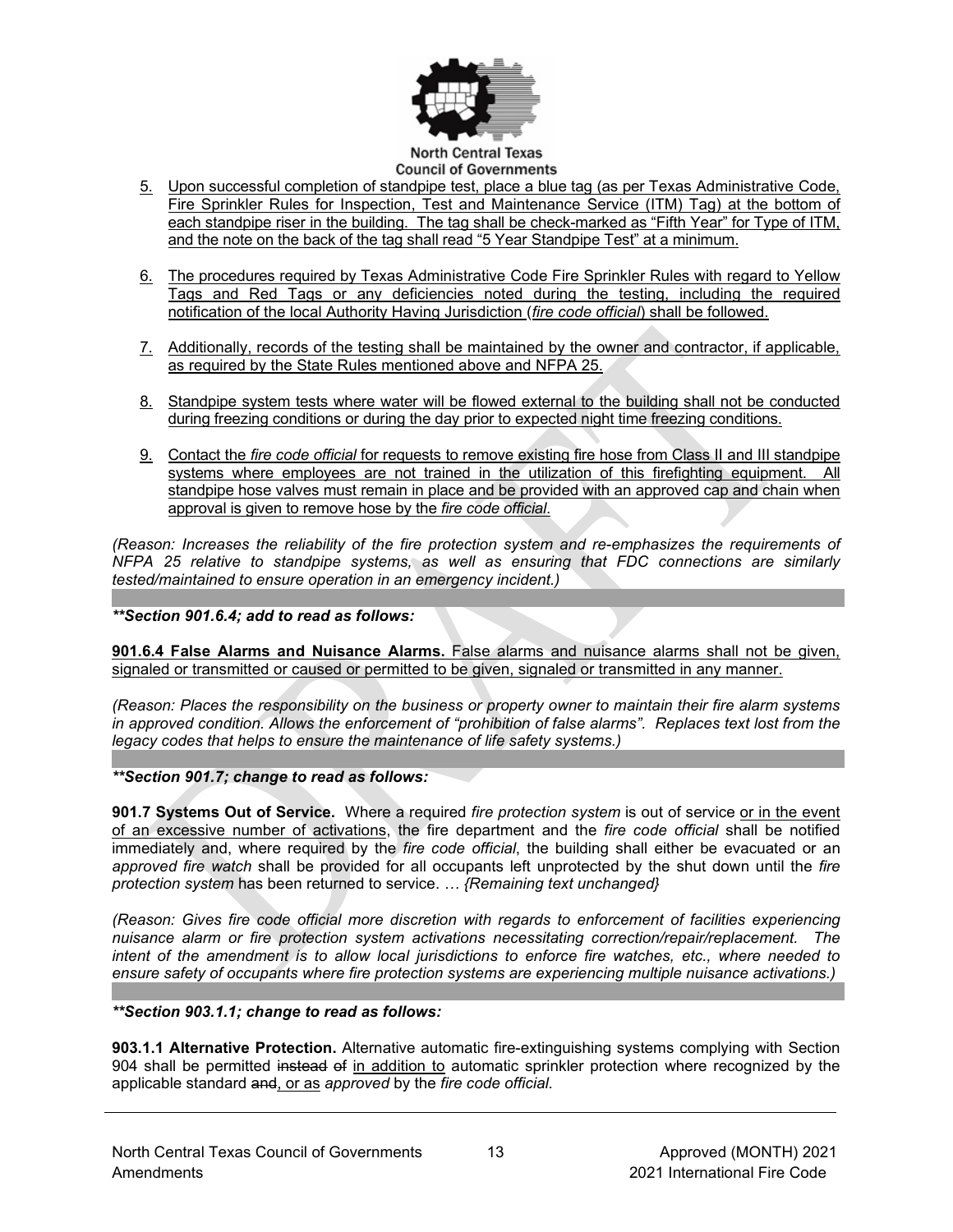

#### **Council of Governments**

- 5. Upon successful completion of standpipe test, place a blue tag (as per Texas Administrative Code, Fire Sprinkler Rules for Inspection, Test and Maintenance Service (ITM) Tag) at the bottom of each standpipe riser in the building. The tag shall be check-marked as "Fifth Year" for Type of ITM, and the note on the back of the tag shall read "5 Year Standpipe Test" at a minimum.
- 6. The procedures required by Texas Administrative Code Fire Sprinkler Rules with regard to Yellow Tags and Red Tags or any deficiencies noted during the testing, including the required notification of the local Authority Having Jurisdiction (*fire code official*) shall be followed.
- 7. Additionally, records of the testing shall be maintained by the owner and contractor, if applicable, as required by the State Rules mentioned above and NFPA 25.
- 8. Standpipe system tests where water will be flowed external to the building shall not be conducted during freezing conditions or during the day prior to expected night time freezing conditions.
- 9. Contact the *fire code official* for requests to remove existing fire hose from Class II and III standpipe systems where employees are not trained in the utilization of this firefighting equipment. All standpipe hose valves must remain in place and be provided with an approved cap and chain when approval is given to remove hose by the *fire code official*.

*(Reason: Increases the reliability of the fire protection system and re-emphasizes the requirements of NFPA 25 relative to standpipe systems, as well as ensuring that FDC connections are similarly tested/maintained to ensure operation in an emergency incident.)*

#### *\*\*Section 901.6.4; add to read as follows:*

**901.6.4 False Alarms and Nuisance Alarms.** False alarms and nuisance alarms shall not be given, signaled or transmitted or caused or permitted to be given, signaled or transmitted in any manner.

*(Reason: Places the responsibility on the business or property owner to maintain their fire alarm systems in approved condition. Allows the enforcement of "prohibition of false alarms". Replaces text lost from the legacy codes that helps to ensure the maintenance of life safety systems.)*

#### *\*\*Section 901.7; change to read as follows:*

**901.7 Systems Out of Service.** Where a required *fire protection system* is out of service or in the event of an excessive number of activations, the fire department and the *fire code official* shall be notified immediately and, where required by the *fire code official*, the building shall either be evacuated or an *approved fire watch* shall be provided for all occupants left unprotected by the shut down until the *fire protection system* has been returned to service. *… {Remaining text unchanged}*

*(Reason: Gives fire code official more discretion with regards to enforcement of facilities experiencing nuisance alarm or fire protection system activations necessitating correction/repair/replacement. The intent of the amendment is to allow local jurisdictions to enforce fire watches, etc., where needed to ensure safety of occupants where fire protection systems are experiencing multiple nuisance activations.)*

#### *\*\*Section 903.1.1; change to read as follows:*

**903.1.1 Alternative Protection.** Alternative automatic fire-extinguishing systems complying with Section 904 shall be permitted instead of in addition to automatic sprinkler protection where recognized by the applicable standard and, or as *approved* by the *fire code official*.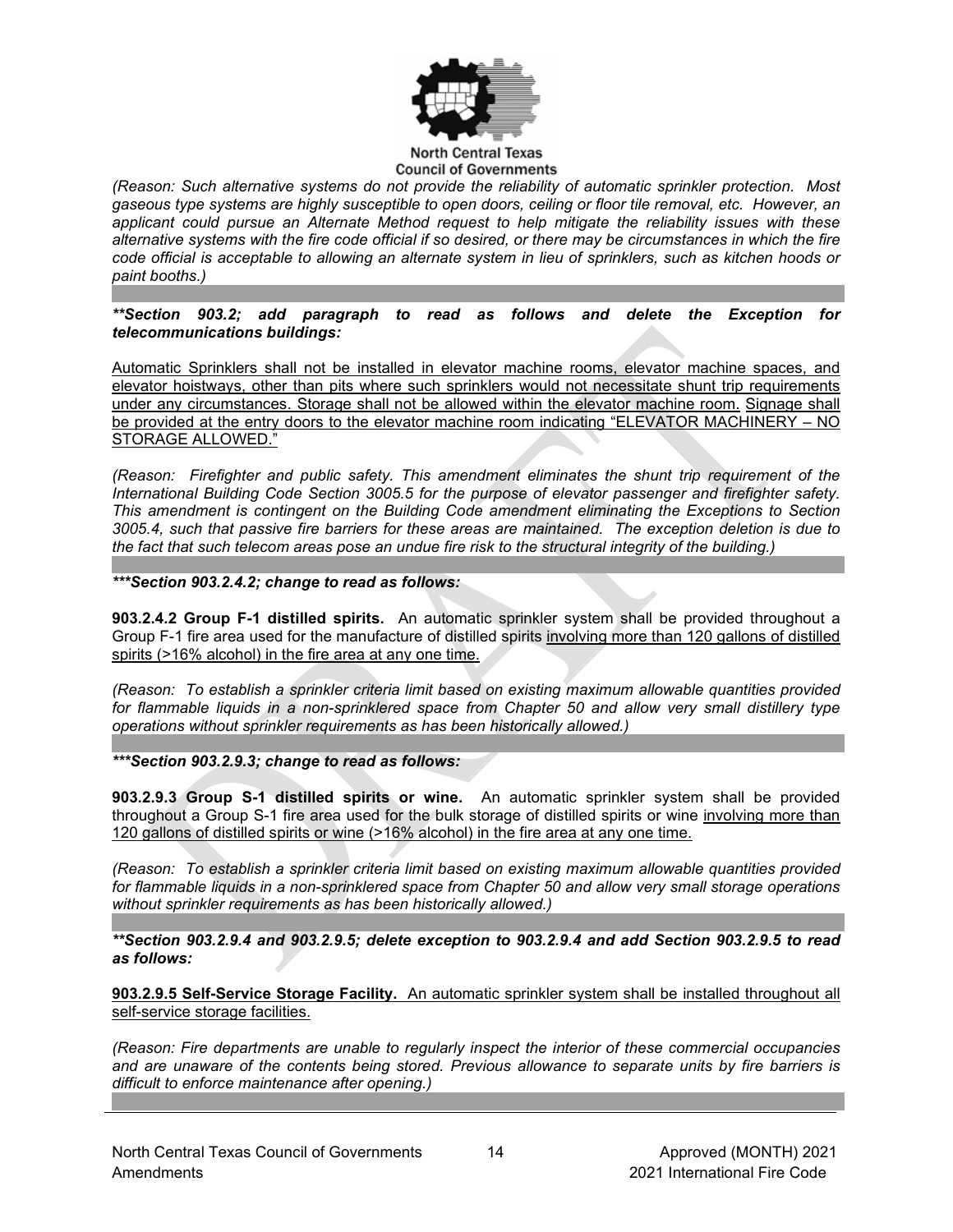

#### **North Central Texas Council of Governments**

*(Reason: Such alternative systems do not provide the reliability of automatic sprinkler protection. Most gaseous type systems are highly susceptible to open doors, ceiling or floor tile removal, etc. However, an applicant could pursue an Alternate Method request to help mitigate the reliability issues with these alternative systems with the fire code official if so desired, or there may be circumstances in which the fire code official is acceptable to allowing an alternate system in lieu of sprinklers, such as kitchen hoods or paint booths.)*

*\*\*Section 903.2; add paragraph to read as follows and delete the Exception for telecommunications buildings:*

Automatic Sprinklers shall not be installed in elevator machine rooms, elevator machine spaces, and elevator hoistways, other than pits where such sprinklers would not necessitate shunt trip requirements under any circumstances. Storage shall not be allowed within the elevator machine room. Signage shall be provided at the entry doors to the elevator machine room indicating "ELEVATOR MACHINERY – NO STORAGE ALLOWED."

*(Reason: Firefighter and public safety. This amendment eliminates the shunt trip requirement of the International Building Code Section 3005.5 for the purpose of elevator passenger and firefighter safety. This amendment is contingent on the Building Code amendment eliminating the Exceptions to Section 3005.4, such that passive fire barriers for these areas are maintained. The exception deletion is due to the fact that such telecom areas pose an undue fire risk to the structural integrity of the building.)*

*\*\*\*Section 903.2.4.2; change to read as follows:*

**903.2.4.2 Group F-1 distilled spirits.** An automatic sprinkler system shall be provided throughout a Group F-1 fire area used for the manufacture of distilled spirits involving more than 120 gallons of distilled spirits (>16% alcohol) in the fire area at any one time.

*(Reason: To establish a sprinkler criteria limit based on existing maximum allowable quantities provided for flammable liquids in a non-sprinklered space from Chapter 50 and allow very small distillery type operations without sprinkler requirements as has been historically allowed.)*

*\*\*\*Section 903.2.9.3; change to read as follows:*

**903.2.9.3 Group S-1 distilled spirits or wine.** An automatic sprinkler system shall be provided throughout a Group S-1 fire area used for the bulk storage of distilled spirits or wine involving more than 120 gallons of distilled spirits or wine (>16% alcohol) in the fire area at any one time.

*(Reason: To establish a sprinkler criteria limit based on existing maximum allowable quantities provided for flammable liquids in a non-sprinklered space from Chapter 50 and allow very small storage operations without sprinkler requirements as has been historically allowed.)*

*\*\*Section 903.2.9.4 and 903.2.9.5; delete exception to 903.2.9.4 and add Section 903.2.9.5 to read as follows:*

**903.2.9.5 Self-Service Storage Facility.** An automatic sprinkler system shall be installed throughout all self-service storage facilities.

*(Reason: Fire departments are unable to regularly inspect the interior of these commercial occupancies and are unaware of the contents being stored. Previous allowance to separate units by fire barriers is difficult to enforce maintenance after opening.)*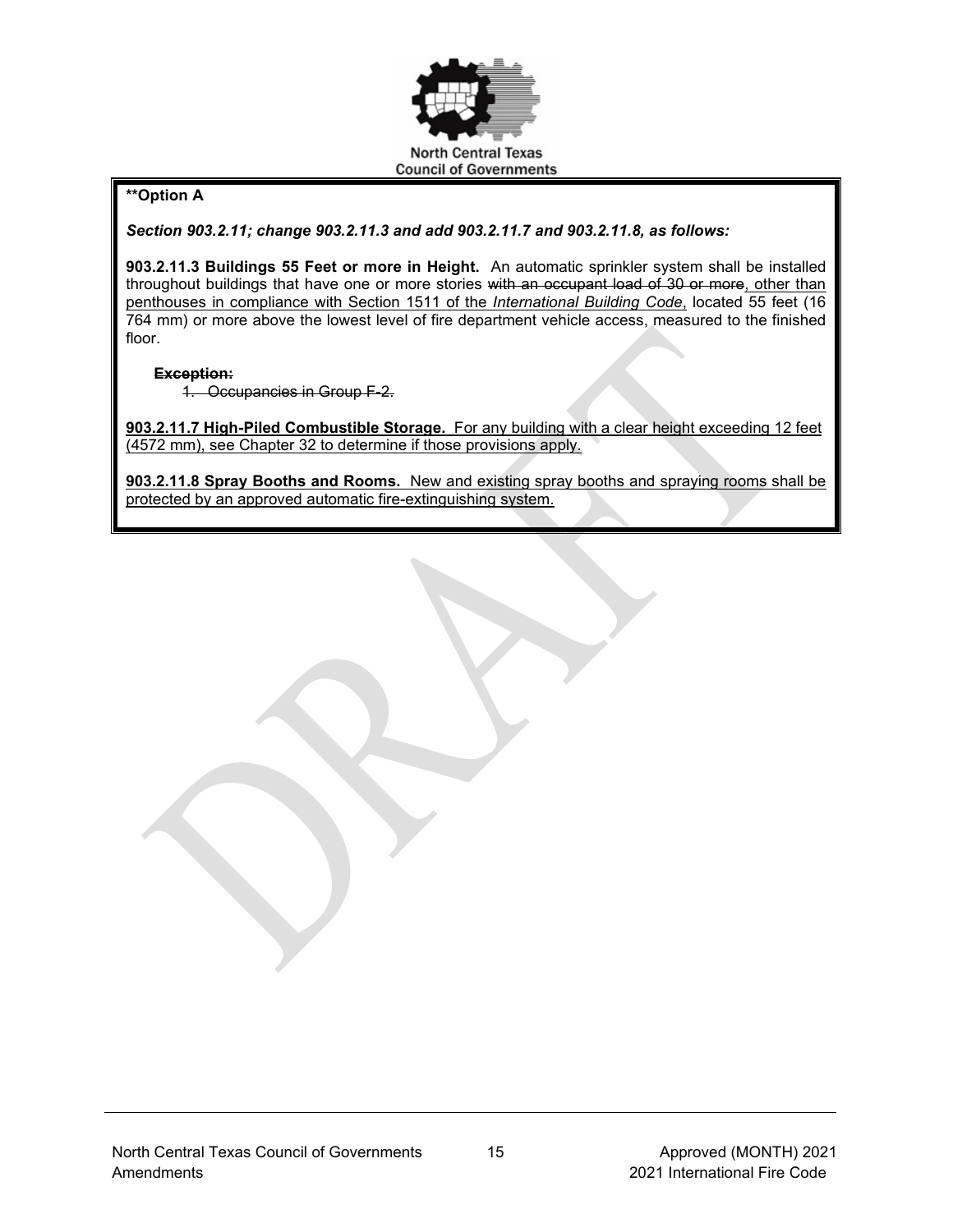

# **\*\*Option A**

*Section 903.2.11; change 903.2.11.3 and add 903.2.11.7 and 903.2.11.8, as follows:*

**903.2.11.3 Buildings 55 Feet or more in Height.** An automatic sprinkler system shall be installed throughout buildings that have one or more stories with an occupant load of 30 or more, other than penthouses in compliance with Section 1511 of the *International Building Code*, located 55 feet (16 764 mm) or more above the lowest level of fire department vehicle access, measured to the finished floor.

## **Exception:**

1. Occupancies in Group F-2.

**903.2.11.7 High-Piled Combustible Storage.** For any building with a clear height exceeding 12 feet (4572 mm), see Chapter 32 to determine if those provisions apply.

**903.2.11.8 Spray Booths and Rooms.** New and existing spray booths and spraying rooms shall be protected by an approved automatic fire-extinguishing system.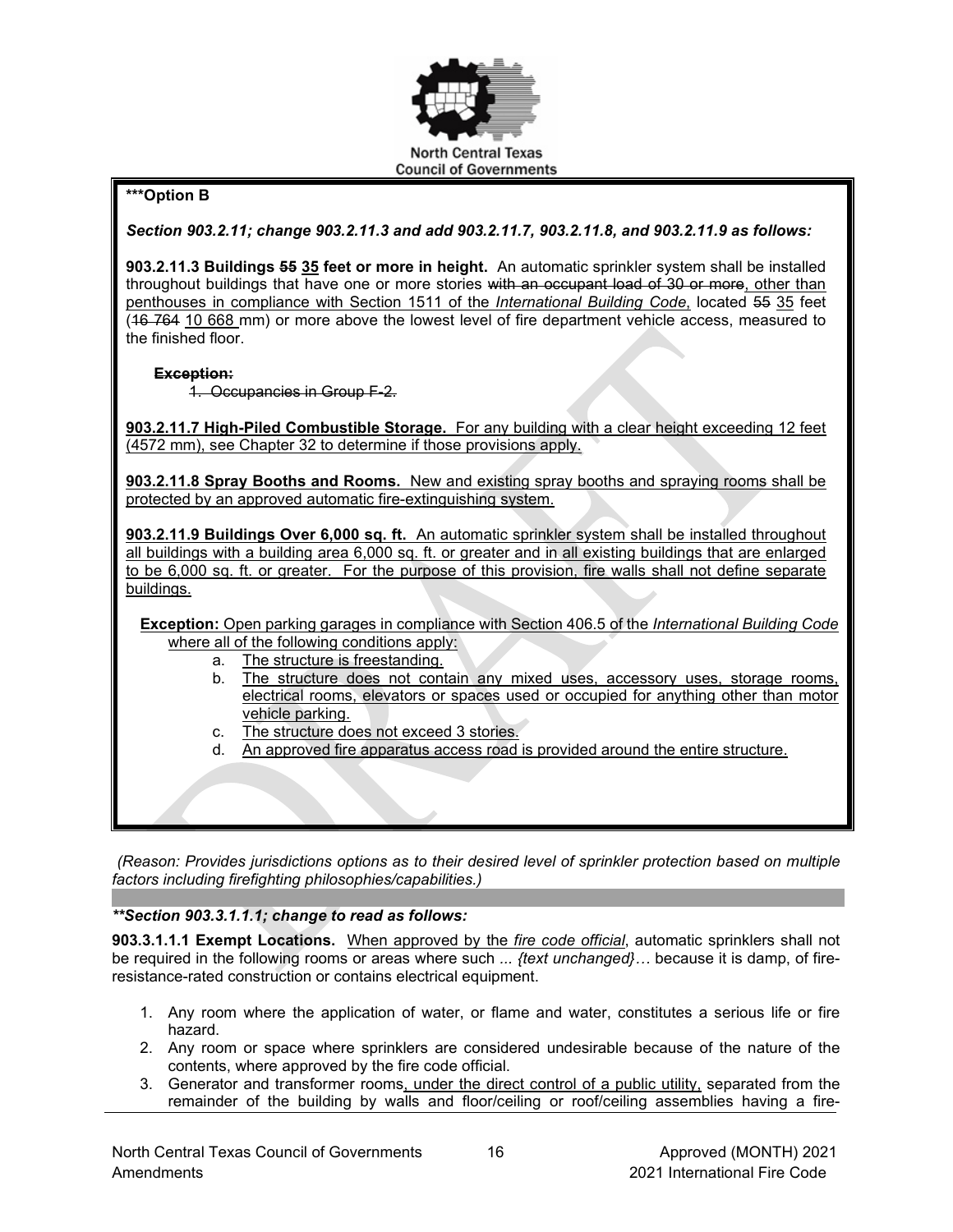

# **\*\*\*Option B**

*Section 903.2.11; change 903.2.11.3 and add 903.2.11.7, 903.2.11.8, and 903.2.11.9 as follows:*

**903.2.11.3 Buildings 55 35 feet or more in height.** An automatic sprinkler system shall be installed throughout buildings that have one or more stories with an occupant load of 30 or more, other than penthouses in compliance with Section 1511 of the *International Building Code*, located 55 35 feet (46.764 10.668 mm) or more above the lowest level of fire department vehicle access, measured to the finished floor.

#### **Exception:**

1. Occupancies in Group F-2.

**903.2.11.7 High-Piled Combustible Storage.** For any building with a clear height exceeding 12 feet (4572 mm), see Chapter 32 to determine if those provisions apply.

**903.2.11.8 Spray Booths and Rooms.** New and existing spray booths and spraying rooms shall be protected by an approved automatic fire-extinguishing system.

**903.2.11.9 Buildings Over 6,000 sq. ft.** An automatic sprinkler system shall be installed throughout all buildings with a building area 6,000 sq. ft. or greater and in all existing buildings that are enlarged to be 6,000 sq. ft. or greater. For the purpose of this provision, fire walls shall not define separate buildings.

**Exception:** Open parking garages in compliance with Section 406.5 of the *International Building Code* where all of the following conditions apply:

- a. The structure is freestanding.
- b. The structure does not contain any mixed uses, accessory uses, storage rooms, electrical rooms, elevators or spaces used or occupied for anything other than motor vehicle parking.
- c. The structure does not exceed 3 stories.
- d. An approved fire apparatus access road is provided around the entire structure.

*(Reason: Provides jurisdictions options as to their desired level of sprinkler protection based on multiple factors including firefighting philosophies/capabilities.)*

# *\*\*Section 903.3.1.1.1; change to read as follows:*

**903.3.1.1.1 Exempt Locations.** When approved by the *fire code official*, automatic sprinklers shall not be required in the following rooms or areas where such *... {text unchanged}…* because it is damp, of fireresistance-rated construction or contains electrical equipment.

- 1. Any room where the application of water, or flame and water, constitutes a serious life or fire hazard.
- 2. Any room or space where sprinklers are considered undesirable because of the nature of the contents, where approved by the fire code official.
- 3. Generator and transformer rooms, under the direct control of a public utility, separated from the remainder of the building by walls and floor/ceiling or roof/ceiling assemblies having a fire-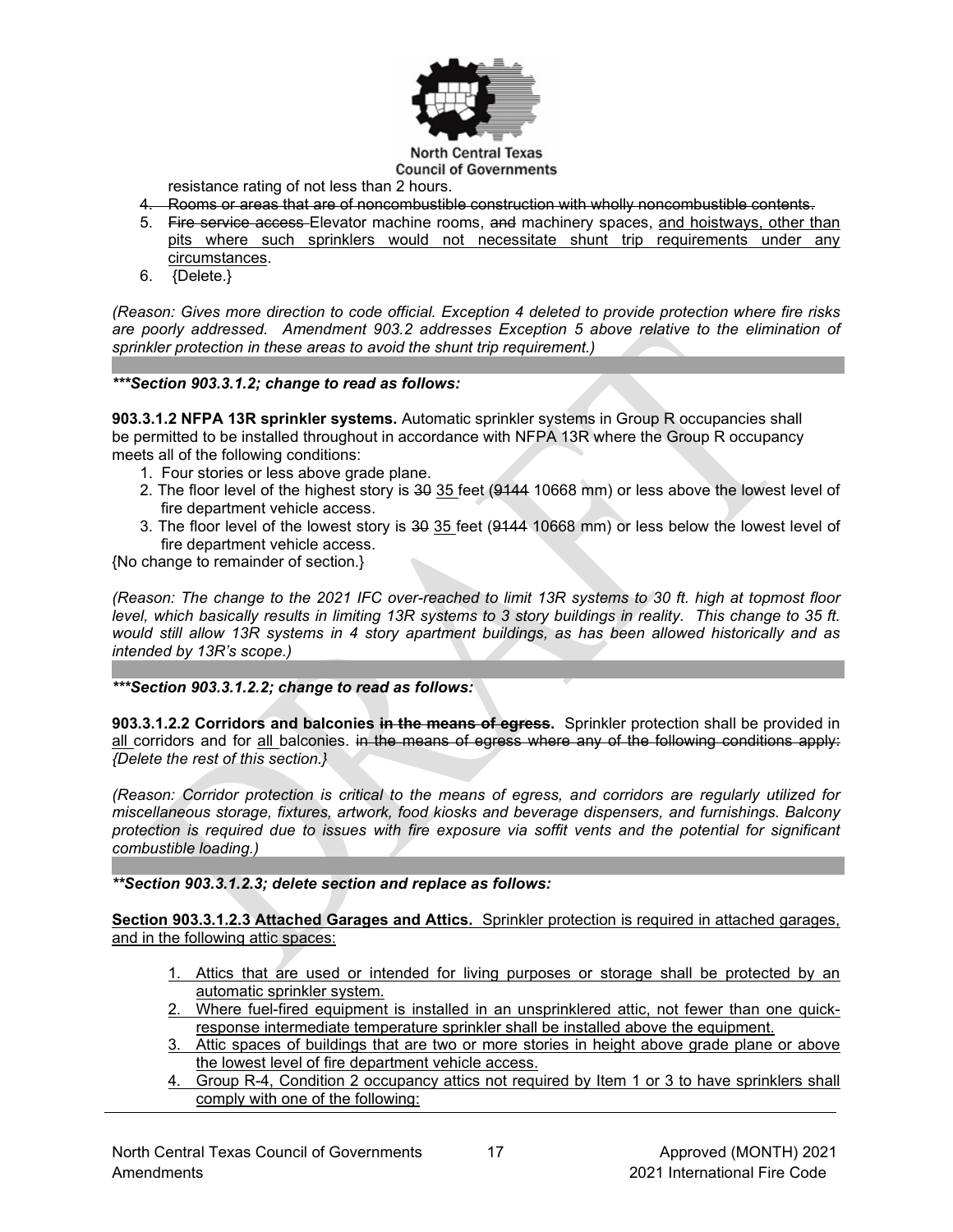

**Council of Governments** resistance rating of not less than 2 hours.

- 4. Rooms or areas that are of noncombustible construction with wholly noncombustible contents.
- 5. Fire service access Elevator machine rooms, and machinery spaces, and hoistways, other than pits where such sprinklers would not necessitate shunt trip requirements under any circumstances.
- 6. {Delete.}

*(Reason: Gives more direction to code official. Exception 4 deleted to provide protection where fire risks are poorly addressed. Amendment 903.2 addresses Exception 5 above relative to the elimination of sprinkler protection in these areas to avoid the shunt trip requirement.)*

#### *\*\*\*Section 903.3.1.2; change to read as follows:*

**903.3.1.2 NFPA 13R sprinkler systems.** Automatic sprinkler systems in Group R occupancies shall be permitted to be installed throughout in accordance with NFPA 13R where the Group R occupancy meets all of the following conditions:

- 1. Four stories or less above grade plane.
- 2. The floor level of the highest story is 30 35 feet (9144 10668 mm) or less above the lowest level of fire department vehicle access.
- 3. The floor level of the lowest story is 30 35 feet (9144 10668 mm) or less below the lowest level of fire department vehicle access.

{No change to remainder of section.}

*(Reason: The change to the 2021 IFC over-reached to limit 13R systems to 30 ft. high at topmost floor level, which basically results in limiting 13R systems to 3 story buildings in reality. This change to 35 ft. would still allow 13R systems in 4 story apartment buildings, as has been allowed historically and as intended by 13R's scope.)*

### *\*\*\*Section 903.3.1.2.2; change to read as follows:*

**903.3.1.2.2 Corridors and balconies in the means of egress.** Sprinkler protection shall be provided in all corridors and for all balconies. in the means of egress where any of the following conditions apply: *{Delete the rest of this section.}*

*(Reason: Corridor protection is critical to the means of egress, and corridors are regularly utilized for miscellaneous storage, fixtures, artwork, food kiosks and beverage dispensers, and furnishings. Balcony protection is required due to issues with fire exposure via soffit vents and the potential for significant combustible loading.)*

#### *\*\*Section 903.3.1.2.3; delete section and replace as follows:*

**Section 903.3.1.2.3 Attached Garages and Attics.** Sprinkler protection is required in attached garages, and in the following attic spaces:

- 1. Attics that are used or intended for living purposes or storage shall be protected by an automatic sprinkler system.
- 2. Where fuel-fired equipment is installed in an unsprinklered attic, not fewer than one quickresponse intermediate temperature sprinkler shall be installed above the equipment.
- 3. Attic spaces of buildings that are two or more stories in height above grade plane or above the lowest level of fire department vehicle access.
- 4. Group R-4, Condition 2 occupancy attics not required by Item 1 or 3 to have sprinklers shall comply with one of the following: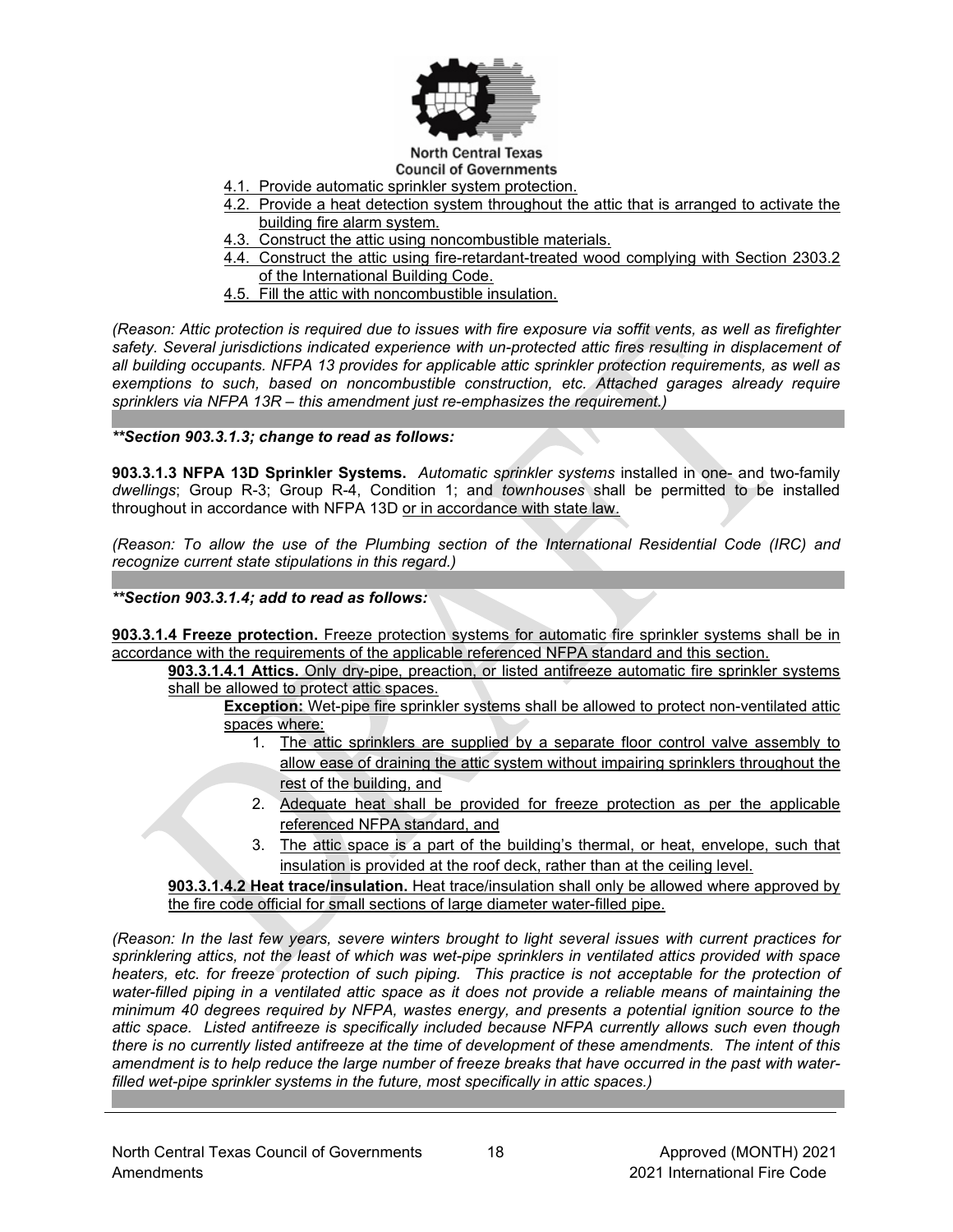

#### **North Central Texas Council of Governments**

- 4.1. Provide automatic sprinkler system protection.
- 4.2. Provide a heat detection system throughout the attic that is arranged to activate the building fire alarm system.
- 4.3. Construct the attic using noncombustible materials.
- 4.4. Construct the attic using fire-retardant-treated wood complying with Section 2303.2 of the International Building Code.
- 4.5. Fill the attic with noncombustible insulation.

*(Reason: Attic protection is required due to issues with fire exposure via soffit vents, as well as firefighter*  safety. Several jurisdictions indicated experience with un-protected attic fires resulting in displacement of *all building occupants. NFPA 13 provides for applicable attic sprinkler protection requirements, as well as exemptions to such, based on noncombustible construction, etc. Attached garages already require sprinklers via NFPA 13R – this amendment just re-emphasizes the requirement.)*

*\*\*Section 903.3.1.3; change to read as follows:*

**903.3.1.3 NFPA 13D Sprinkler Systems.** *Automatic sprinkler systems* installed in one- and two-family *dwellings*; Group R-3; Group R-4, Condition 1; and *townhouses* shall be permitted to be installed throughout in accordance with NFPA 13D or in accordance with state law.

*(Reason: To allow the use of the Plumbing section of the International Residential Code (IRC) and recognize current state stipulations in this regard.)*

*\*\*Section 903.3.1.4; add to read as follows:*

**903.3.1.4 Freeze protection.** Freeze protection systems for automatic fire sprinkler systems shall be in accordance with the requirements of the applicable referenced NFPA standard and this section.

**903.3.1.4.1 Attics.** Only dry-pipe, preaction, or listed antifreeze automatic fire sprinkler systems shall be allowed to protect attic spaces.

**Exception:** Wet-pipe fire sprinkler systems shall be allowed to protect non-ventilated attic spaces where:

- 1. The attic sprinklers are supplied by a separate floor control valve assembly to allow ease of draining the attic system without impairing sprinklers throughout the rest of the building, and
- 2. Adequate heat shall be provided for freeze protection as per the applicable referenced NFPA standard, and
- 3. The attic space is a part of the building's thermal, or heat, envelope, such that insulation is provided at the roof deck, rather than at the ceiling level.

**903.3.1.4.2 Heat trace/insulation.** Heat trace/insulation shall only be allowed where approved by the fire code official for small sections of large diameter water-filled pipe.

*(Reason: In the last few years, severe winters brought to light several issues with current practices for sprinklering attics, not the least of which was wet-pipe sprinklers in ventilated attics provided with space heaters, etc. for freeze protection of such piping. This practice is not acceptable for the protection of water-filled piping in a ventilated attic space as it does not provide a reliable means of maintaining the minimum 40 degrees required by NFPA, wastes energy, and presents a potential ignition source to the attic space. Listed antifreeze is specifically included because NFPA currently allows such even though there is no currently listed antifreeze at the time of development of these amendments. The intent of this amendment is to help reduce the large number of freeze breaks that have occurred in the past with waterfilled wet-pipe sprinkler systems in the future, most specifically in attic spaces.)*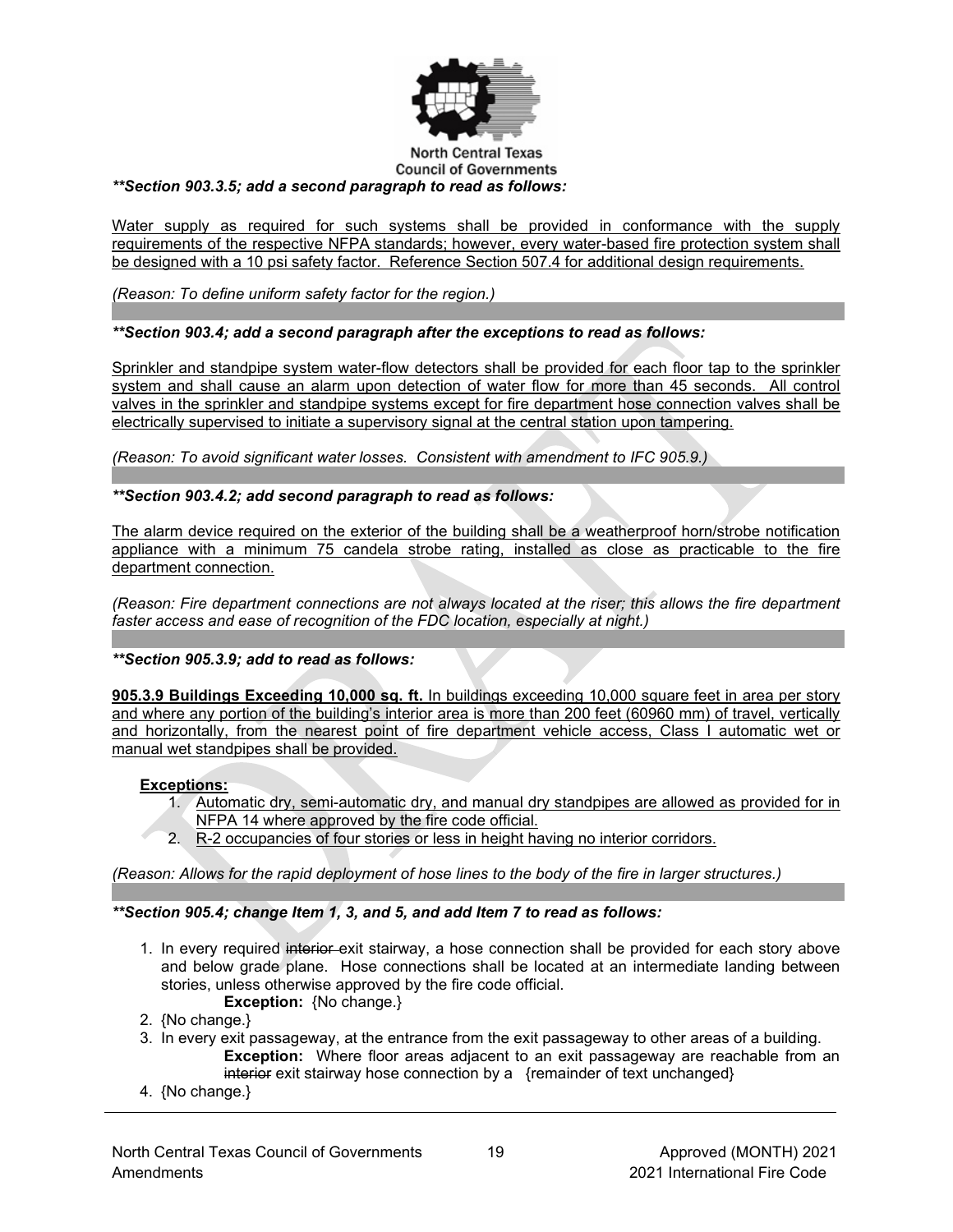

#### **North Central Texas Council of Governments** *\*\*Section 903.3.5; add a second paragraph to read as follows:*

Water supply as required for such systems shall be provided in conformance with the supply requirements of the respective NFPA standards; however, every water-based fire protection system shall be designed with a 10 psi safety factor. Reference Section 507.4 for additional design requirements.

*(Reason: To define uniform safety factor for the region.)*

# *\*\*Section 903.4; add a second paragraph after the exceptions to read as follows:*

Sprinkler and standpipe system water-flow detectors shall be provided for each floor tap to the sprinkler system and shall cause an alarm upon detection of water flow for more than 45 seconds. All control valves in the sprinkler and standpipe systems except for fire department hose connection valves shall be electrically supervised to initiate a supervisory signal at the central station upon tampering.

*(Reason: To avoid significant water losses. Consistent with amendment to IFC 905.9.)*

# *\*\*Section 903.4.2; add second paragraph to read as follows:*

The alarm device required on the exterior of the building shall be a weatherproof horn/strobe notification appliance with a minimum 75 candela strobe rating, installed as close as practicable to the fire department connection.

*(Reason: Fire department connections are not always located at the riser; this allows the fire department faster access and ease of recognition of the FDC location, especially at night.)*

# *\*\*Section 905.3.9; add to read as follows:*

**905.3.9 Buildings Exceeding 10,000 sq. ft.** In buildings exceeding 10,000 square feet in area per story and where any portion of the building's interior area is more than 200 feet (60960 mm) of travel, vertically and horizontally, from the nearest point of fire department vehicle access, Class I automatic wet or manual wet standpipes shall be provided.

# **Exceptions:**

- 1. Automatic dry, semi-automatic dry, and manual dry standpipes are allowed as provided for in NFPA 14 where approved by the fire code official.
- 2. R-2 occupancies of four stories or less in height having no interior corridors.

*(Reason: Allows for the rapid deployment of hose lines to the body of the fire in larger structures.)*

# *\*\*Section 905.4; change Item 1, 3, and 5, and add Item 7 to read as follows:*

1. In every required interior exit stairway, a hose connection shall be provided for each story above and below grade plane. Hose connections shall be located at an intermediate landing between stories, unless otherwise approved by the fire code official.

**Exception:** {No change.}

- 2. {No change.}
- 3. In every exit passageway, at the entrance from the exit passageway to other areas of a building. **Exception:** Where floor areas adjacent to an exit passageway are reachable from an interior exit stairway hose connection by a {remainder of text unchanged}
- 4. {No change.}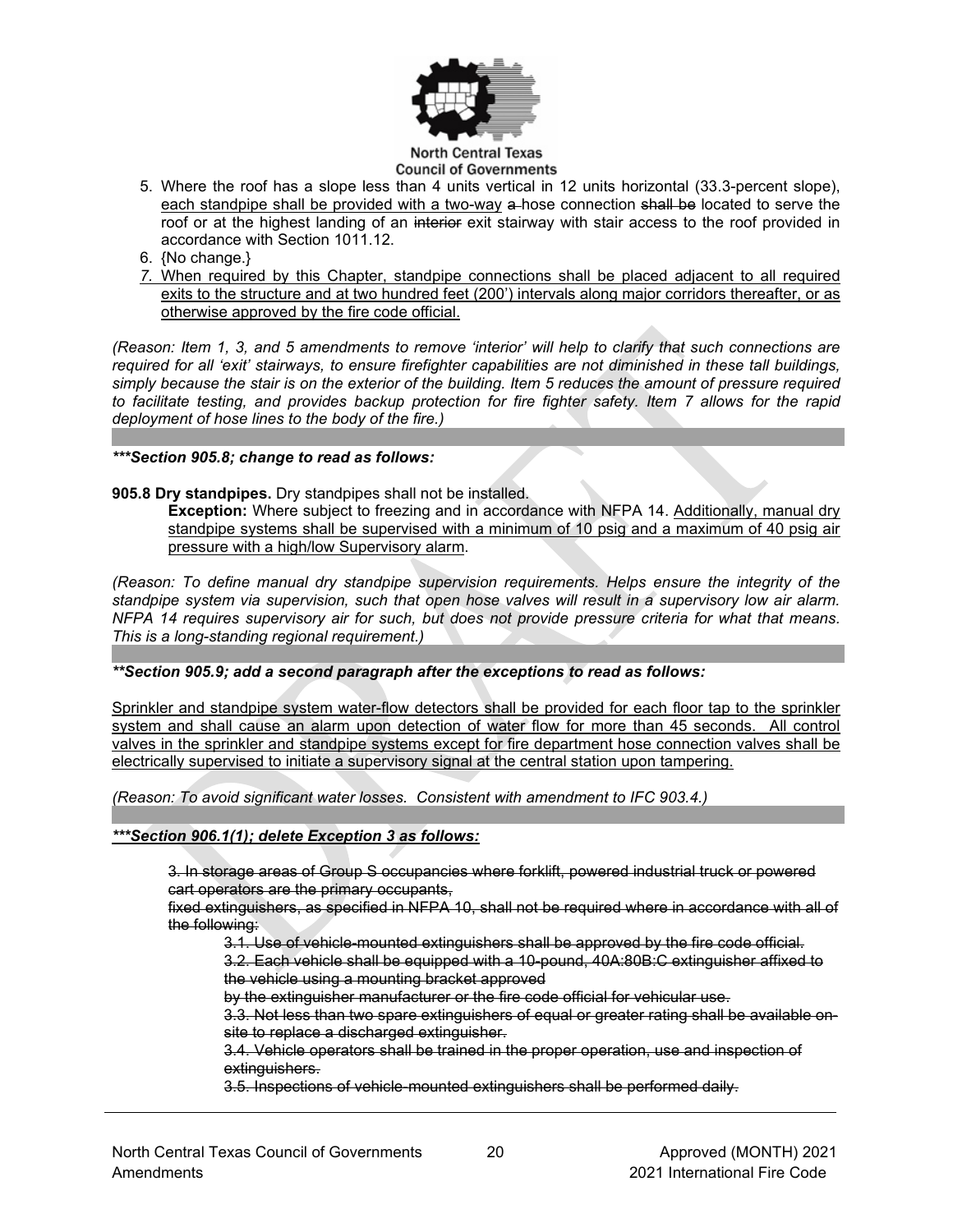

- 5. Where the roof has a slope less than 4 units vertical in 12 units horizontal (33.3-percent slope), each standpipe shall be provided with a two-way a-hose connection shall be located to serve the roof or at the highest landing of an interior exit stairway with stair access to the roof provided in accordance with Section 1011.12.
- 6. {No change.}
- *7.* When required by this Chapter, standpipe connections shall be placed adjacent to all required exits to the structure and at two hundred feet (200') intervals along major corridors thereafter, or as otherwise approved by the fire code official.

*(Reason: Item 1, 3, and 5 amendments to remove 'interior' will help to clarify that such connections are required for all 'exit' stairways, to ensure firefighter capabilities are not diminished in these tall buildings, simply because the stair is on the exterior of the building. Item 5 reduces the amount of pressure required to facilitate testing, and provides backup protection for fire fighter safety. Item 7 allows for the rapid deployment of hose lines to the body of the fire.)*

## *\*\*\*Section 905.8; change to read as follows:*

## **905.8 Dry standpipes.** Dry standpipes shall not be installed.

**Exception:** Where subject to freezing and in accordance with NFPA 14. Additionally, manual dry standpipe systems shall be supervised with a minimum of 10 psig and a maximum of 40 psig air pressure with a high/low Supervisory alarm.

*(Reason: To define manual dry standpipe supervision requirements. Helps ensure the integrity of the standpipe system via supervision, such that open hose valves will result in a supervisory low air alarm. NFPA 14 requires supervisory air for such, but does not provide pressure criteria for what that means. This is a long-standing regional requirement.)*

#### *\*\*Section 905.9; add a second paragraph after the exceptions to read as follows:*

Sprinkler and standpipe system water-flow detectors shall be provided for each floor tap to the sprinkler system and shall cause an alarm upon detection of water flow for more than 45 seconds. All control valves in the sprinkler and standpipe systems except for fire department hose connection valves shall be electrically supervised to initiate a supervisory signal at the central station upon tampering.

*(Reason: To avoid significant water losses. Consistent with amendment to IFC 903.4.)*

#### *\*\*\*Section 906.1(1); delete Exception 3 as follows:*

3. In storage areas of Group S occupancies where forklift, powered industrial truck or powered cart operators are the primary occupants,

fixed extinguishers, as specified in NFPA 10, shall not be required where in accordance with all of the following:

3.1. Use of vehicle-mounted extinguishers shall be approved by the fire code official.

3.2. Each vehicle shall be equipped with a 10-pound, 40A:80B:C extinguisher affixed to the vehicle using a mounting bracket approved

by the extinguisher manufacturer or the fire code official for vehicular use.

3.3. Not less than two spare extinguishers of equal or greater rating shall be available onsite to replace a discharged extinguisher.

3.4. Vehicle operators shall be trained in the proper operation, use and inspection of extinguishers.

3.5. Inspections of vehicle-mounted extinguishers shall be performed daily.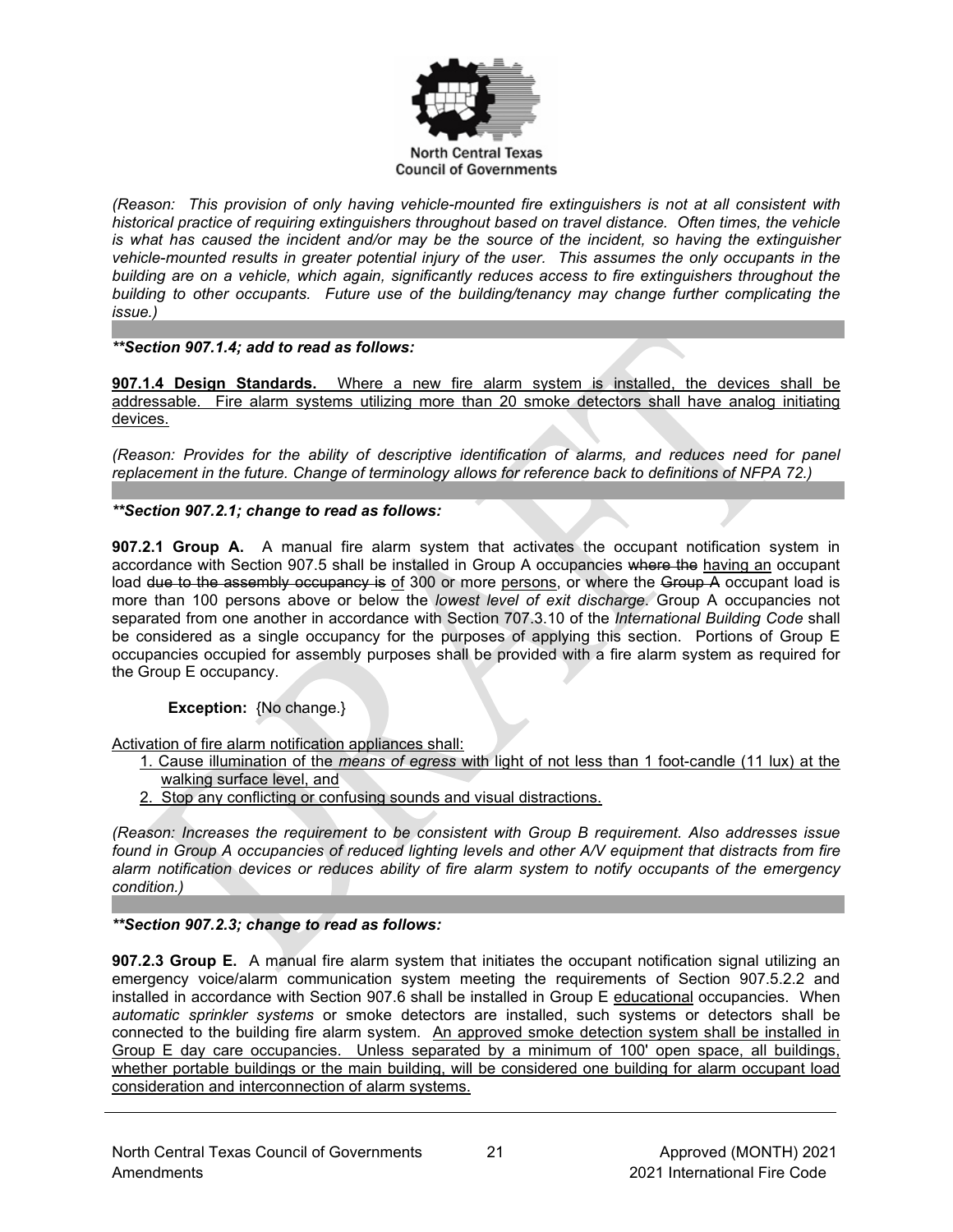

*(Reason: This provision of only having vehicle-mounted fire extinguishers is not at all consistent with historical practice of requiring extinguishers throughout based on travel distance. Often times, the vehicle is what has caused the incident and/or may be the source of the incident, so having the extinguisher vehicle-mounted results in greater potential injury of the user. This assumes the only occupants in the building are on a vehicle, which again, significantly reduces access to fire extinguishers throughout the building to other occupants. Future use of the building/tenancy may change further complicating the issue.)*

# *\*\*Section 907.1.4; add to read as follows:*

**907.1.4 Design Standards.** Where a new fire alarm system is installed, the devices shall be addressable. Fire alarm systems utilizing more than 20 smoke detectors shall have analog initiating devices.

*(Reason: Provides for the ability of descriptive identification of alarms, and reduces need for panel replacement in the future. Change of terminology allows for reference back to definitions of NFPA 72.)*

# *\*\*Section 907.2.1; change to read as follows:*

**907.2.1 Group A.** A manual fire alarm system that activates the occupant notification system in accordance with Section 907.5 shall be installed in Group A occupancies where the having an occupant load due to the assembly occupancy is of 300 or more persons, or where the Group A occupant load is more than 100 persons above or below the *lowest level of exit discharge*. Group A occupancies not separated from one another in accordance with Section 707.3.10 of the *International Building Code* shall be considered as a single occupancy for the purposes of applying this section. Portions of Group E occupancies occupied for assembly purposes shall be provided with a fire alarm system as required for the Group E occupancy.

# **Exception:** {No change.}

Activation of fire alarm notification appliances shall:

- 1. Cause illumination of the *means of egress* with light of not less than 1 foot-candle (11 lux) at the walking surface level, and
- 2. Stop any conflicting or confusing sounds and visual distractions.

*(Reason: Increases the requirement to be consistent with Group B requirement. Also addresses issue found in Group A occupancies of reduced lighting levels and other A/V equipment that distracts from fire alarm notification devices or reduces ability of fire alarm system to notify occupants of the emergency condition.)*

# *\*\*Section 907.2.3; change to read as follows:*

**907.2.3 Group E.** A manual fire alarm system that initiates the occupant notification signal utilizing an emergency voice/alarm communication system meeting the requirements of Section 907.5.2.2 and installed in accordance with Section 907.6 shall be installed in Group E educational occupancies. When *automatic sprinkler systems* or smoke detectors are installed, such systems or detectors shall be connected to the building fire alarm system. An approved smoke detection system shall be installed in Group E day care occupancies. Unless separated by a minimum of 100' open space, all buildings, whether portable buildings or the main building, will be considered one building for alarm occupant load consideration and interconnection of alarm systems.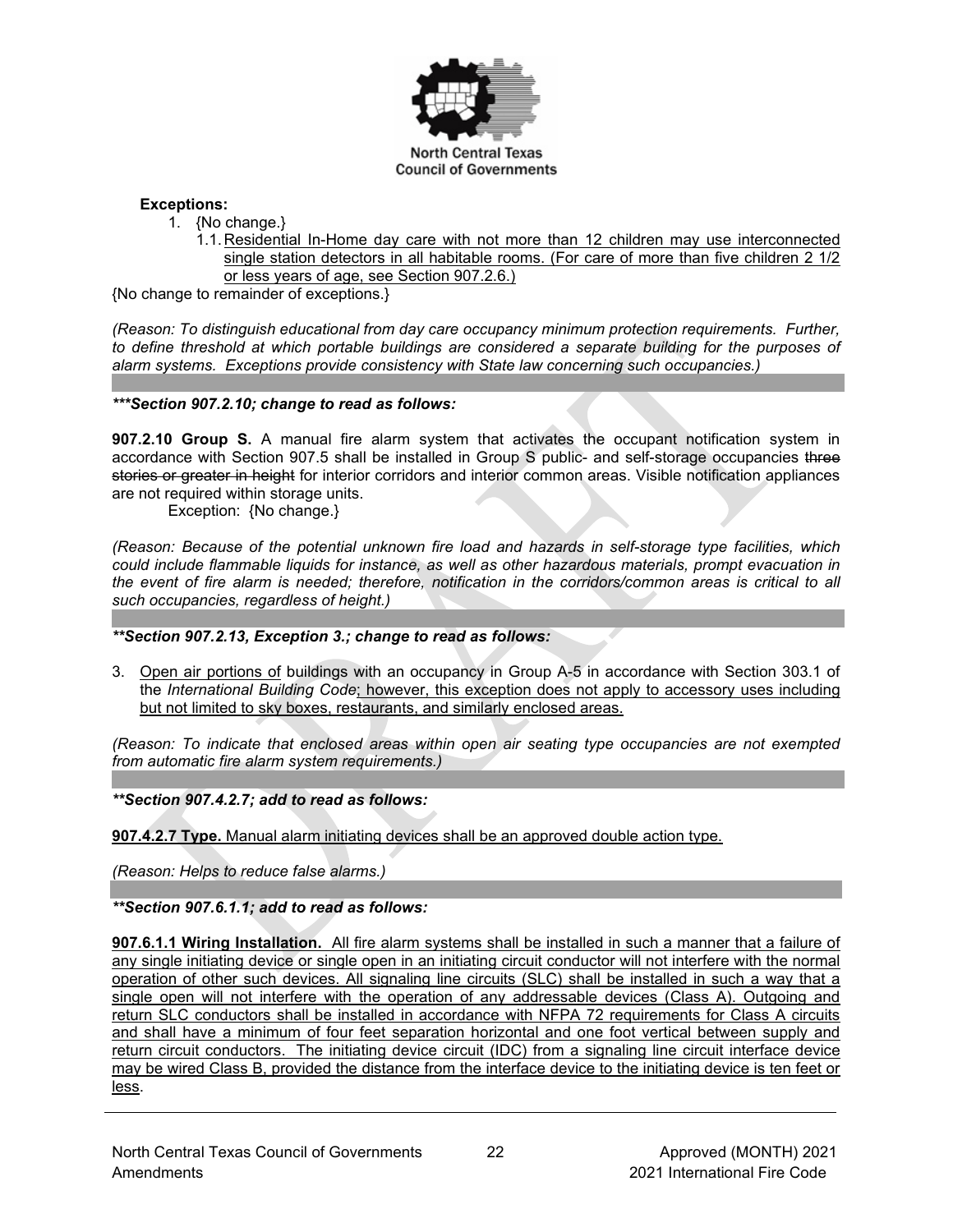

## **Exceptions:**

- 1. {No change.}
	- 1.1. Residential In-Home day care with not more than 12 children may use interconnected single station detectors in all habitable rooms. (For care of more than five children 2 1/2 or less years of age, see Section 907.2.6.)

{No change to remainder of exceptions.}

*(Reason: To distinguish educational from day care occupancy minimum protection requirements. Further, to define threshold at which portable buildings are considered a separate building for the purposes of alarm systems. Exceptions provide consistency with State law concerning such occupancies.)*

## *\*\*\*Section 907.2.10; change to read as follows:*

**907.2.10 Group S.** A manual fire alarm system that activates the occupant notification system in accordance with Section 907.5 shall be installed in Group S public- and self-storage occupancies three stories or greater in height for interior corridors and interior common areas. Visible notification appliances are not required within storage units.

Exception: {No change.}

*(Reason: Because of the potential unknown fire load and hazards in self-storage type facilities, which could include flammable liquids for instance, as well as other hazardous materials, prompt evacuation in the event of fire alarm is needed; therefore, notification in the corridors/common areas is critical to all such occupancies, regardless of height.)*

#### *\*\*Section 907.2.13, Exception 3.; change to read as follows:*

3. Open air portions of buildings with an occupancy in Group A-5 in accordance with Section 303.1 of the *International Building Code*; however, this exception does not apply to accessory uses including but not limited to sky boxes, restaurants, and similarly enclosed areas.

*(Reason: To indicate that enclosed areas within open air seating type occupancies are not exempted from automatic fire alarm system requirements.)*

# *\*\*Section 907.4.2.7; add to read as follows:*

**907.4.2.7 Type.** Manual alarm initiating devices shall be an approved double action type.

*(Reason: Helps to reduce false alarms.)*

*\*\*Section 907.6.1.1; add to read as follows:*

**907.6.1.1 Wiring Installation.** All fire alarm systems shall be installed in such a manner that a failure of any single initiating device or single open in an initiating circuit conductor will not interfere with the normal operation of other such devices. All signaling line circuits (SLC) shall be installed in such a way that a single open will not interfere with the operation of any addressable devices (Class A). Outgoing and return SLC conductors shall be installed in accordance with NFPA 72 requirements for Class A circuits and shall have a minimum of four feet separation horizontal and one foot vertical between supply and return circuit conductors. The initiating device circuit (IDC) from a signaling line circuit interface device may be wired Class B, provided the distance from the interface device to the initiating device is ten feet or less.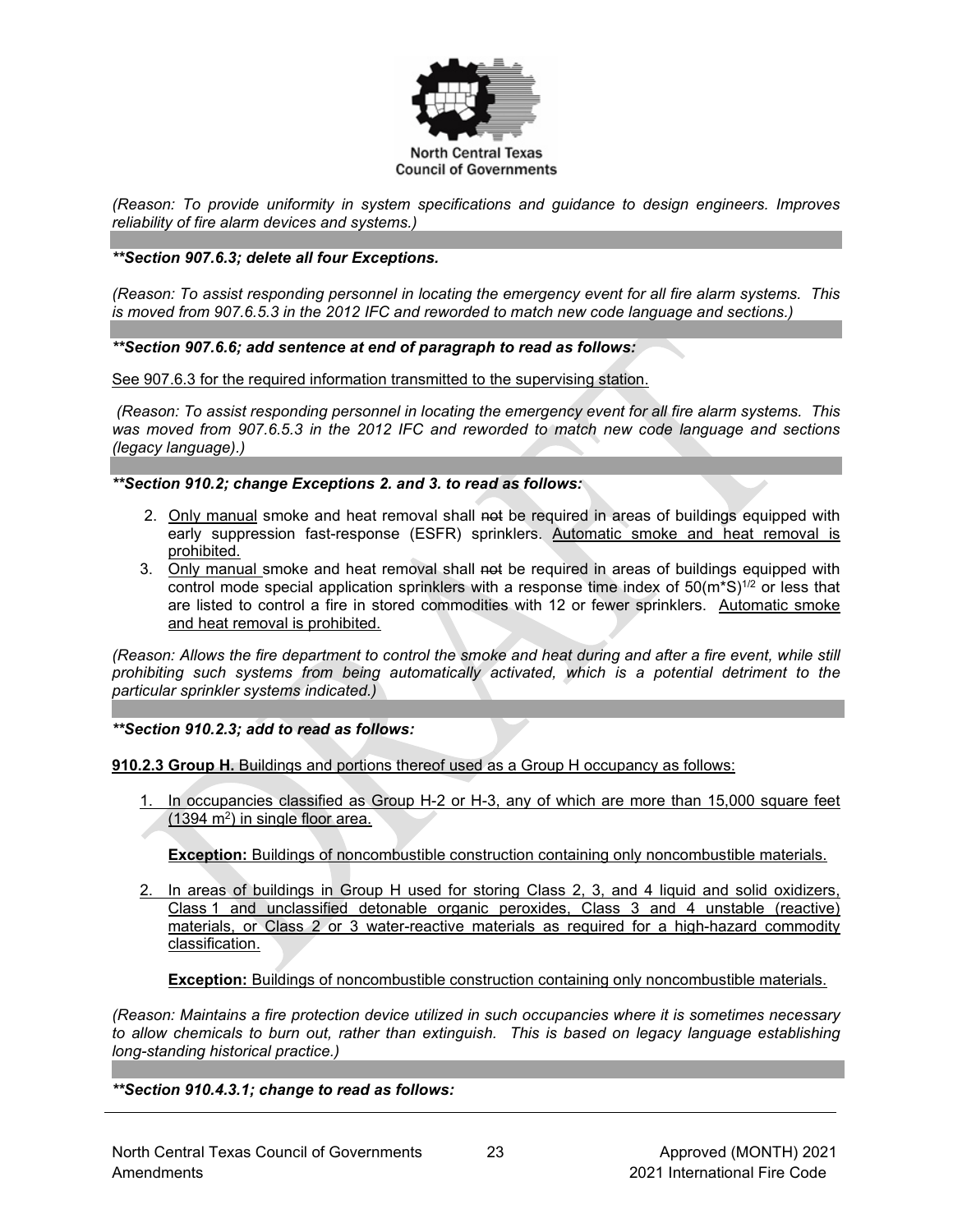

*(Reason: To provide uniformity in system specifications and guidance to design engineers. Improves reliability of fire alarm devices and systems.)*

## *\*\*Section 907.6.3; delete all four Exceptions.*

*(Reason: To assist responding personnel in locating the emergency event for all fire alarm systems. This is moved from 907.6.5.3 in the 2012 IFC and reworded to match new code language and sections.)*

## *\*\*Section 907.6.6; add sentence at end of paragraph to read as follows:*

See 907.6.3 for the required information transmitted to the supervising station.

*(Reason: To assist responding personnel in locating the emergency event for all fire alarm systems. This was moved from 907.6.5.3 in the 2012 IFC and reworded to match new code language and sections (legacy language).)*

*\*\*Section 910.2; change Exceptions 2. and 3. to read as follows:* 

- 2. Only manual smoke and heat removal shall not be required in areas of buildings equipped with early suppression fast-response (ESFR) sprinklers. Automatic smoke and heat removal is prohibited.
- 3. Only manual smoke and heat removal shall not be required in areas of buildings equipped with control mode special application sprinklers with a response time index of  $50(m^*S)^{1/2}$  or less that are listed to control a fire in stored commodities with 12 or fewer sprinklers. Automatic smoke and heat removal is prohibited.

*(Reason: Allows the fire department to control the smoke and heat during and after a fire event, while still prohibiting such systems from being automatically activated, which is a potential detriment to the particular sprinkler systems indicated.)*

*\*\*Section 910.2.3; add to read as follows:*

**910.2.3 Group H.** Buildings and portions thereof used as a Group H occupancy as follows:

In occupancies classified as Group H-2 or H-3, any of which are more than 15,000 square feet (1394 m2) in single floor area.

**Exception:** Buildings of noncombustible construction containing only noncombustible materials.

2. In areas of buildings in Group H used for storing Class 2, 3, and 4 liquid and solid oxidizers, Class 1 and unclassified detonable organic peroxides, Class 3 and 4 unstable (reactive) materials, or Class 2 or 3 water-reactive materials as required for a high-hazard commodity classification.

**Exception:** Buildings of noncombustible construction containing only noncombustible materials.

*(Reason: Maintains a fire protection device utilized in such occupancies where it is sometimes necessary to allow chemicals to burn out, rather than extinguish. This is based on legacy language establishing long-standing historical practice.)*

# *\*\*Section 910.4.3.1; change to read as follows:*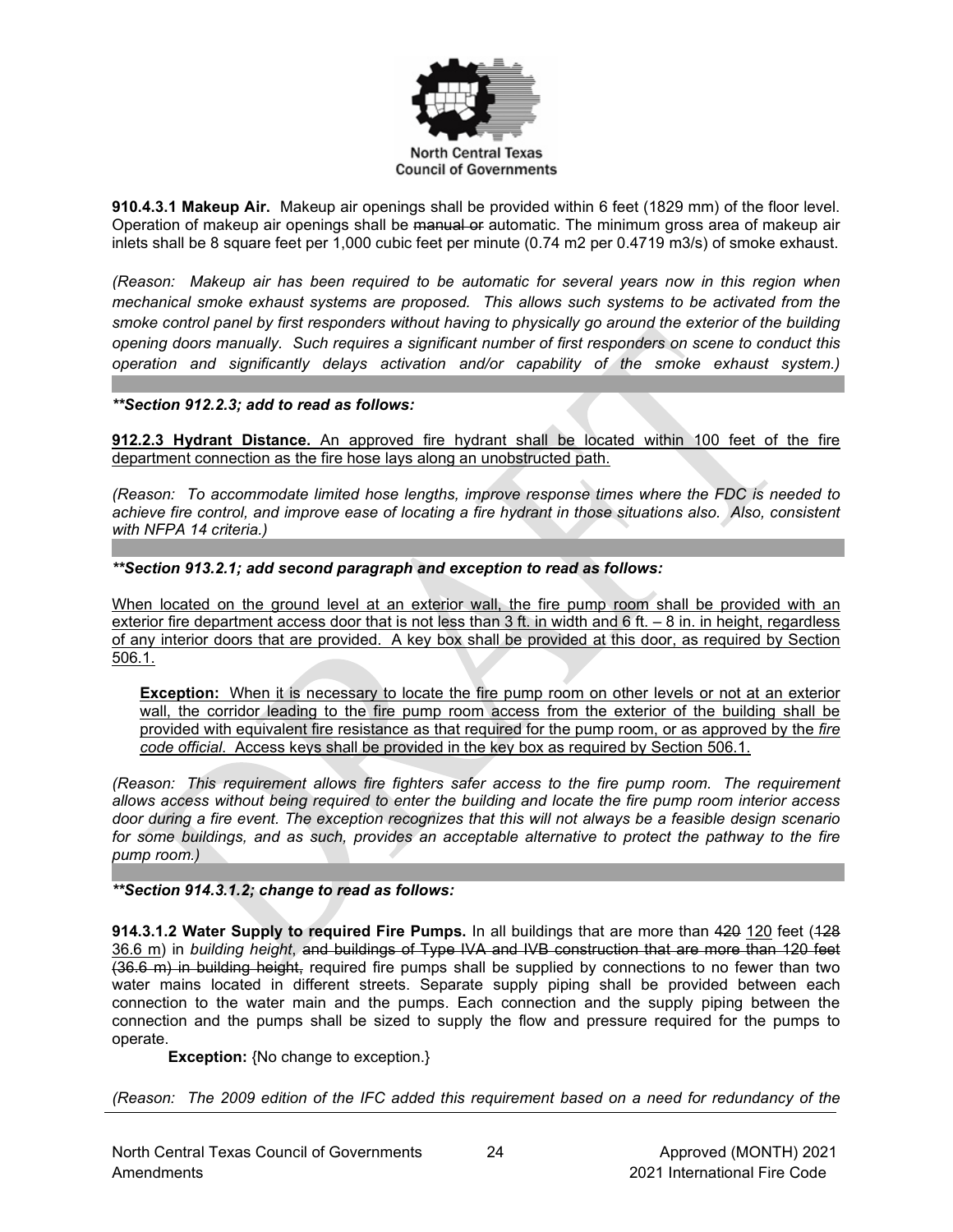

**910.4.3.1 Makeup Air.** Makeup air openings shall be provided within 6 feet (1829 mm) of the floor level. Operation of makeup air openings shall be manual or automatic. The minimum gross area of makeup air inlets shall be 8 square feet per 1,000 cubic feet per minute (0.74 m2 per 0.4719 m3/s) of smoke exhaust.

*(Reason: Makeup air has been required to be automatic for several years now in this region when mechanical smoke exhaust systems are proposed. This allows such systems to be activated from the smoke control panel by first responders without having to physically go around the exterior of the building opening doors manually. Such requires a significant number of first responders on scene to conduct this operation and significantly delays activation and/or capability of the smoke exhaust system.)*

## *\*\*Section 912.2.3; add to read as follows:*

**912.2.3 Hydrant Distance.** An approved fire hydrant shall be located within 100 feet of the fire department connection as the fire hose lays along an unobstructed path.

*(Reason: To accommodate limited hose lengths, improve response times where the FDC is needed to achieve fire control, and improve ease of locating a fire hydrant in those situations also. Also, consistent with NFPA 14 criteria.)*

## *\*\*Section 913.2.1; add second paragraph and exception to read as follows:*

When located on the ground level at an exterior wall, the fire pump room shall be provided with an exterior fire department access door that is not less than 3 ft. in width and 6 ft. – 8 in. in height, regardless of any interior doors that are provided. A key box shall be provided at this door, as required by Section 506.1.

**Exception:** When it is necessary to locate the fire pump room on other levels or not at an exterior wall, the corridor leading to the fire pump room access from the exterior of the building shall be provided with equivalent fire resistance as that required for the pump room, or as approved by the *fire code official*. Access keys shall be provided in the key box as required by Section 506.1.

*(Reason: This requirement allows fire fighters safer access to the fire pump room. The requirement allows access without being required to enter the building and locate the fire pump room interior access door during a fire event. The exception recognizes that this will not always be a feasible design scenario for some buildings, and as such, provides an acceptable alternative to protect the pathway to the fire pump room.)* 

# *\*\*Section 914.3.1.2; change to read as follows:*

**914.3.1.2 Water Supply to required Fire Pumps.** In all buildings that are more than 420 120 feet (128 36.6 m) in *building height*, and buildings of Type IVA and IVB construction that are more than 120 feet (36.6 m) in building height, required fire pumps shall be supplied by connections to no fewer than two water mains located in different streets. Separate supply piping shall be provided between each connection to the water main and the pumps. Each connection and the supply piping between the connection and the pumps shall be sized to supply the flow and pressure required for the pumps to operate.

**Exception:** {No change to exception.}

*(Reason: The 2009 edition of the IFC added this requirement based on a need for redundancy of the*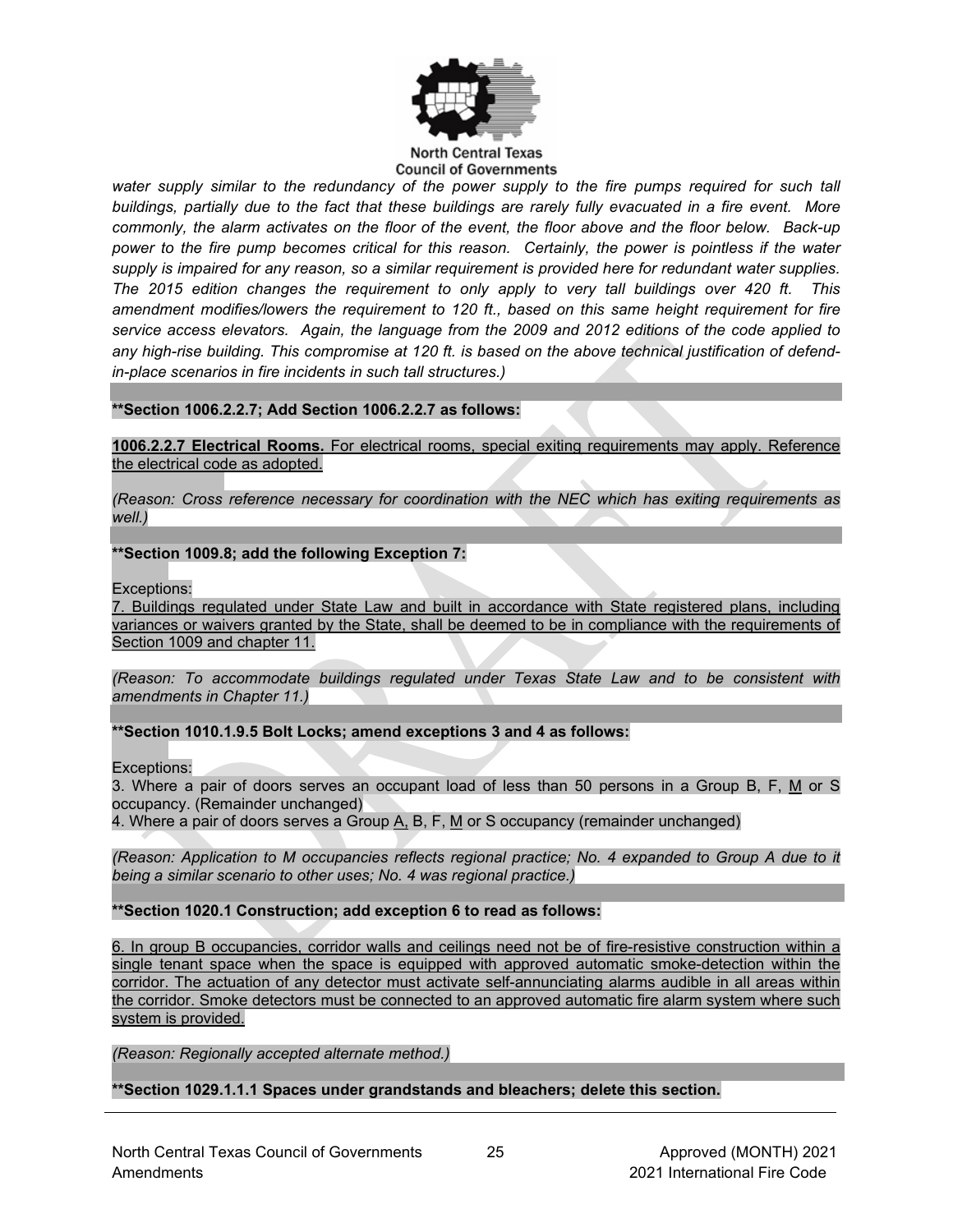

#### **North Central Texas Council of Governments**

*water supply similar to the redundancy of the power supply to the fire pumps required for such tall buildings, partially due to the fact that these buildings are rarely fully evacuated in a fire event. More commonly, the alarm activates on the floor of the event, the floor above and the floor below. Back-up power to the fire pump becomes critical for this reason. Certainly, the power is pointless if the water supply is impaired for any reason, so a similar requirement is provided here for redundant water supplies. The 2015 edition changes the requirement to only apply to very tall buildings over 420 ft. This amendment modifies/lowers the requirement to 120 ft., based on this same height requirement for fire service access elevators. Again, the language from the 2009 and 2012 editions of the code applied to any high-rise building. This compromise at 120 ft. is based on the above technical justification of defendin-place scenarios in fire incidents in such tall structures.)*

## **\*\*Section 1006.2.2.7; Add Section 1006.2.2.7 as follows:**

**1006.2.2.7 Electrical Rooms.** For electrical rooms, special exiting requirements may apply. Reference the electrical code as adopted.

*(Reason: Cross reference necessary for coordination with the NEC which has exiting requirements as well.)*

## **\*\*Section 1009.8; add the following Exception 7:**

Exceptions:

7. Buildings regulated under State Law and built in accordance with State registered plans, including variances or waivers granted by the State, shall be deemed to be in compliance with the requirements of Section 1009 and chapter 11.

*(Reason: To accommodate buildings regulated under Texas State Law and to be consistent with amendments in Chapter 11.)* 

# **\*\*Section 1010.1.9.5 Bolt Locks; amend exceptions 3 and 4 as follows:**

Exceptions:

3. Where a pair of doors serves an occupant load of less than 50 persons in a Group B, F, M or S occupancy. (Remainder unchanged)

4. Where a pair of doors serves a Group  $\underline{A}$ , B, F,  $\underline{M}$  or S occupancy (remainder unchanged)

*(Reason: Application to M occupancies reflects regional practice; No. 4 expanded to Group A due to it being a similar scenario to other uses; No. 4 was regional practice.)*

**\*\*Section 1020.1 Construction; add exception 6 to read as follows:**

6. In group B occupancies, corridor walls and ceilings need not be of fire-resistive construction within a single tenant space when the space is equipped with approved automatic smoke-detection within the corridor. The actuation of any detector must activate self-annunciating alarms audible in all areas within the corridor. Smoke detectors must be connected to an approved automatic fire alarm system where such system is provided.

*(Reason: Regionally accepted alternate method.)*

**\*\*Section 1029.1.1.1 Spaces under grandstands and bleachers; delete this section.**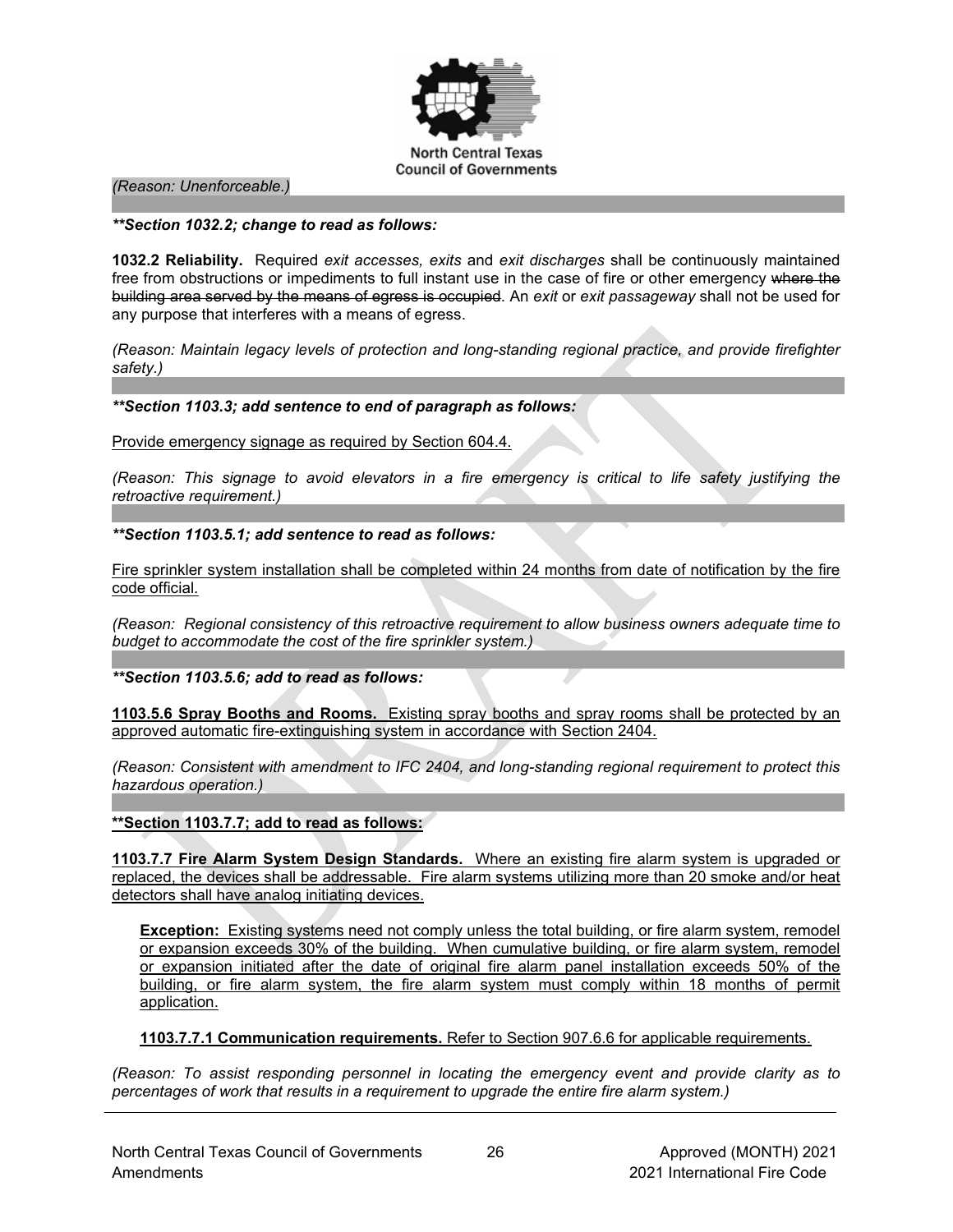

*(Reason: Unenforceable.)*

#### *\*\*Section 1032.2; change to read as follows:*

**1032.2 Reliability.** Required *exit accesses, exits* and *exit discharges* shall be continuously maintained free from obstructions or impediments to full instant use in the case of fire or other emergency where the building area served by the means of egress is occupied. An *exit* or *exit passageway* shall not be used for any purpose that interferes with a means of egress.

*(Reason: Maintain legacy levels of protection and long-standing regional practice, and provide firefighter safety.)*

#### *\*\*Section 1103.3; add sentence to end of paragraph as follows:*

Provide emergency signage as required by Section 604.4.

*(Reason: This signage to avoid elevators in a fire emergency is critical to life safety justifying the retroactive requirement.)*

#### *\*\*Section 1103.5.1; add sentence to read as follows:*

Fire sprinkler system installation shall be completed within 24 months from date of notification by the fire code official.

*(Reason: Regional consistency of this retroactive requirement to allow business owners adequate time to budget to accommodate the cost of the fire sprinkler system.)*

*\*\*Section 1103.5.6; add to read as follows:*

**1103.5.6 Spray Booths and Rooms.** Existing spray booths and spray rooms shall be protected by an approved automatic fire-extinguishing system in accordance with Section 2404.

*(Reason: Consistent with amendment to IFC 2404, and long-standing regional requirement to protect this hazardous operation.)*

**\*\*Section 1103.7.7; add to read as follows:**

**1103.7.7 Fire Alarm System Design Standards.** Where an existing fire alarm system is upgraded or replaced, the devices shall be addressable. Fire alarm systems utilizing more than 20 smoke and/or heat detectors shall have analog initiating devices.

**Exception:** Existing systems need not comply unless the total building, or fire alarm system, remodel or expansion exceeds 30% of the building. When cumulative building, or fire alarm system, remodel or expansion initiated after the date of original fire alarm panel installation exceeds 50% of the building, or fire alarm system, the fire alarm system must comply within 18 months of permit application.

**1103.7.7.1 Communication requirements.** Refer to Section 907.6.6 for applicable requirements.

*(Reason: To assist responding personnel in locating the emergency event and provide clarity as to percentages of work that results in a requirement to upgrade the entire fire alarm system.)*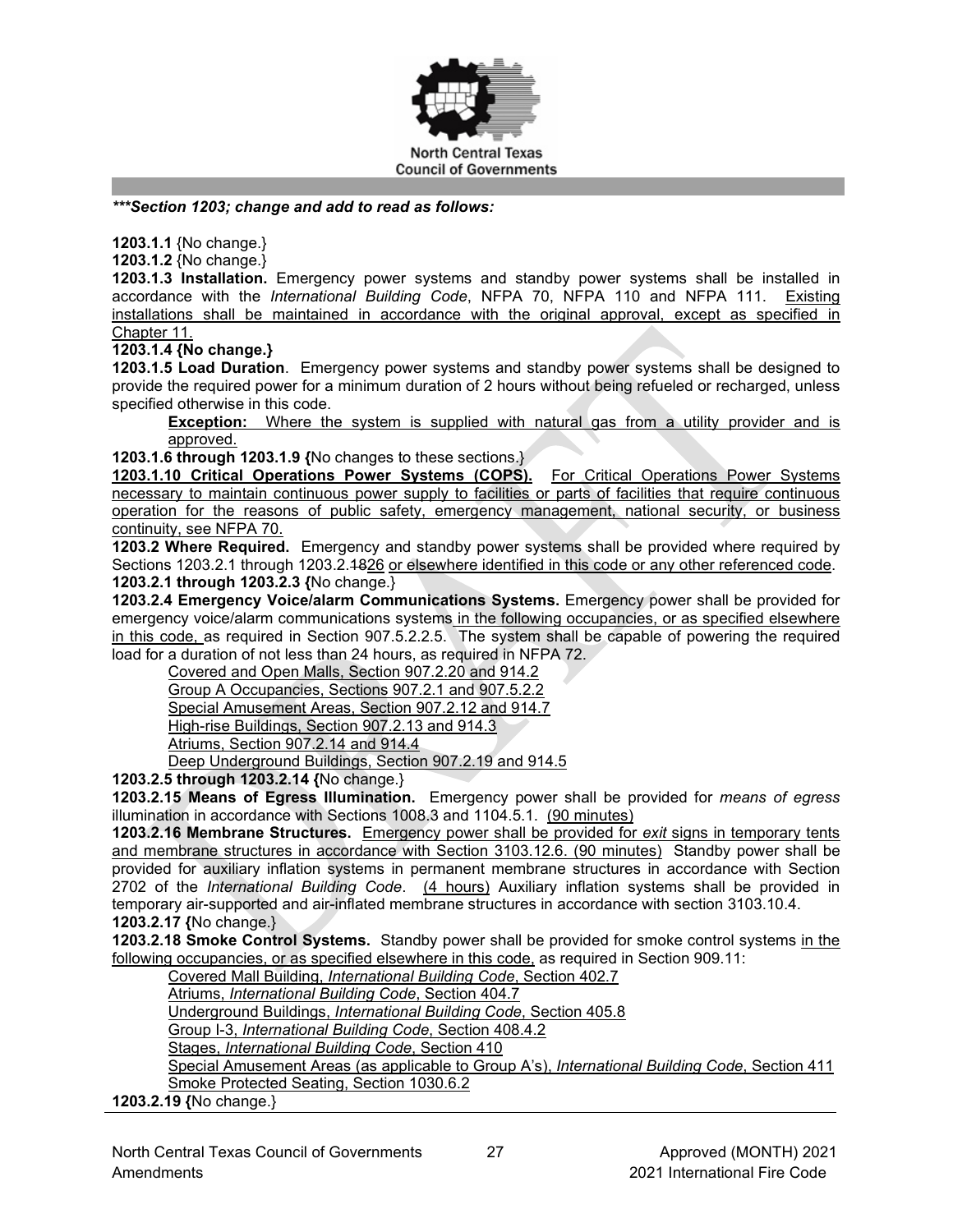

*\*\*\*Section 1203; change and add to read as follows:*

**1203.1.1** {No change.}

**1203.1.2** {No change.}

**1203.1.3 Installation.** Emergency power systems and standby power systems shall be installed in accordance with the *International Building Code*, NFPA 70, NFPA 110 and NFPA 111. Existing installations shall be maintained in accordance with the original approval, except as specified in Chapter 11.

**1203.1.4 {No change.}**

**1203.1.5 Load Duration**. Emergency power systems and standby power systems shall be designed to provide the required power for a minimum duration of 2 hours without being refueled or recharged, unless specified otherwise in this code.

**Exception:** Where the system is supplied with natural gas from a utility provider and is approved.

**1203.1.6 through 1203.1.9 {**No changes to these sections.}

**1203.1.10 Critical Operations Power Systems (COPS).** For Critical Operations Power Systems necessary to maintain continuous power supply to facilities or parts of facilities that require continuous operation for the reasons of public safety, emergency management, national security, or business continuity, see NFPA 70.

**1203.2 Where Required.** Emergency and standby power systems shall be provided where required by Sections 1203.2.1 through 1203.2.1826 or elsewhere identified in this code or any other referenced code. **1203.2.1 through 1203.2.3 {**No change.}

**1203.2.4 Emergency Voice/alarm Communications Systems.** Emergency power shall be provided for emergency voice/alarm communications systems in the following occupancies, or as specified elsewhere in this code, as required in Section 907.5.2.2.5. The system shall be capable of powering the required load for a duration of not less than 24 hours, as required in NFPA 72.

Covered and Open Malls, Section 907.2.20 and 914.2

Group A Occupancies, Sections 907.2.1 and 907.5.2.2

Special Amusement Areas, Section 907.2.12 and 914.7

High-rise Buildings, Section 907.2.13 and 914.3

Atriums, Section 907.2.14 and 914.4

Deep Underground Buildings, Section 907.2.19 and 914.5

**1203.2.5 through 1203.2.14 {**No change.}

**1203.2.15 Means of Egress Illumination.** Emergency power shall be provided for *means of egress* illumination in accordance with Sections 1008.3 and 1104.5.1. (90 minutes)

**1203.2.16 Membrane Structures.** Emergency power shall be provided for *exit* signs in temporary tents and membrane structures in accordance with Section 3103.12.6. (90 minutes) Standby power shall be provided for auxiliary inflation systems in permanent membrane structures in accordance with Section 2702 of the *International Building Code*. (4 hours) Auxiliary inflation systems shall be provided in temporary air-supported and air-inflated membrane structures in accordance with section 3103.10.4. **1203.2.17 {**No change.}

**1203.2.18 Smoke Control Systems.** Standby power shall be provided for smoke control systems in the following occupancies, or as specified elsewhere in this code, as required in Section 909.11:

Covered Mall Building, *International Building Code*, Section 402.7

Atriums, *International Building Code*, Section 404.7

Underground Buildings, *International Building Code*, Section 405.8

Group I-3, *International Building Code*, Section 408.4.2

Stages, *International Building Code*, Section 410

Special Amusement Areas (as applicable to Group A's), *International Building Code*, Section 411 Smoke Protected Seating, Section 1030.6.2

**1203.2.19 {**No change.}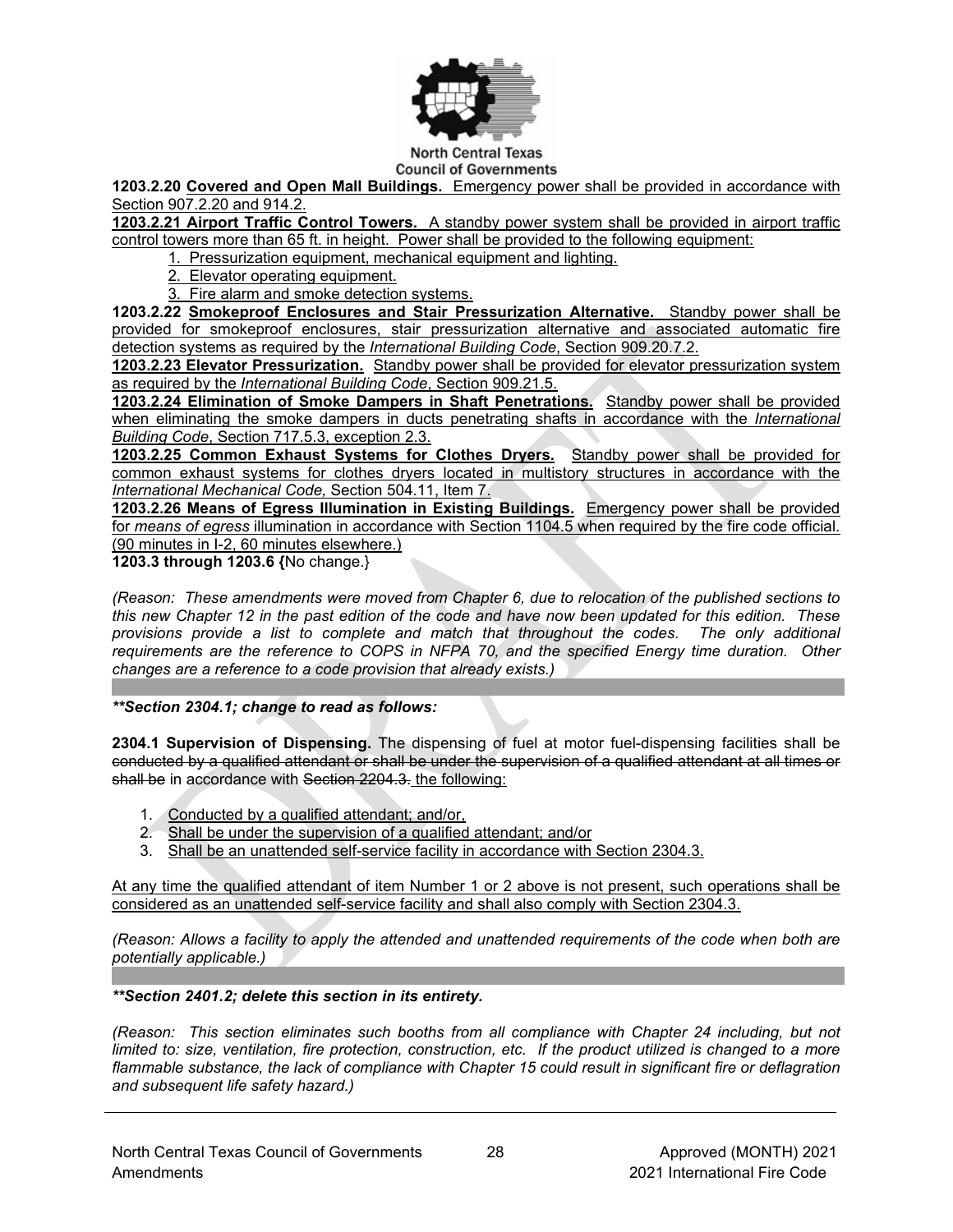

**Council of Governments** 

**1203.2.20 Covered and Open Mall Buildings.** Emergency power shall be provided in accordance with Section 907.2.20 and 914.2.

**1203.2.21 Airport Traffic Control Towers.** A standby power system shall be provided in airport traffic control towers more than 65 ft. in height. Power shall be provided to the following equipment:

1. Pressurization equipment, mechanical equipment and lighting.

- 2. Elevator operating equipment.
- 3. Fire alarm and smoke detection systems.

**1203.2.22 Smokeproof Enclosures and Stair Pressurization Alternative.** Standby power shall be provided for smokeproof enclosures, stair pressurization alternative and associated automatic fire detection systems as required by the *International Building Code*, Section 909.20.7.2.

**1203.2.23 Elevator Pressurization.** Standby power shall be provided for elevator pressurization system as required by the *International Building Code*, Section 909.21.5.

**1203.2.24 Elimination of Smoke Dampers in Shaft Penetrations.** Standby power shall be provided when eliminating the smoke dampers in ducts penetrating shafts in accordance with the *International Building Code*, Section 717.5.3, exception 2.3.

**1203.2.25 Common Exhaust Systems for Clothes Dryers.** Standby power shall be provided for common exhaust systems for clothes dryers located in multistory structures in accordance with the *International Mechanical Code,* Section 504.11, Item 7.

**1203.2.26 Means of Egress Illumination in Existing Buildings.** Emergency power shall be provided for *means of egress* illumination in accordance with Section 1104.5 when required by the fire code official. (90 minutes in I-2, 60 minutes elsewhere.)

**1203.3 through 1203.6 {**No change.}

*(Reason: These amendments were moved from Chapter 6, due to relocation of the published sections to this new Chapter 12 in the past edition of the code and have now been updated for this edition. These provisions provide a list to complete and match that throughout the codes. The only additional requirements are the reference to COPS in NFPA 70, and the specified Energy time duration. Other changes are a reference to a code provision that already exists.)*

*\*\*Section 2304.1; change to read as follows:*

**2304.1 Supervision of Dispensing.** The dispensing of fuel at motor fuel-dispensing facilities shall be conducted by a qualified attendant or shall be under the supervision of a qualified attendant at all times or shall be in accordance with Section 2204.3. the following:

- 1. Conducted by a qualified attendant; and/or,
- 2. Shall be under the supervision of a qualified attendant; and/or
- 3. Shall be an unattended self-service facility in accordance with Section 2304.3.

At any time the qualified attendant of item Number 1 or 2 above is not present, such operations shall be considered as an unattended self-service facility and shall also comply with Section 2304.3.

*(Reason: Allows a facility to apply the attended and unattended requirements of the code when both are potentially applicable.)*

#### *\*\*Section 2401.2; delete this section in its entirety.*

*(Reason: This section eliminates such booths from all compliance with Chapter 24 including, but not limited to: size, ventilation, fire protection, construction, etc. If the product utilized is changed to a more flammable substance, the lack of compliance with Chapter 15 could result in significant fire or deflagration and subsequent life safety hazard.)*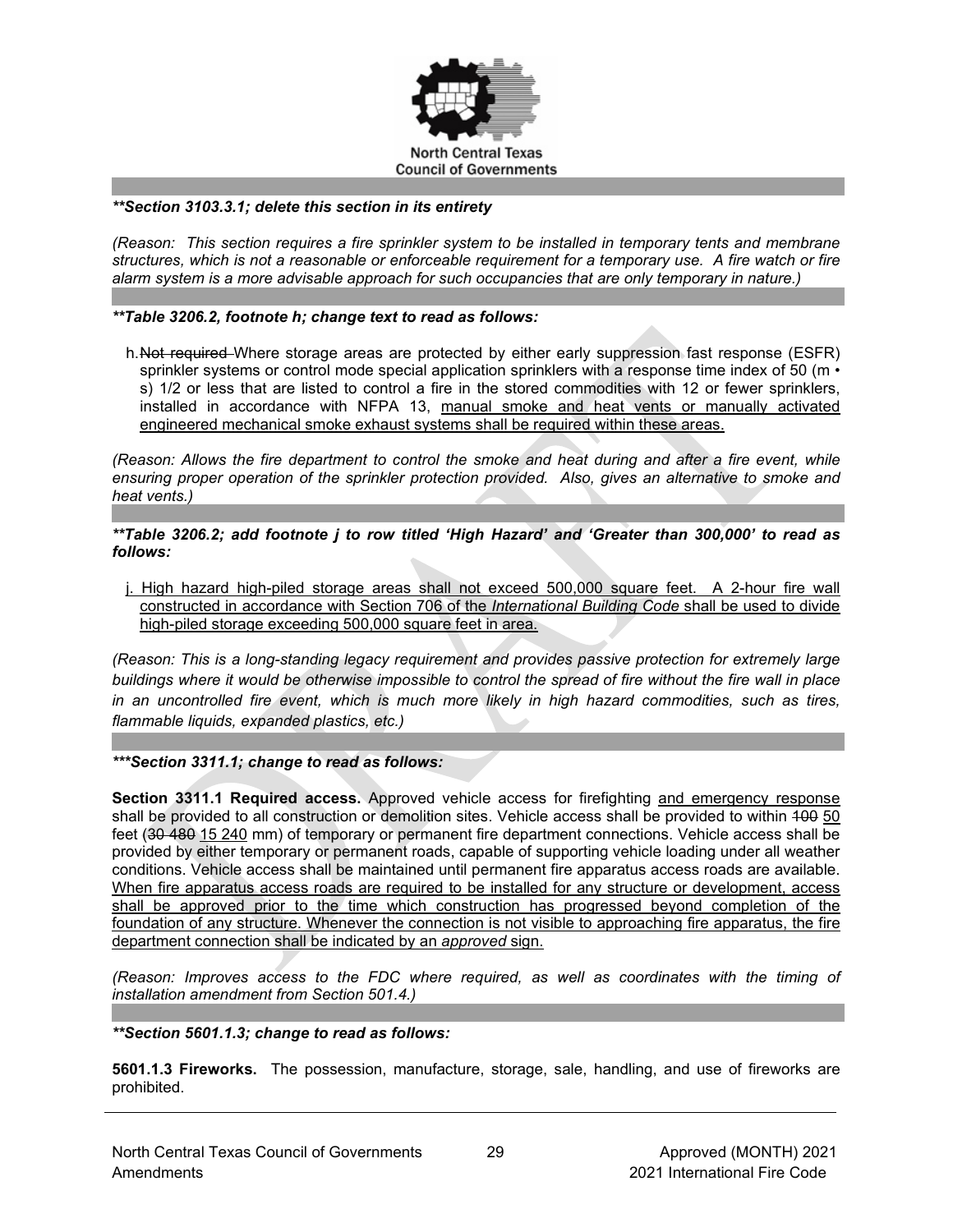

### *\*\*Section 3103.3.1; delete this section in its entirety*

*(Reason: This section requires a fire sprinkler system to be installed in temporary tents and membrane structures, which is not a reasonable or enforceable requirement for a temporary use. A fire watch or fire alarm system is a more advisable approach for such occupancies that are only temporary in nature.)*

## *\*\*Table 3206.2, footnote h; change text to read as follows:*

h. Not required Where storage areas are protected by either early suppression fast response (ESFR) sprinkler systems or control mode special application sprinklers with a response time index of 50 ( $m \cdot$ s) 1/2 or less that are listed to control a fire in the stored commodities with 12 or fewer sprinklers, installed in accordance with NFPA 13, manual smoke and heat vents or manually activated engineered mechanical smoke exhaust systems shall be required within these areas.

*(Reason: Allows the fire department to control the smoke and heat during and after a fire event, while ensuring proper operation of the sprinkler protection provided. Also, gives an alternative to smoke and heat vents.)*

*\*\*Table 3206.2; add footnote j to row titled 'High Hazard' and 'Greater than 300,000' to read as follows:*

j. High hazard high-piled storage areas shall not exceed 500,000 square feet. A 2-hour fire wall constructed in accordance with Section 706 of the *International Building Code* shall be used to divide high-piled storage exceeding 500,000 square feet in area.

*(Reason: This is a long-standing legacy requirement and provides passive protection for extremely large buildings where it would be otherwise impossible to control the spread of fire without the fire wall in place in an uncontrolled fire event, which is much more likely in high hazard commodities, such as tires, flammable liquids, expanded plastics, etc.)*

*\*\*\*Section 3311.1; change to read as follows:*

**Section 3311.1 Required access.** Approved vehicle access for firefighting and emergency response shall be provided to all construction or demolition sites. Vehicle access shall be provided to within 400 50 feet (30 480 15 240 mm) of temporary or permanent fire department connections. Vehicle access shall be provided by either temporary or permanent roads, capable of supporting vehicle loading under all weather conditions. Vehicle access shall be maintained until permanent fire apparatus access roads are available. When fire apparatus access roads are required to be installed for any structure or development, access shall be approved prior to the time which construction has progressed beyond completion of the foundation of any structure. Whenever the connection is not visible to approaching fire apparatus, the fire department connection shall be indicated by an *approved* sign.

*(Reason: Improves access to the FDC where required, as well as coordinates with the timing of installation amendment from Section 501.4.)*

#### *\*\*Section 5601.1.3; change to read as follows:*

**5601.1.3 Fireworks.** The possession, manufacture, storage, sale, handling, and use of fireworks are prohibited.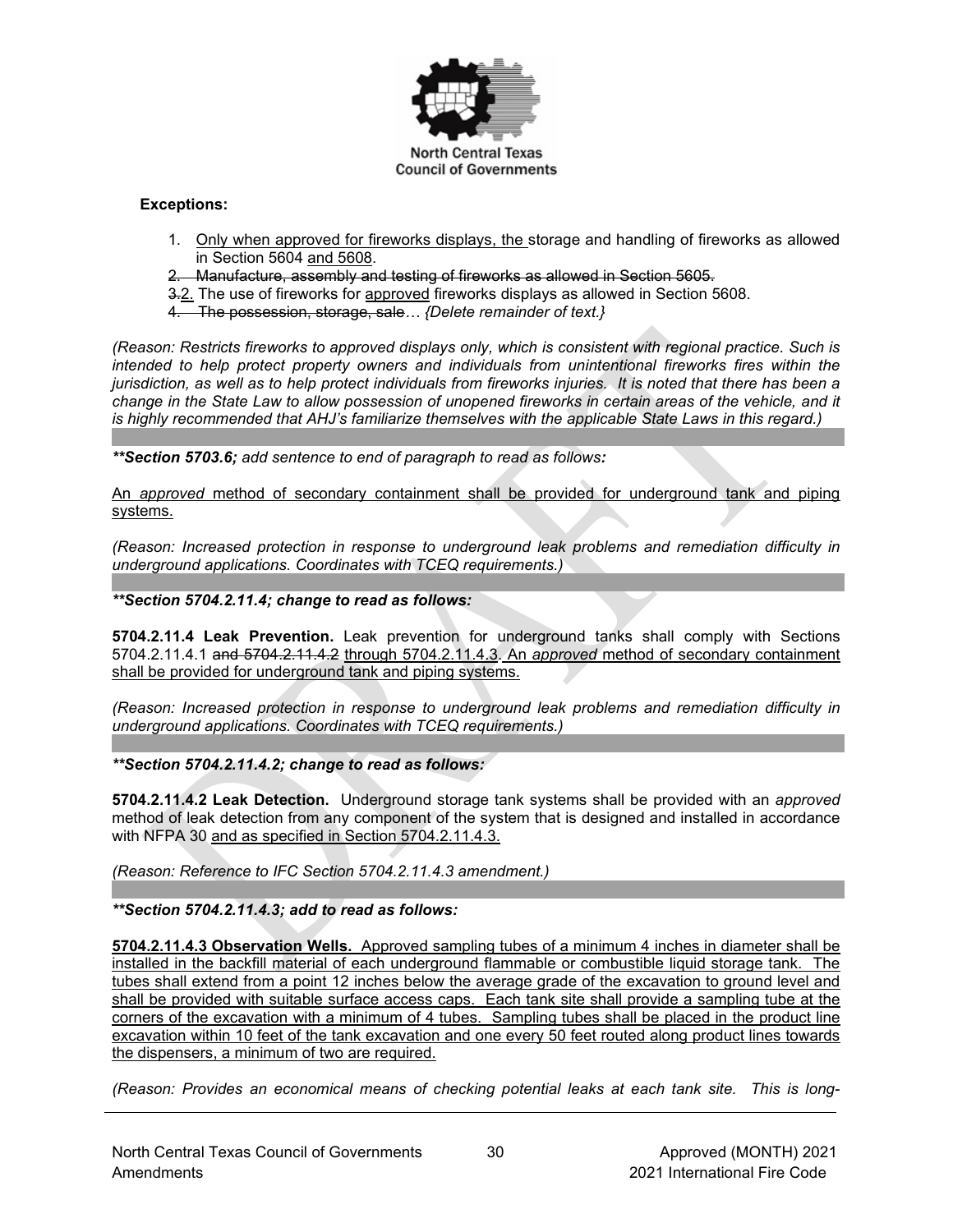

# **Exceptions:**

- 1. Only when approved for fireworks displays, the storage and handling of fireworks as allowed in Section 5604 and 5608.
- 2. Manufacture, assembly and testing of fireworks as allowed in Section 5605.
- 3.2. The use of fireworks for approved fireworks displays as allowed in Section 5608.
- 4. The possession, storage, sale*… {Delete remainder of text.}*

*(Reason: Restricts fireworks to approved displays only, which is consistent with regional practice. Such is intended to help protect property owners and individuals from unintentional fireworks fires within the jurisdiction, as well as to help protect individuals from fireworks injuries. It is noted that there has been a change in the State Law to allow possession of unopened fireworks in certain areas of the vehicle, and it is highly recommended that AHJ's familiarize themselves with the applicable State Laws in this regard.)*

*\*\*Section 5703.6; add sentence to end of paragraph to read as follows:*

An *approved* method of secondary containment shall be provided for underground tank and piping systems.

*(Reason: Increased protection in response to underground leak problems and remediation difficulty in underground applications. Coordinates with TCEQ requirements.)*

*\*\*Section 5704.2.11.4; change to read as follows:*

**5704.2.11.4 Leak Prevention.** Leak prevention for underground tanks shall comply with Sections 5704.2.11.4.1 and 5704.2.11.4.2 through 5704.2.11.4.3. An *approved* method of secondary containment shall be provided for underground tank and piping systems.

*(Reason: Increased protection in response to underground leak problems and remediation difficulty in underground applications. Coordinates with TCEQ requirements.)*

*\*\*Section 5704.2.11.4.2; change to read as follows:*

**5704.2.11.4.2 Leak Detection.** Underground storage tank systems shall be provided with an *approved* method of leak detection from any component of the system that is designed and installed in accordance with NFPA 30 and as specified in Section 5704.2.11.4.3.

*(Reason: Reference to IFC Section 5704.2.11.4.3 amendment.)*

*\*\*Section 5704.2.11.4.3; add to read as follows:*

**5704.2.11.4.3 Observation Wells.** Approved sampling tubes of a minimum 4 inches in diameter shall be installed in the backfill material of each underground flammable or combustible liquid storage tank. The tubes shall extend from a point 12 inches below the average grade of the excavation to ground level and shall be provided with suitable surface access caps. Each tank site shall provide a sampling tube at the corners of the excavation with a minimum of 4 tubes. Sampling tubes shall be placed in the product line excavation within 10 feet of the tank excavation and one every 50 feet routed along product lines towards the dispensers, a minimum of two are required.

*(Reason: Provides an economical means of checking potential leaks at each tank site. This is long-*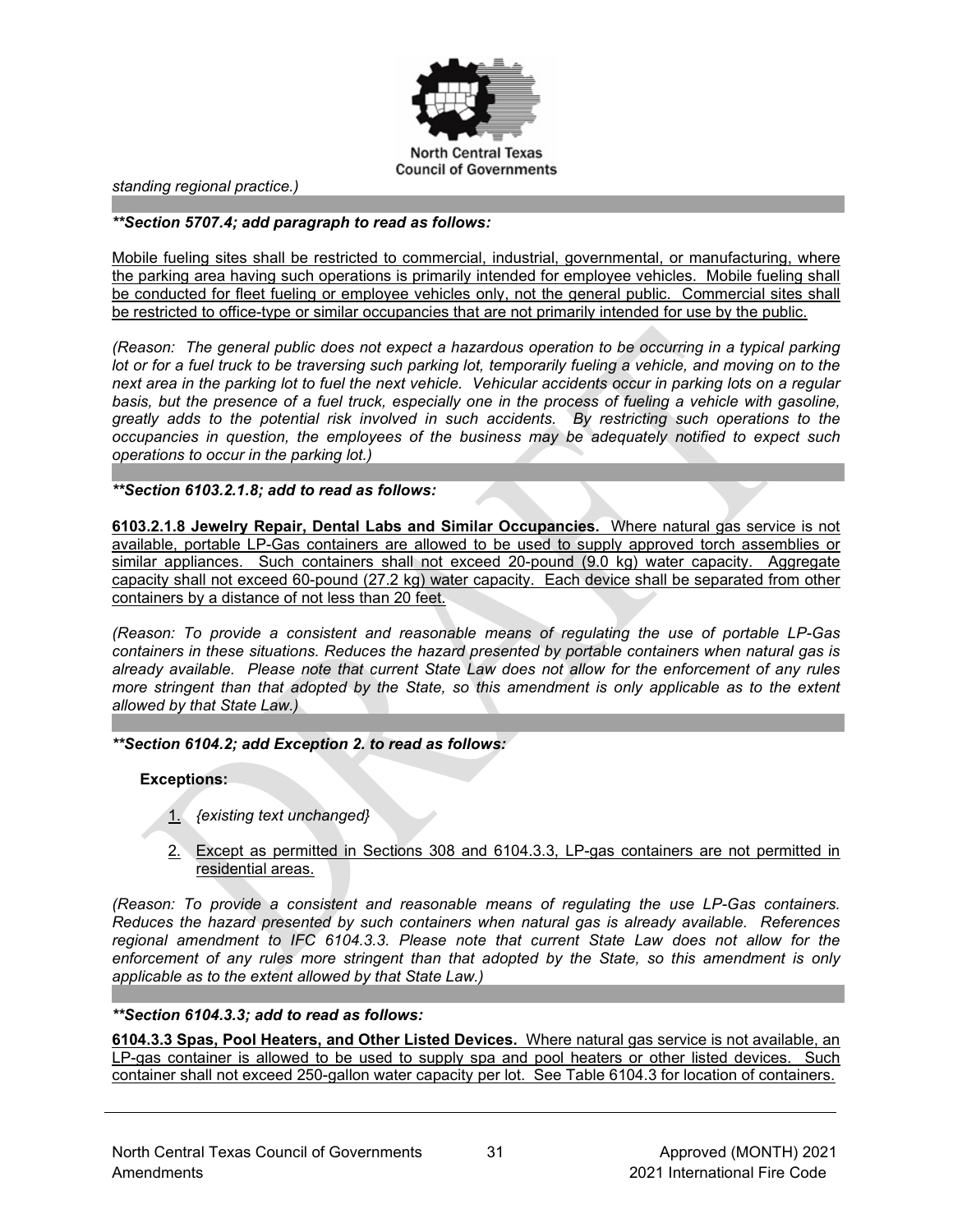

*standing regional practice.)*

#### *\*\*Section 5707.4; add paragraph to read as follows:*

Mobile fueling sites shall be restricted to commercial, industrial, governmental, or manufacturing, where the parking area having such operations is primarily intended for employee vehicles. Mobile fueling shall be conducted for fleet fueling or employee vehicles only, not the general public. Commercial sites shall be restricted to office-type or similar occupancies that are not primarily intended for use by the public.

*(Reason: The general public does not expect a hazardous operation to be occurring in a typical parking lot or for a fuel truck to be traversing such parking lot, temporarily fueling a vehicle, and moving on to the next area in the parking lot to fuel the next vehicle. Vehicular accidents occur in parking lots on a regular*  basis, but the presence of a fuel truck, especially one in the process of fueling a vehicle with gasoline, *greatly adds to the potential risk involved in such accidents. By restricting such operations to the occupancies in question, the employees of the business may be adequately notified to expect such operations to occur in the parking lot.)*

*\*\*Section 6103.2.1.8; add to read as follows:*

**6103.2.1.8 Jewelry Repair, Dental Labs and Similar Occupancies.** Where natural gas service is not available, portable LP-Gas containers are allowed to be used to supply approved torch assemblies or similar appliances. Such containers shall not exceed 20-pound (9.0 kg) water capacity. Aggregate capacity shall not exceed 60-pound (27.2 kg) water capacity. Each device shall be separated from other containers by a distance of not less than 20 feet.

*(Reason: To provide a consistent and reasonable means of regulating the use of portable LP-Gas containers in these situations. Reduces the hazard presented by portable containers when natural gas is already available. Please note that current State Law does not allow for the enforcement of any rules more stringent than that adopted by the State, so this amendment is only applicable as to the extent allowed by that State Law.)*

*\*\*Section 6104.2; add Exception 2. to read as follows:*

**Exceptions:**

- 1. *{existing text unchanged}*
- 2. Except as permitted in Sections 308 and 6104.3.3, LP-gas containers are not permitted in residential areas.

*(Reason: To provide a consistent and reasonable means of regulating the use LP-Gas containers. Reduces the hazard presented by such containers when natural gas is already available. References regional amendment to IFC 6104.3.3. Please note that current State Law does not allow for the enforcement of any rules more stringent than that adopted by the State, so this amendment is only applicable as to the extent allowed by that State Law.)*

#### *\*\*Section 6104.3.3; add to read as follows:*

**6104.3.3 Spas, Pool Heaters, and Other Listed Devices.** Where natural gas service is not available, an LP-gas container is allowed to be used to supply spa and pool heaters or other listed devices. Such container shall not exceed 250-gallon water capacity per lot. See Table 6104.3 for location of containers.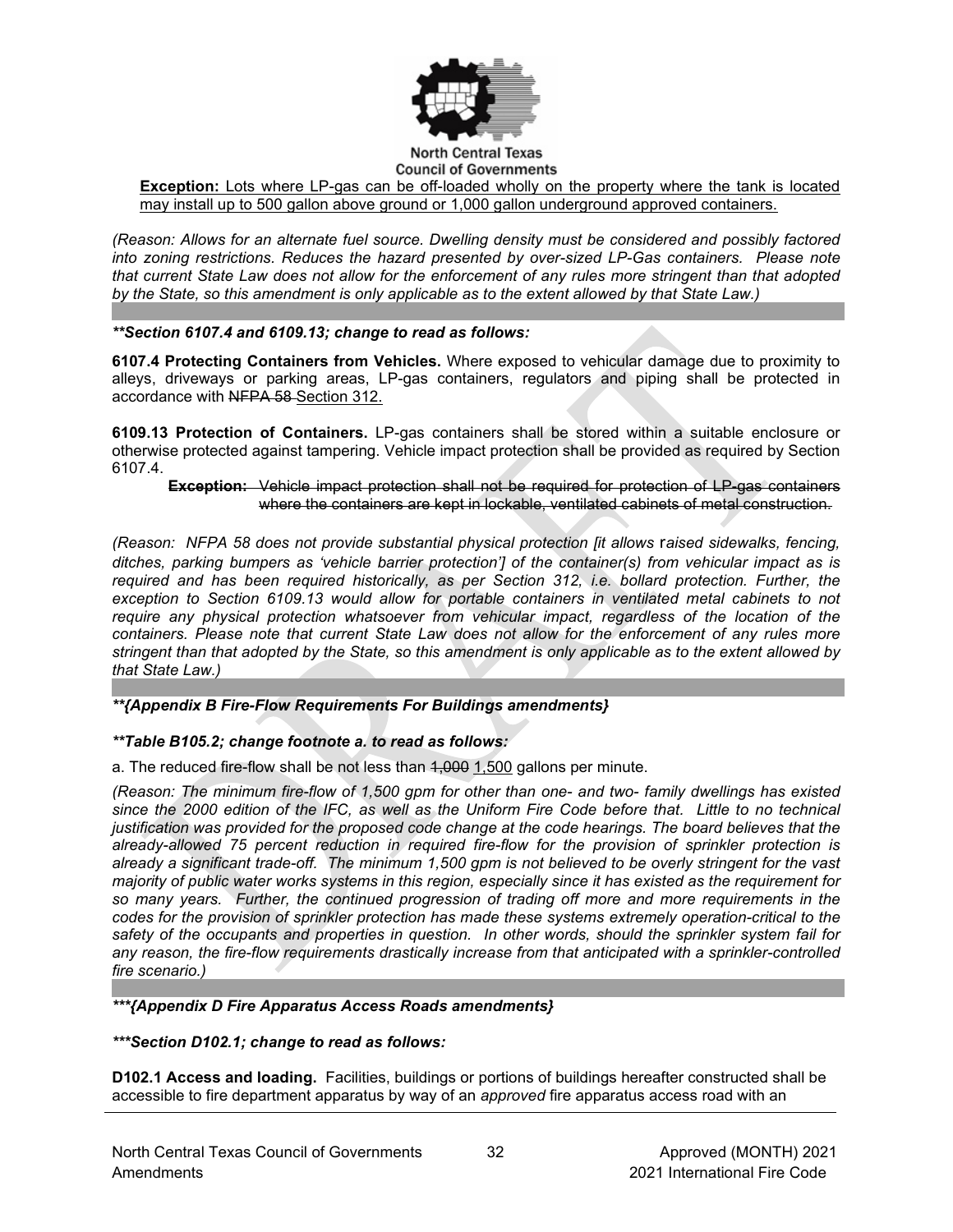

# **Council of Governments**

**Exception:** Lots where LP-gas can be off-loaded wholly on the property where the tank is located may install up to 500 gallon above ground or 1,000 gallon underground approved containers.

*(Reason: Allows for an alternate fuel source. Dwelling density must be considered and possibly factored into zoning restrictions. Reduces the hazard presented by over-sized LP-Gas containers. Please note that current State Law does not allow for the enforcement of any rules more stringent than that adopted by the State, so this amendment is only applicable as to the extent allowed by that State Law.)*

## *\*\*Section 6107.4 and 6109.13; change to read as follows:*

**6107.4 Protecting Containers from Vehicles.** Where exposed to vehicular damage due to proximity to alleys, driveways or parking areas, LP-gas containers, regulators and piping shall be protected in accordance with NFPA 58 Section 312.

**6109.13 Protection of Containers.** LP-gas containers shall be stored within a suitable enclosure or otherwise protected against tampering. Vehicle impact protection shall be provided as required by Section 6107.4.

### **Exception:** Vehicle impact protection shall not be required for protection of LP-gas containers where the containers are kept in lockable, ventilated cabinets of metal construction.

*(Reason: NFPA 58 does not provide substantial physical protection [it allows* r*aised sidewalks, fencing, ditches, parking bumpers as 'vehicle barrier protection'] of the container(s) from vehicular impact as is required and has been required historically, as per Section 312, i.e. bollard protection. Further, the exception to Section 6109.13 would allow for portable containers in ventilated metal cabinets to not require any physical protection whatsoever from vehicular impact, regardless of the location of the containers. Please note that current State Law does not allow for the enforcement of any rules more stringent than that adopted by the State, so this amendment is only applicable as to the extent allowed by that State Law.)*

# *\*\*{Appendix B Fire-Flow Requirements For Buildings amendments}*

# *\*\*Table B105.2; change footnote a. to read as follows:*

a. The reduced fire-flow shall be not less than 4,000 1,500 gallons per minute.

*(Reason: The minimum fire-flow of 1,500 gpm for other than one- and two- family dwellings has existed since the 2000 edition of the IFC, as well as the Uniform Fire Code before that. Little to no technical justification was provided for the proposed code change at the code hearings. The board believes that the already-allowed 75 percent reduction in required fire-flow for the provision of sprinkler protection is already a significant trade-off. The minimum 1,500 gpm is not believed to be overly stringent for the vast majority of public water works systems in this region, especially since it has existed as the requirement for so many years. Further, the continued progression of trading off more and more requirements in the codes for the provision of sprinkler protection has made these systems extremely operation-critical to the safety of the occupants and properties in question. In other words, should the sprinkler system fail for any reason, the fire-flow requirements drastically increase from that anticipated with a sprinkler-controlled fire scenario.)*

#### *\*\*\*{Appendix D Fire Apparatus Access Roads amendments}*

#### *\*\*\*Section D102.1; change to read as follows:*

**D102.1 Access and loading.** Facilities, buildings or portions of buildings hereafter constructed shall be accessible to fire department apparatus by way of an *approved* fire apparatus access road with an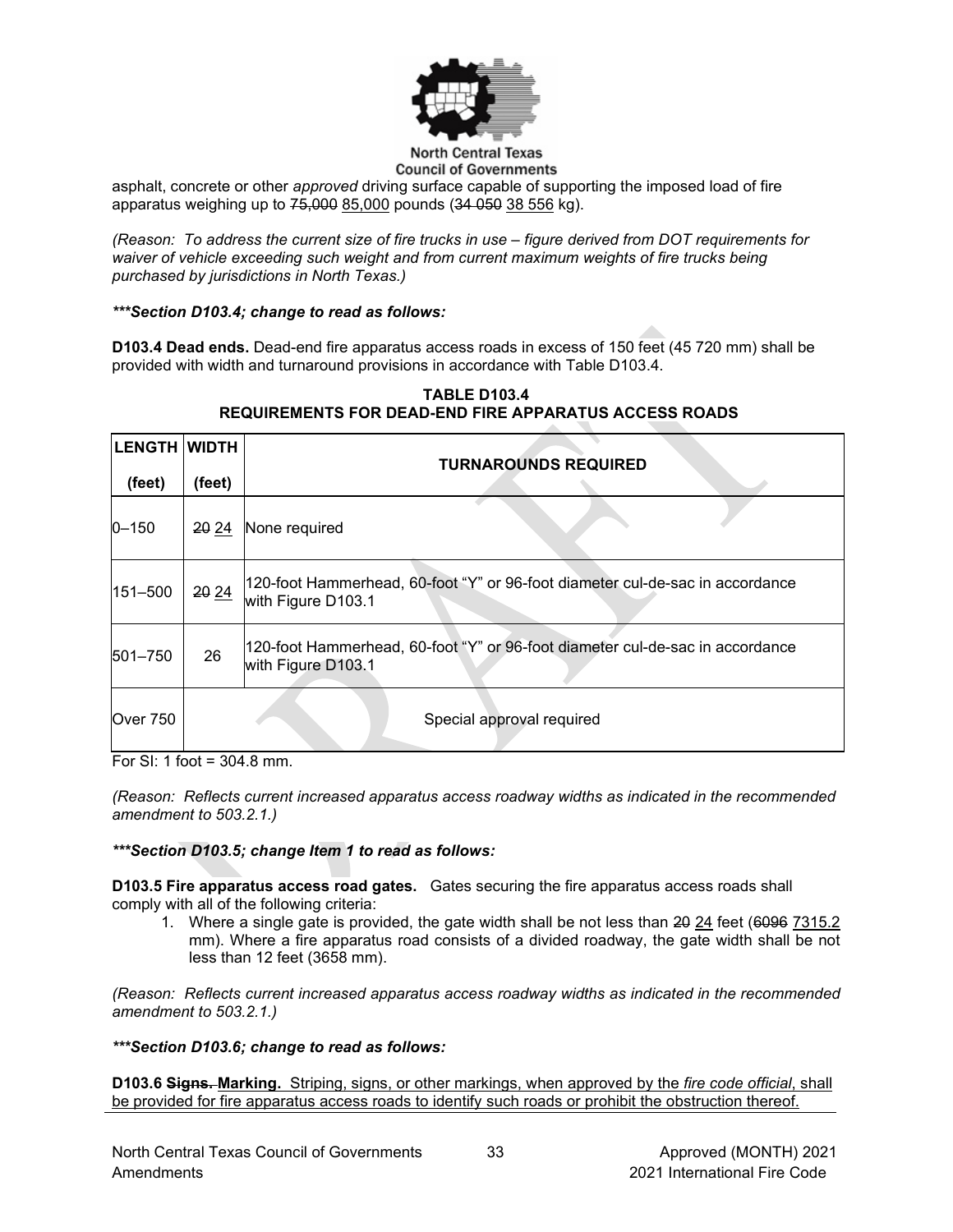

#### **North Central Texas Council of Governments**

asphalt, concrete or other *approved* driving surface capable of supporting the imposed load of fire apparatus weighing up to 75,000 85,000 pounds (34 050 38 556 kg).

*(Reason: To address the current size of fire trucks in use – figure derived from DOT requirements for waiver of vehicle exceeding such weight and from current maximum weights of fire trucks being purchased by jurisdictions in North Texas.)*

# *\*\*\*Section D103.4; change to read as follows:*

**D103.4 Dead ends.** Dead-end fire apparatus access roads in excess of 150 feet (45 720 mm) shall be provided with width and turnaround provisions in accordance with [Table D103.4.](https://codes.iccsafe.org/lookup/IFC2021P1_Pt07_AppxD_SecD103.4_TblD103.4)

| LENGTH  WIDTH |        | <b>TURNAROUNDS REQUIRED</b>                                                                         |
|---------------|--------|-----------------------------------------------------------------------------------------------------|
| (feet)        | (feet) |                                                                                                     |
| $0 - 150$     | 20 24  | None required                                                                                       |
| 151-500       | 20 24  | 120-foot Hammerhead, 60-foot "Y" or 96-foot diameter cul-de-sac in accordance<br>with Figure D103.1 |
| $ 501 - 750 $ | 26     | 120-foot Hammerhead, 60-foot "Y" or 96-foot diameter cul-de-sac in accordance<br>with Figure D103.1 |
| Over 750      |        | Special approval required                                                                           |

# **TABLE D103.4 REQUIREMENTS FOR DEAD-END FIRE APPARATUS ACCESS ROADS**

For SI: 1 foot = 304.8 mm.

*(Reason: Reflects current increased apparatus access roadway widths as indicated in the recommended amendment to 503.2.1.)* 

# *\*\*\*Section D103.5; change Item 1 to read as follows:*

**D103.5 Fire apparatus access road gates.** Gates securing the fire apparatus access roads shall comply with all of the following criteria:

1. Where a single gate is provided, the gate width shall be not less than 20 24 feet (6096 7315.2) mm). Where a fire apparatus road consists of a divided roadway, the gate width shall be not less than 12 feet (3658 mm).

*(Reason: Reflects current increased apparatus access roadway widths as indicated in the recommended amendment to 503.2.1.)*

# *\*\*\*Section D103.6; change to read as follows:*

**D103.6 Signs. Marking.** Striping, signs, or other markings, when approved by the *fire code official*, shall be provided for fire apparatus access roads to identify such roads or prohibit the obstruction thereof.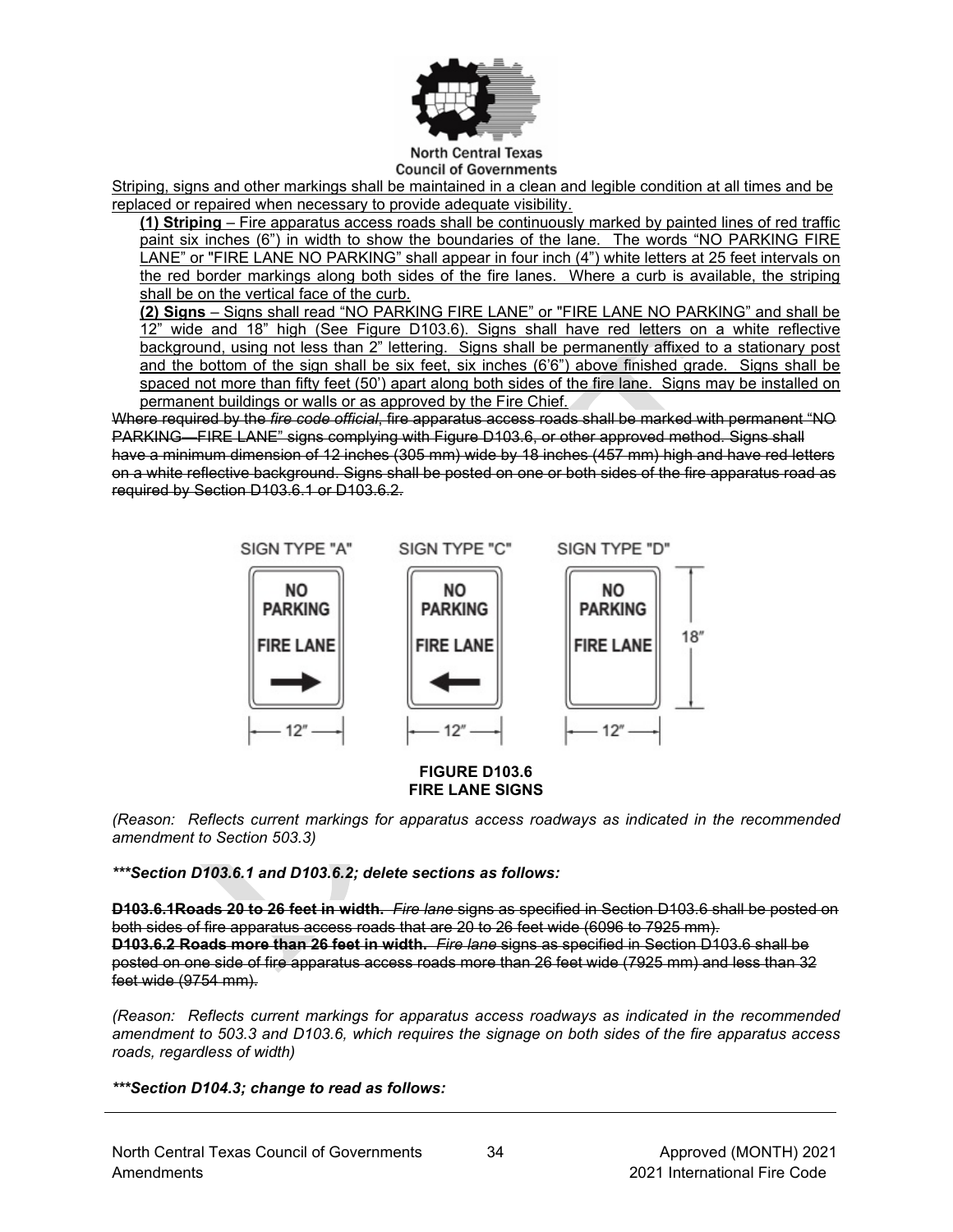

#### **North Central Texas Council of Governments**

Striping, signs and other markings shall be maintained in a clean and legible condition at all times and be replaced or repaired when necessary to provide adequate visibility.

**(1) Striping** – Fire apparatus access roads shall be continuously marked by painted lines of red traffic paint six inches (6") in width to show the boundaries of the lane. The words "NO PARKING FIRE LANE" or "FIRE LANE NO PARKING" shall appear in four inch (4") white letters at 25 feet intervals on the red border markings along both sides of the fire lanes. Where a curb is available, the striping shall be on the vertical face of the curb.

**(2) Signs** – Signs shall read "NO PARKING FIRE LANE" or "FIRE LANE NO PARKING" and shall be 12" wide and 18" high (See Figure D103.6). Signs shall have red letters on a white reflective background, using not less than 2" lettering. Signs shall be permanently affixed to a stationary post and the bottom of the sign shall be six feet, six inches (6'6") above finished grade. Signs shall be spaced not more than fifty feet (50') apart along both sides of the fire lane. Signs may be installed on permanent buildings or walls or as approved by the Fire Chief.

Where required by the *fire code official*, fire apparatus access roads shall be marked with permanent "NO PARKING—FIRE LANE" signs complying with [Figure D103.6,](https://codes.iccsafe.org/lookup/IFC2021P1_Pt07_AppxD_SecD103.6_FigD103.6) or other approved method. Signs shall have a minimum dimension of 12 inches (305 mm) wide by 18 inches (457 mm) high and have red letters on a white reflective background. Signs shall be posted on one or both sides of the fire apparatus road as required by [Section D103.6.1](https://codes.iccsafe.org/lookup/IFC2021P1_Pt07_AppxD_SecD103.6.1) or [D103.6.2.](https://codes.iccsafe.org/lookup/IFC2021P1_Pt07_AppxD_SecD103.6.2)



#### **FIGURE D103.6 FIRE LANE SIGNS**

*(Reason: Reflects current markings for apparatus access roadways as indicated in the recommended amendment to Section 503.3)*

*\*\*\*Section D103.6.1 and D103.6.2; delete sections as follows:*

**D103.6.1Roads 20 to 26 feet in width.** *Fire lane* signs as specified in [Section D103.6](https://codes.iccsafe.org/lookup/IFC2021P1_Pt07_AppxD_SecD103.6) shall be posted on both sides of fire apparatus access roads that are 20 to 26 feet wide (6096 to 7925 mm). **D103.6.2 Roads more than 26 feet in width.** *Fire lane* signs as specified in [Section D103.6](https://codes.iccsafe.org/lookup/IFC2021P1_Pt07_AppxD_SecD103.6) shall be posted on one side of fire apparatus access roads more than 26 feet wide (7925 mm) and less than 32 feet wide (9754 mm).

*(Reason: Reflects current markings for apparatus access roadways as indicated in the recommended amendment to 503.3 and D103.6, which requires the signage on both sides of the fire apparatus access roads, regardless of width)*

*\*\*\*Section D104.3; change to read as follows:*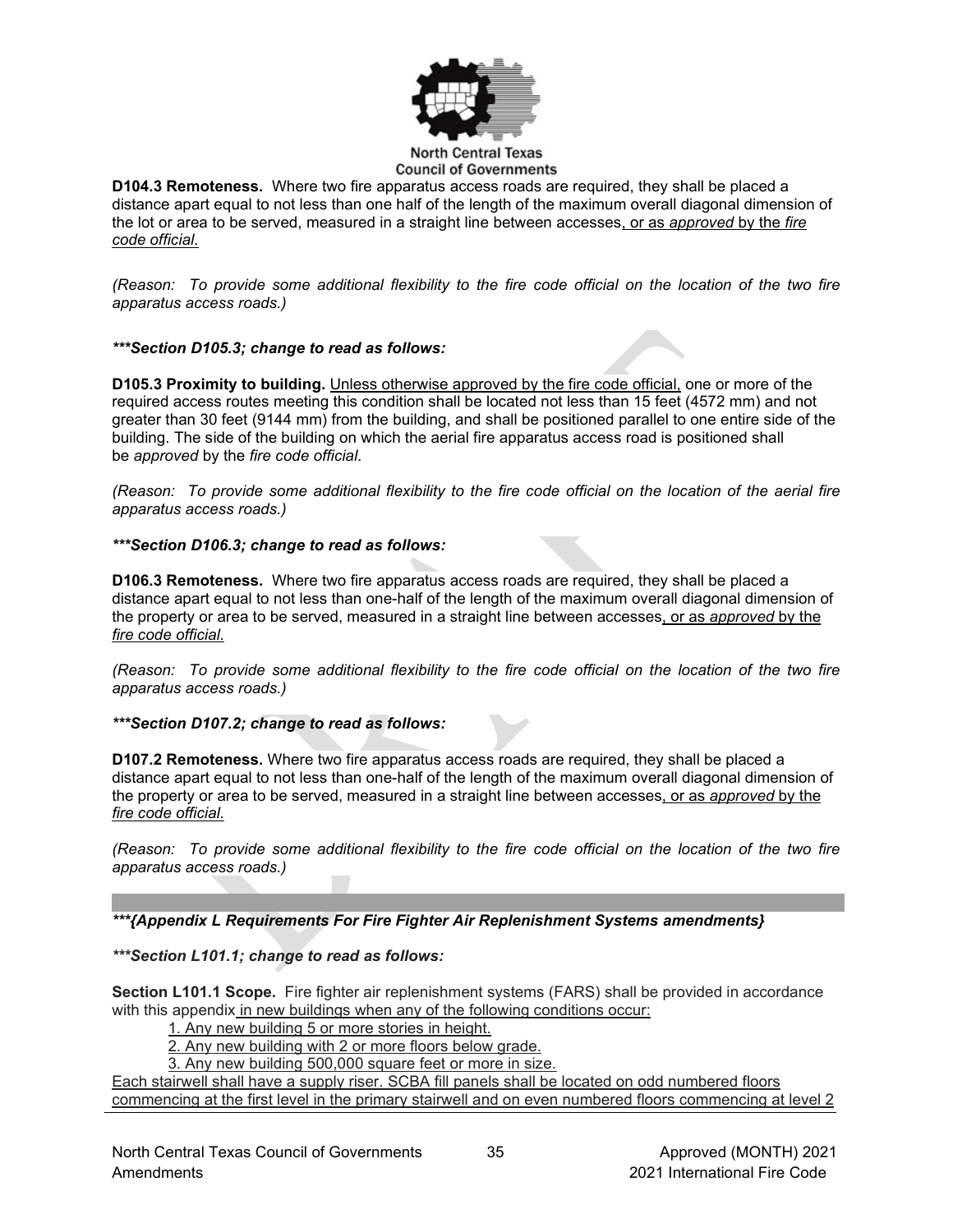

**D104.3 Remoteness.** Where two fire apparatus access roads are required, they shall be placed a distance apart equal to not less than one half of the length of the maximum overall diagonal dimension of the lot or area to be served, measured in a straight line between accesses, or as *approved* by the *fire code official*.

*(Reason: To provide some additional flexibility to the fire code official on the location of the two fire apparatus access roads.)*

## *\*\*\*Section D105.3; change to read as follows:*

**D105.3 Proximity to building.** Unless otherwise approved by the fire code official, one or more of the required access routes meeting this condition shall be located not less than 15 feet (4572 mm) and not greater than 30 feet (9144 mm) from the building, and shall be positioned parallel to one entire side of the building. The side of the building on which the aerial fire apparatus access road is positioned shall be *approved* by the *fire code official*.

*(Reason: To provide some additional flexibility to the fire code official on the location of the aerial fire apparatus access roads.)*

#### *\*\*\*Section D106.3; change to read as follows:*

**D106.3 Remoteness.** Where two fire apparatus access roads are required, they shall be placed a distance apart equal to not less than one-half of the length of the maximum overall diagonal dimension of the property or area to be served, measured in a straight line between accesses, or as *approved* by the *fire code official*.

*(Reason: To provide some additional flexibility to the fire code official on the location of the two fire apparatus access roads.)*

#### *\*\*\*Section D107.2; change to read as follows:*

**D107.2 Remoteness.** Where two fire apparatus access roads are required, they shall be placed a distance apart equal to not less than one-half of the length of the maximum overall diagonal dimension of the property or area to be served, measured in a straight line between accesses, or as *approved* by the *fire code official*.

*(Reason: To provide some additional flexibility to the fire code official on the location of the two fire apparatus access roads.)*

*\*\*\*{Appendix L Requirements For Fire Fighter Air Replenishment Systems amendments}*

# *\*\*\*Section L101.1; change to read as follows:*

**Section L101.1 Scope.** Fire fighter air replenishment systems (FARS) shall be provided in accordance with this appendix in new buildings when any of the following conditions occur:

1. Any new building 5 or more stories in height.

2. Any new building with 2 or more floors below grade.

3. Any new building 500,000 square feet or more in size.

Each stairwell shall have a supply riser. SCBA fill panels shall be located on odd numbered floors commencing at the first level in the primary stairwell and on even numbered floors commencing at level 2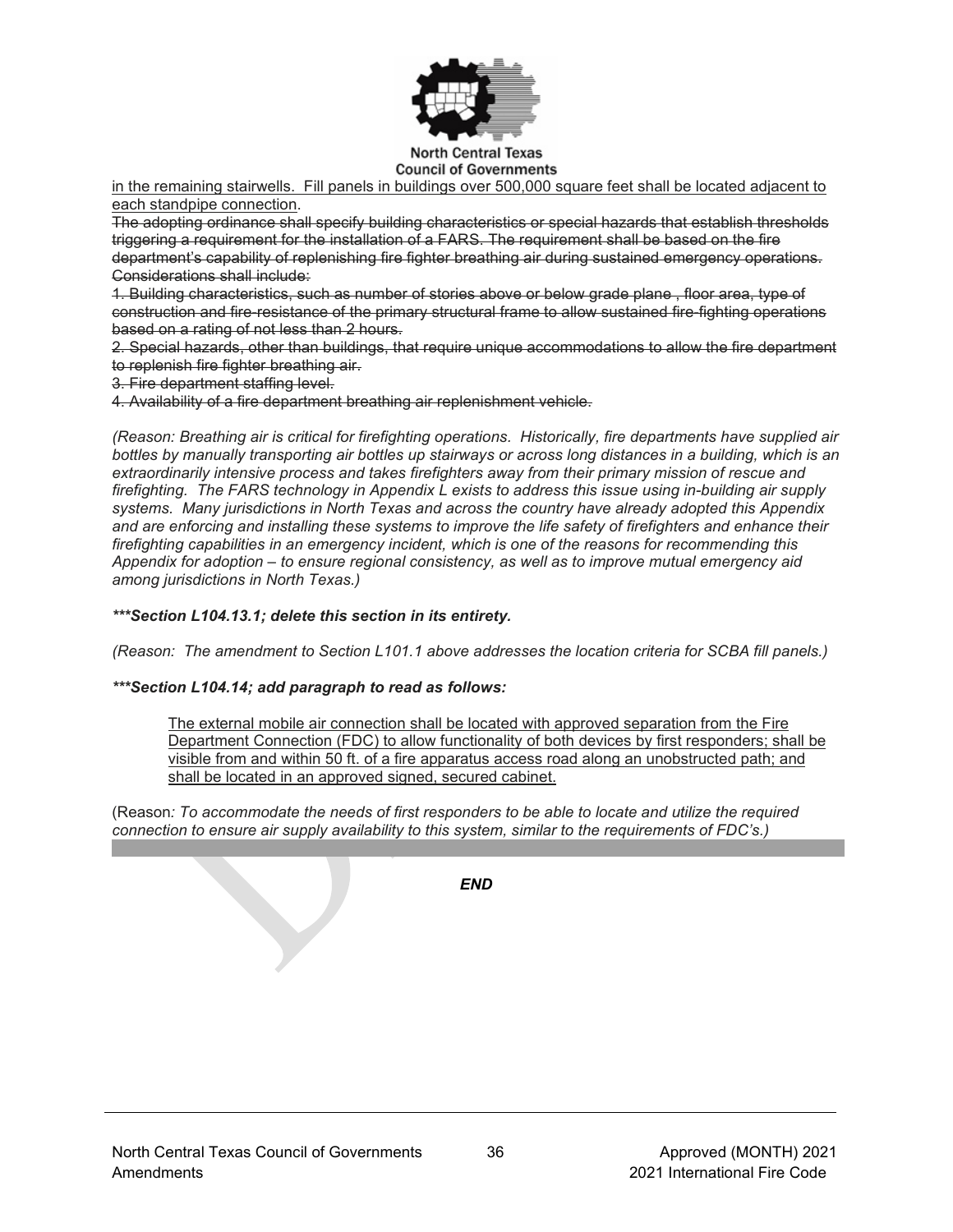

**Council of Governments** 

in the remaining stairwells. Fill panels in buildings over 500,000 square feet shall be located adjacent to each standpipe connection.

The adopting ordinance shall specify building characteristics or special hazards that establish thresholds triggering a requirement for the installation of a FARS. The requirement shall be based on the fire department's capability of replenishing fire fighter breathing air during sustained emergency operations. Considerations shall include:

1. Building characteristics, such as number of stories above or below grade plane , floor area, type of construction and fire-resistance of the primary structural frame to allow sustained fire-fighting operations based on a rating of not less than 2 hours.

2. Special hazards, other than buildings, that require unique accommodations to allow the fire department to replenish fire fighter breathing air.

3. Fire department staffing level.

4. Availability of a fire department breathing air replenishment vehicle.

*(Reason: Breathing air is critical for firefighting operations. Historically, fire departments have supplied air*  bottles by manually transporting air bottles up stairways or across long distances in a building, which is an *extraordinarily intensive process and takes firefighters away from their primary mission of rescue and firefighting. The FARS technology in Appendix L exists to address this issue using in-building air supply systems. Many jurisdictions in North Texas and across the country have already adopted this Appendix and are enforcing and installing these systems to improve the life safety of firefighters and enhance their firefighting capabilities in an emergency incident, which is one of the reasons for recommending this Appendix for adoption – to ensure regional consistency, as well as to improve mutual emergency aid among jurisdictions in North Texas.)*

#### *\*\*\*Section L104.13.1; delete this section in its entirety.*

*(Reason: The amendment to Section L101.1 above addresses the location criteria for SCBA fill panels.)*

#### *\*\*\*Section L104.14; add paragraph to read as follows:*

The external mobile air connection shall be located with approved separation from the Fire Department Connection (FDC) to allow functionality of both devices by first responders; shall be visible from and within 50 ft. of a fire apparatus access road along an unobstructed path; and shall be located in an approved signed, secured cabinet.

(Reason*: To accommodate the needs of first responders to be able to locate and utilize the required connection to ensure air supply availability to this system, similar to the requirements of FDC's.)*

*END*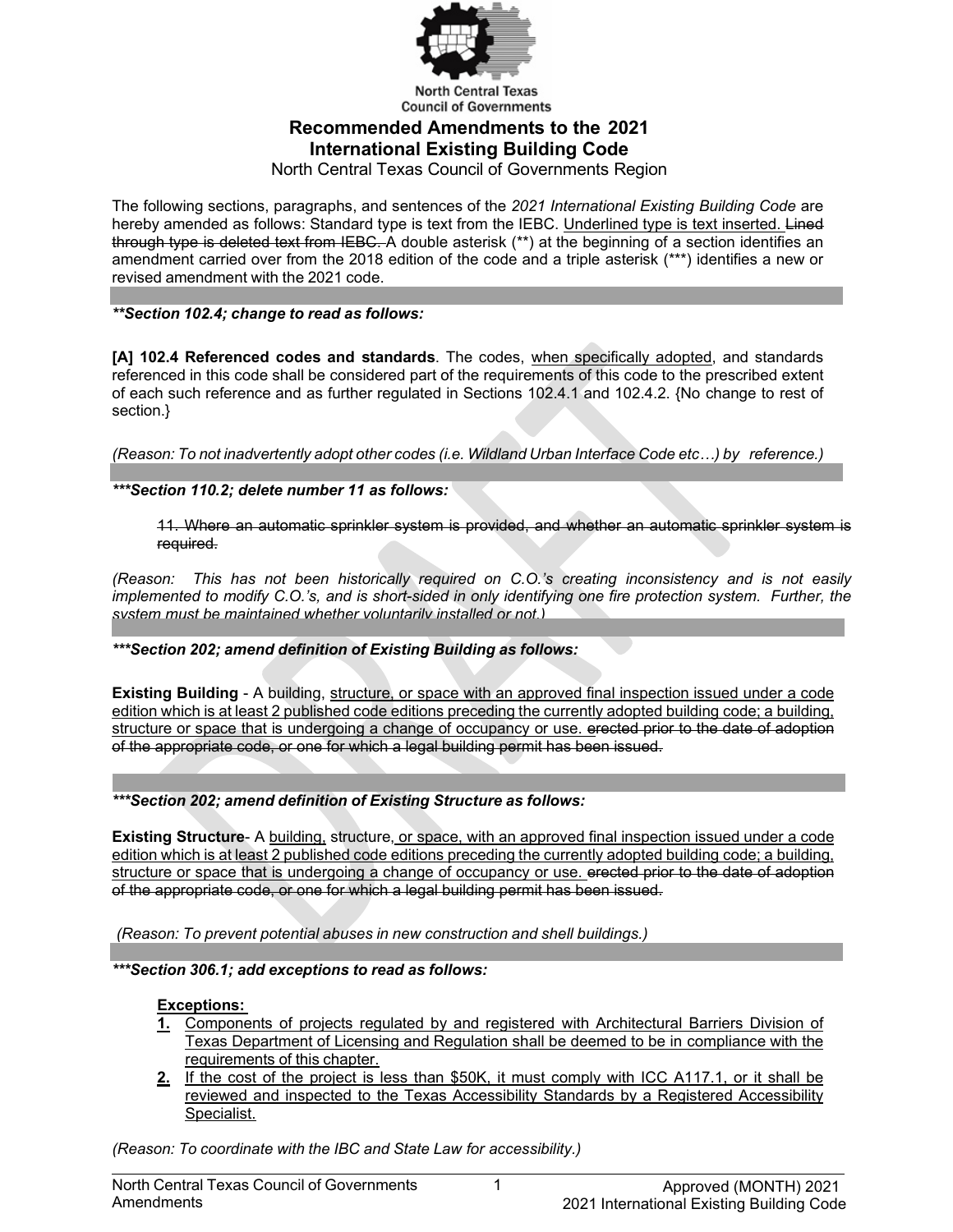

**Council of Governments Recommended Amendments to the 2021 International Existing Building Code**

North Central Texas Council of Governments Region

The following sections, paragraphs, and sentences of the *2021 International Existing Building Code* are hereby amended as follows: Standard type is text from the IEBC. Underlined type is text inserted. Lined through type is deleted text from IEBC. A double asterisk (\*\*) at the beginning of a section identifies an amendment carried over from the 2018 edition of the code and a triple asterisk (\*\*\*) identifies a new or revised amendment with the 2021 code.

*\*\*Section 102.4; change to read as follows:*

**[A] 102.4 Referenced codes and standards**. The codes, when specifically adopted, and standards referenced in this code shall be considered part of the requirements of this code to the prescribed extent of each such reference and as further regulated in Sections 102.4.1 and 102.4.2. {No change to rest of section.}

*(Reason: To not inadvertently adopt other codes (i.e. Wildland Urban Interface Code etc…) by reference.)*

*\*\*\*Section 110.2; delete number 11 as follows:*

11. Where an automatic sprinkler system is provided, and whether an automatic sprinkler system is required.

*(Reason: This has not been historically required on C.O.'s creating inconsistency and is not easily implemented to modify C.O.'s, and is short-sided in only identifying one fire protection system. Further, the system must be maintained whether voluntarily installed or not.)*

# *\*\*\*Section 202; amend definition of Existing Building as follows:*

**Existing Building** - A building, structure, or space with an approved final inspection issued under a code edition which is at least 2 published code editions preceding the currently adopted building code; a building, structure or space that is undergoing a change of occupancy or use. erected prior to the date of adoption of the appropriate code, or one for which a legal building permit has been issued.

*\*\*\*Section 202; amend definition of Existing Structure as follows:*

**Existing Structure**- A building, structure, or space, with an approved final inspection issued under a code edition which is at least 2 published code editions preceding the currently adopted building code; a building, structure or space that is undergoing a change of occupancy or use. erected prior to the date of adoption of the appropriate code, or one for which a legal building permit has been issued.

*(Reason: To prevent potential abuses in new construction and shell buildings.)*

*\*\*\*Section 306.1; add exceptions to read as follows:*

# **Exceptions:**

- **1.** Components of projects regulated by and registered with Architectural Barriers Division of Texas Department of Licensing and Regulation shall be deemed to be in compliance with the requirements of this chapter.
- **2.** If the cost of the project is less than \$50K, it must comply with ICC A117.1, or it shall be reviewed and inspected to the Texas Accessibility Standards by a Registered Accessibility Specialist.

*(Reason: To coordinate with the IBC and State Law for accessibility.)*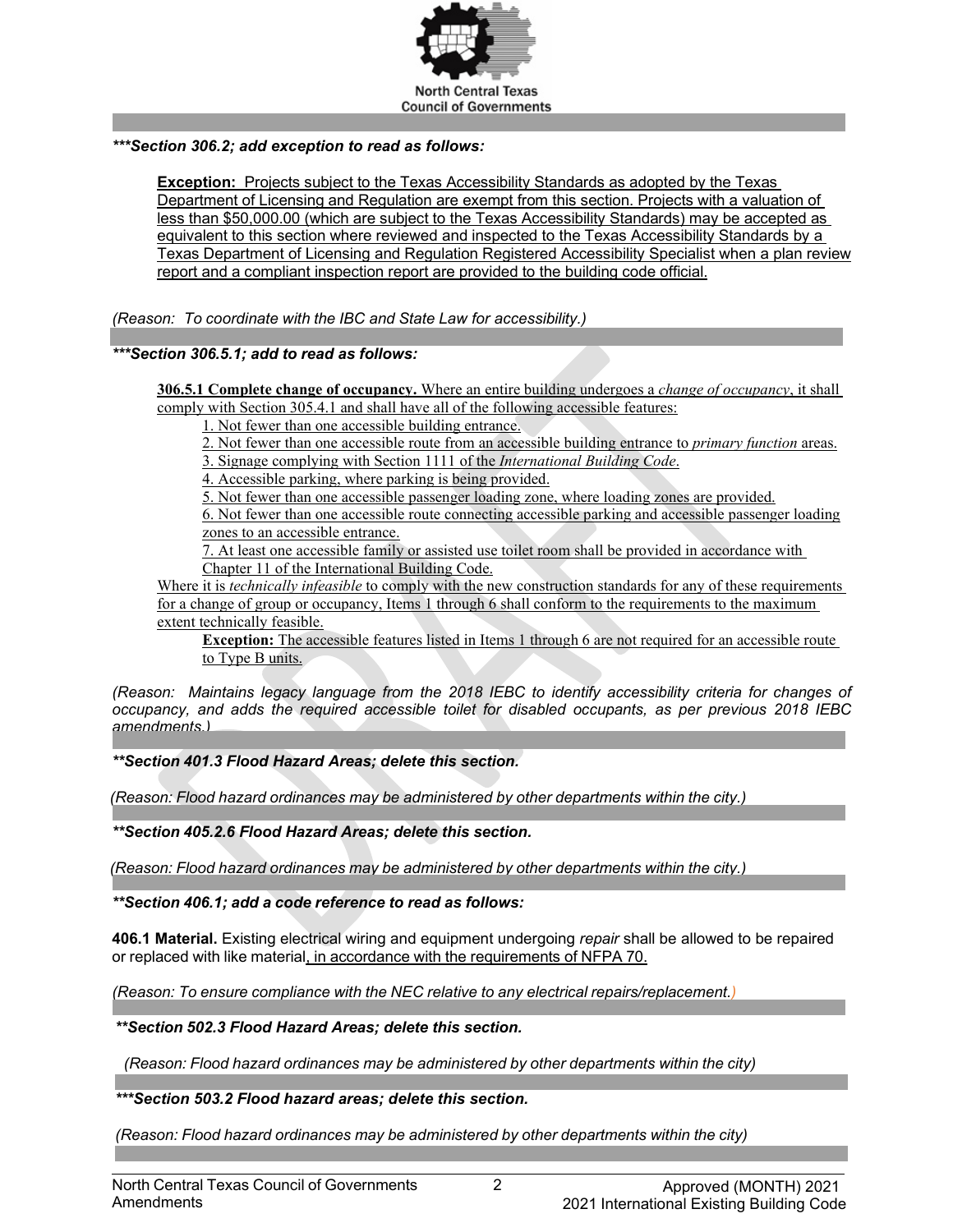

## *\*\*\*Section 306.2; add exception to read as follows:*

**Exception:** Projects subject to the Texas Accessibility Standards as adopted by the Texas Department of Licensing and Regulation are exempt from this section. Projects with a valuation of less than \$50,000.00 (which are subject to the Texas Accessibility Standards) may be accepted as equivalent to this section where reviewed and inspected to the Texas Accessibility Standards by a Texas Department of Licensing and Regulation Registered Accessibility Specialist when a plan review report and a compliant inspection report are provided to the building code official.

*(Reason: To coordinate with the IBC and State Law for accessibility.)*

# *\*\*\*Section 306.5.1; add to read as follows:*

**306.5.1 Complete change of occupancy.** Where an entire building undergoes a *change of occupancy*, it shall comply with Section 305.4.1 and shall have all of the following accessible features:

1. Not fewer than one accessible building entrance.

2. Not fewer than one accessible route from an accessible building entrance to *primary function* areas.

3. Signage complying with Section 1111 of the *International Building Code*.

4. Accessible parking, where parking is being provided.

5. Not fewer than one accessible passenger loading zone, where loading zones are provided.

6. Not fewer than one accessible route connecting accessible parking and accessible passenger loading zones to an accessible entrance.

7. At least one accessible family or assisted use toilet room shall be provided in accordance with Chapter 11 of the International Building Code.

Where it is *technically infeasible* to comply with the new construction standards for any of these requirements for a change of group or occupancy, Items 1 through 6 shall conform to the requirements to the maximum extent technically feasible.

**Exception:** The accessible features listed in Items 1 through 6 are not required for an accessible route to Type B units.

*(Reason: Maintains legacy language from the 2018 IEBC to identify accessibility criteria for changes of occupancy, and adds the required accessible toilet for disabled occupants, as per previous 2018 IEBC amendments.)*

*\*\*Section 401.3 Flood Hazard Areas; delete this section.*

 *(Reason: Flood hazard ordinances may be administered by other departments within the city.)*

*\*\*Section 405.2.6 Flood Hazard Areas; delete this section.*

 *(Reason: Flood hazard ordinances may be administered by other departments within the city.)*

*\*\*Section 406.1; add a code reference to read as follows:*

**406.1 Material.** Existing electrical wiring and equipment undergoing *repair* shall be allowed to be repaired or replaced with like material, in accordance with the requirements of NFPA 70.

*(Reason: To ensure compliance with the NEC relative to any electrical repairs/replacement.)*

*\*\*Section 502.3 Flood Hazard Areas; delete this section.*

 *(Reason: Flood hazard ordinances may be administered by other departments within the city)*

*\*\*\*Section 503.2 Flood hazard areas; delete this section.*

*(Reason: Flood hazard ordinances may be administered by other departments within the city)*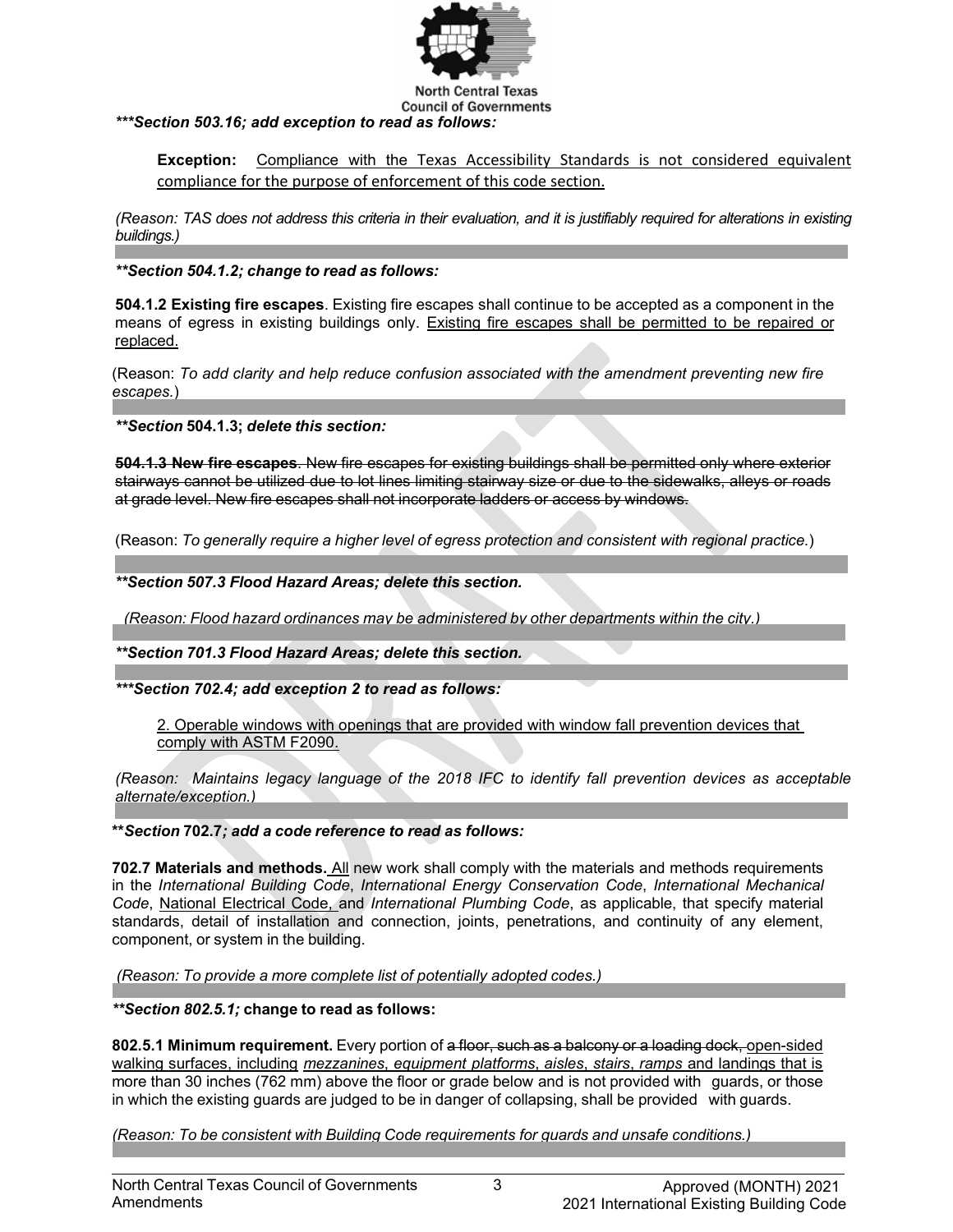

**Council of Governments** *\*\*\*Section 503.16; add exception to read as follows:*

**Exception:** Compliance with the Texas Accessibility Standards is not considered equivalent compliance for the purpose of enforcement of this code section.

*(Reason: TAS does not address this criteria in their evaluation, and it is justifiably required for alterations in existing buildings.)*

# *\*\*Section 504.1.2; change to read as follows:*

**504.1.2 Existing fire escapes**. Existing fire escapes shall continue to be accepted as a component in the means of egress in existing buildings only. Existing fire escapes shall be permitted to be repaired or replaced.

(Reason: *To add clarity and help reduce confusion associated with the amendment preventing new fire escapes.*)

*\*\*Section* **504.1.3;** *delete this section:*

**504.1.3 New fire escapes**. New fire escapes for existing buildings shall be permitted only where exterior stairways cannot be utilized due to lot lines limiting stairway size or due to the sidewalks, alleys or roads at grade level. New fire escapes shall not incorporate ladders or access by windows.

(Reason: *To generally require a higher level of egress protection and consistent with regional practice.*)

*\*\*Section 507.3 Flood Hazard Areas; delete this section.*

 *(Reason: Flood hazard ordinances may be administered by other departments within the city.)*

*\*\*Section 701.3 Flood Hazard Areas; delete this section.*

*\*\*\*Section 702.4; add exception 2 to read as follows:*

2. Operable windows with openings that are provided with window fall prevention devices that comply with ASTM F2090.

*(Reason: Maintains legacy language of the 2018 IFC to identify fall prevention devices as acceptable alternate/exception.)*

**\*\****Section* **702.7***; add a code reference to read as follows:*

**702.7 Materials and methods.** All new work shall comply with the materials and methods requirements in the *International Building Code*, *International Energy Conservation Code*, *International Mechanical Code*, National Electrical Code, and *International Plumbing Code*, as applicable, that specify material standards, detail of installation and connection, joints, penetrations, and continuity of any element, component, or system in the building.

*(Reason: To provide a more complete list of potentially adopted codes.)*

*\*\*Section 802.5.1;* **change to read as follows:**

**802.5.1 Minimum requirement.** Every portion of a floor, such as a balcony or a loading dock, open-sided walking surfaces, including *mezzanines*, *equipment platforms*, *aisles*, *stairs*, *ramps* and landings that is more than 30 inches (762 mm) above the floor or grade below and is not provided with guards, or those in which the existing guards are judged to be in danger of collapsing, shall be provided with guards.

*(Reason: To be consistent with Building Code requirements for guards and unsafe conditions.)*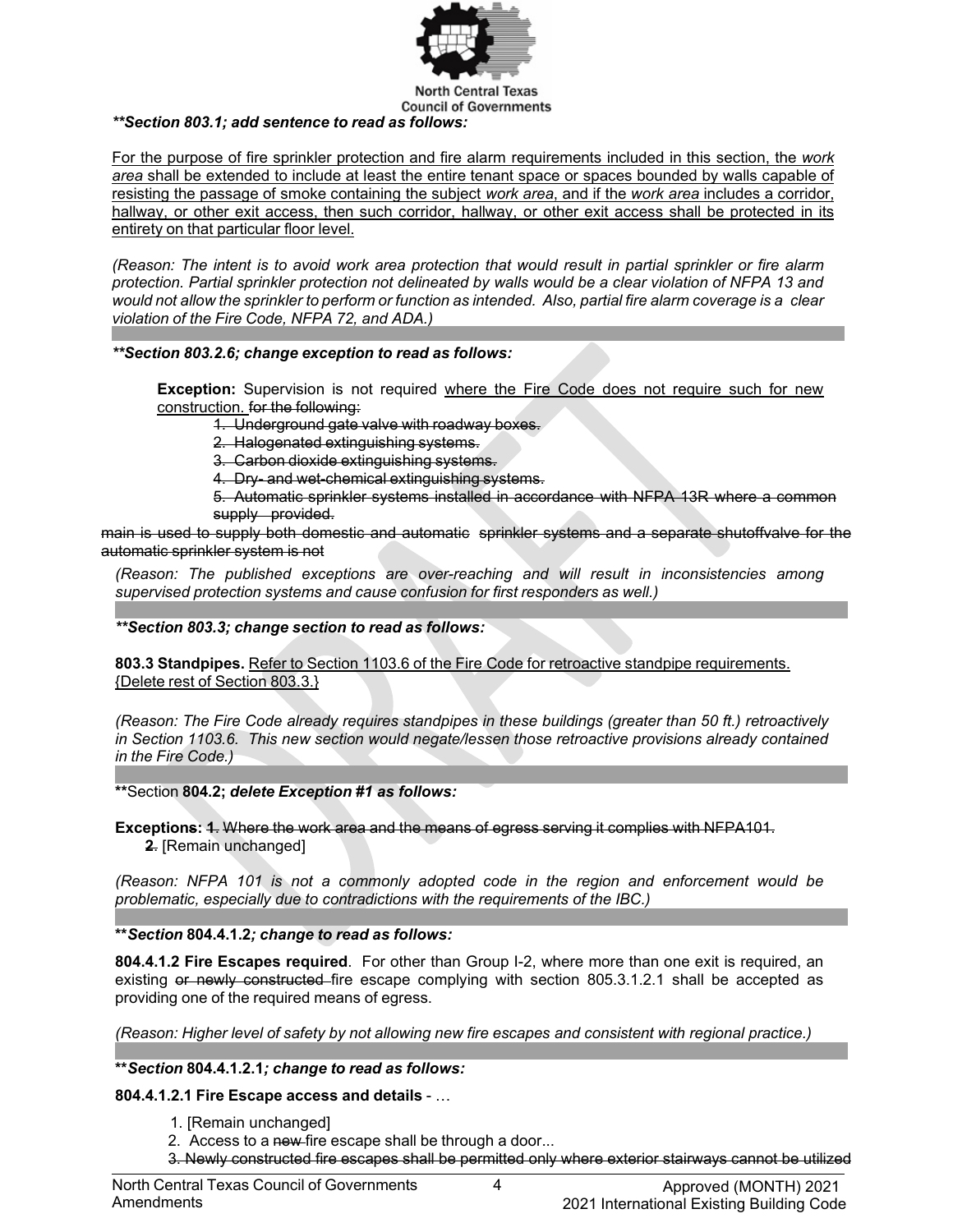

**Council of Governments** *\*\*Section 803.1; add sentence to read as follows:*

For the purpose of fire sprinkler protection and fire alarm requirements included in this section, the *work area* shall be extended to include at least the entire tenant space or spaces bounded by walls capable of

resisting the passage of smoke containing the subject *work area*, and if the *work area* includes a corridor, hallway, or other exit access, then such corridor, hallway, or other exit access shall be protected in its entirety on that particular floor level.

(Reason: The intent is to avoid work area protection that would result in partial sprinkler or fire alarm protection. Partial sprinkler protection not delineated by walls would be a clear violation of NFPA 13 and would not allow the sprinkler to perform or function as intended. Also, partial fire alarm coverage is a clear *violation of the Fire Code, NFPA 72, and ADA.)*

# *\*\*Section 803.2.6; change exception to read as follows:*

**Exception:** Supervision is not required where the Fire Code does not require such for new construction. for the following:

1. Underground gate valve with roadway boxes.

2. Halogenated extinguishing systems.

3. Carbon dioxide extinguishing systems.

4. Dry- and wet-chemical extinguishing systems.

5. Automatic sprinkler systems installed in accordance with NFPA 13R where a common supply provided.

main is used to supply both domestic and automatic sprinkler systems and a separate shutoffvalve for the automatic sprinkler system is not

*(Reason: The published exceptions are over-reaching and will result in inconsistencies among supervised protection systems and cause confusion for first responders as well.)*

*\*\*Section 803.3; change section to read as follows:*

**803.3 Standpipes.** Refer to Section 1103.6 of the Fire Code for retroactive standpipe requirements. {Delete rest of Section 803.3.}

*(Reason: The Fire Code already requires standpipes in these buildings (greater than 50 ft.) retroactively in Section 1103.6. This new section would negate/lessen those retroactive provisions already contained in the Fire Code.)*

**\*\***Section **804.2;** *delete Exception #1 as follows:*

**Exceptions: 1**. Where the work area and the means of egress serving it complies with NFPA101.  **2**. [Remain unchanged]

*(Reason: NFPA 101 is not a commonly adopted code in the region and enforcement would be problematic, especially due to contradictions with the requirements of the IBC.)*

# **\*\****Section* **804.4.1.2***; change to read as follows:*

**804.4.1.2 Fire Escapes required**. For other than Group I-2, where more than one exit is required, an existing or newly constructed fire escape complying with section 805.3.1.2.1 shall be accepted as providing one of the required means of egress.

*(Reason: Higher level of safety by not allowing new fire escapes and consistent with regional practice.)*

**\*\****Section* **804.4.1.2.1***; change to read as follows:*

**804.4.1.2.1 Fire Escape access and details** - …

- 1. [Remain unchanged]
- 2. Access to a new-fire escape shall be through a door...
- 3. Newly constructed fire escapes shall be permitted only where exterior stairways cannot be utilized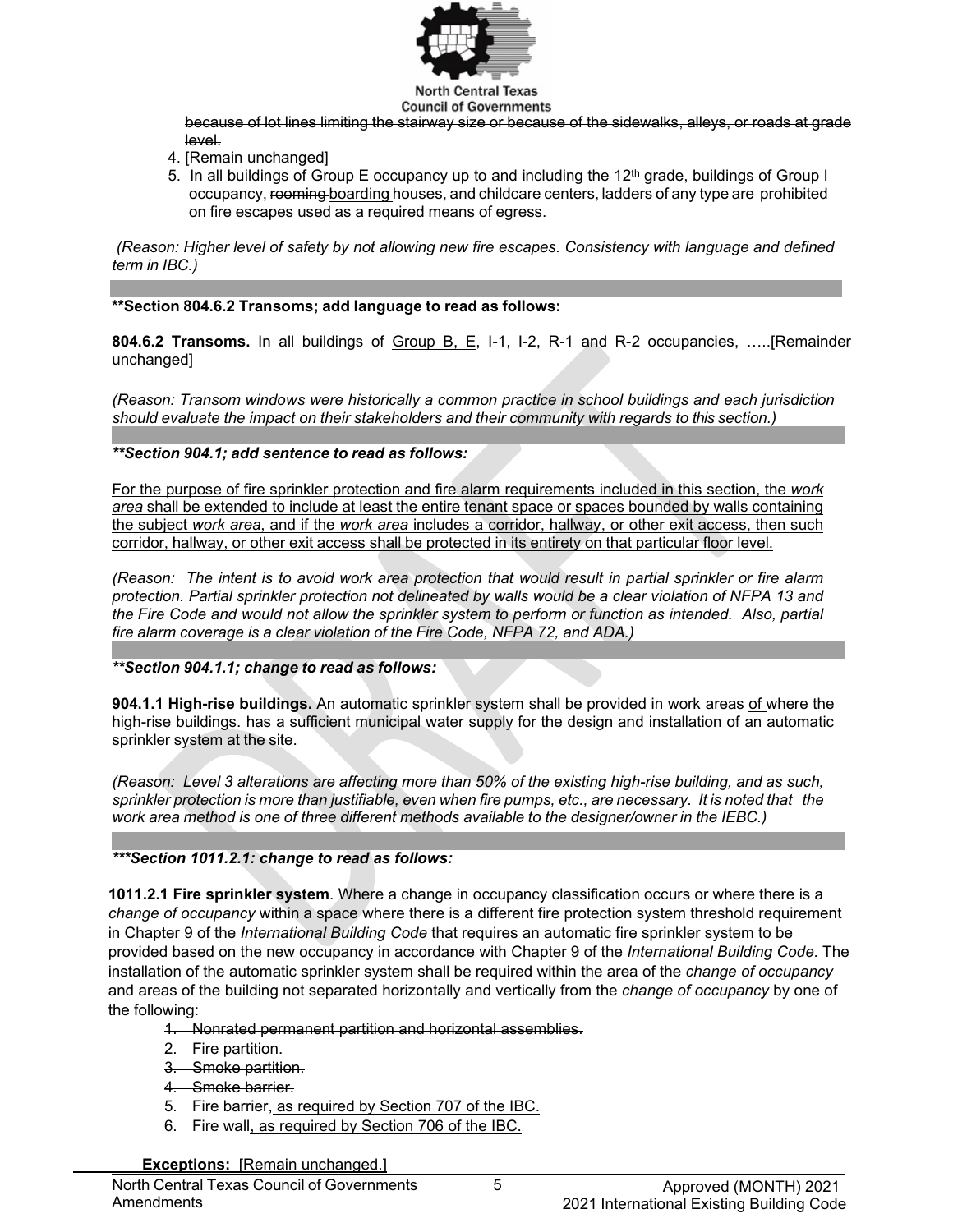

#### **North Central Texas Council of Governments**

because of lot lines limiting the stairway size or because of the sidewalks, alleys, or roads at grade level.

- 4. [Remain unchanged]
- 5. In all buildings of Group E occupancy up to and including the 12<sup>th</sup> grade, buildings of Group I occupancy, rooming boarding houses, and childcare centers, ladders of any type are prohibited on fire escapes used as a required means of egress.

*(Reason: Higher level of safety by not allowing new fire escapes. Consistency with language and defined term in IBC.)*

**\*\*Section 804.6.2 Transoms; add language to read as follows:**

**804.6.2 Transoms.** In all buildings of Group B, E, I-1, I-2, R-1 and R-2 occupancies, …..[Remainder unchanged]

*(Reason: Transom windows were historically a common practice in school buildings and each jurisdiction should evaluate the impact on their stakeholders and their community with regards to this section.)*

*\*\*Section 904.1; add sentence to read as follows:*

For the purpose of fire sprinkler protection and fire alarm requirements included in this section, the *work area* shall be extended to include at least the entire tenant space or spaces bounded by walls containing the subject *work area*, and if the *work area* includes a corridor, hallway, or other exit access, then such corridor, hallway, or other exit access shall be protected in its entirety on that particular floor level.

(Reason: The intent is to avoid work area protection that would result in partial sprinkler or fire alarm protection. Partial sprinkler protection not delineated by walls would be a clear violation of NFPA 13 and the Fire Code and would not allow the sprinkler system to perform or function as intended. Also, partial *fire alarm coverage is a clear violation of the Fire Code, NFPA 72, and ADA.)*

*\*\*Section 904.1.1; change to read as follows:*

**904.1.1 High-rise buildings.** An automatic sprinkler system shall be provided in work areas of where the high-rise buildings. has a sufficient municipal water supply for the design and installation of an automatic sprinkler system at the site.

*(Reason: Level 3 alterations are affecting more than 50% of the existing high-rise building, and as such,* sprinkler protection is more than justifiable, even when fire pumps, etc., are necessary. It is noted that the *work area method is one of three different methods available to the designer/owner in the IEBC.)*

# *\*\*\*Section 1011.2.1: change to read as follows:*

**1011.2.1 Fire sprinkler system**. Where a change in occupancy classification occurs or where there is a *change of occupancy* within a space where there is a different fire protection system threshold requirement in Chapter 9 of the *International Building Code* that requires an automatic fire sprinkler system to be provided based on the new occupancy in accordance with Chapter 9 of the *International Building Code*. The installation of the automatic sprinkler system shall be required within the area of the *change of occupancy* and areas of the building not separated horizontally and vertically from the *change of occupancy* by one of the following:

- 1. Nonrated permanent partition and horizontal assemblies.
- 2. Fire partition.
- 3. Smoke partition.
- 4. Smoke barrier.
- 5. Fire barrier, as required by Section 707 of the IBC.
- 6. Fire wall, as required by Section 706 of the IBC.

**Exceptions:** [Remain unchanged.]